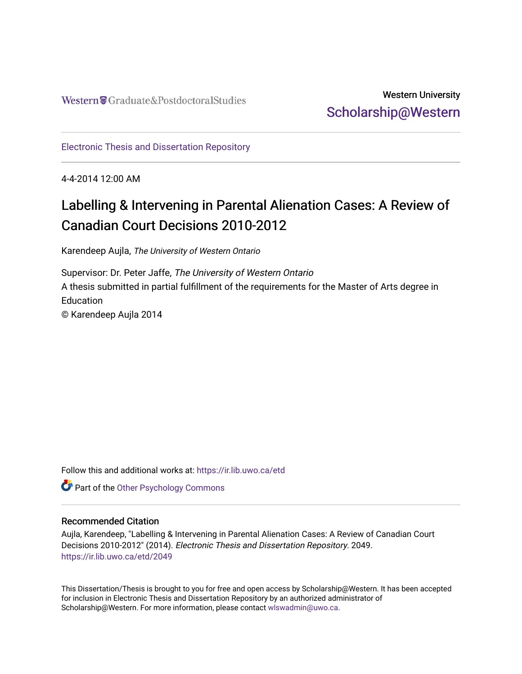# Western University [Scholarship@Western](https://ir.lib.uwo.ca/)

[Electronic Thesis and Dissertation Repository](https://ir.lib.uwo.ca/etd)

4-4-2014 12:00 AM

# Labelling & Intervening in Parental Alienation Cases: A Review of Canadian Court Decisions 2010-2012

Karendeep Aujla, The University of Western Ontario

Supervisor: Dr. Peter Jaffe, The University of Western Ontario A thesis submitted in partial fulfillment of the requirements for the Master of Arts degree in **Education** © Karendeep Aujla 2014

Follow this and additional works at: [https://ir.lib.uwo.ca/etd](https://ir.lib.uwo.ca/etd?utm_source=ir.lib.uwo.ca%2Fetd%2F2049&utm_medium=PDF&utm_campaign=PDFCoverPages) 

**Part of the Other Psychology Commons** 

# Recommended Citation

Aujla, Karendeep, "Labelling & Intervening in Parental Alienation Cases: A Review of Canadian Court Decisions 2010-2012" (2014). Electronic Thesis and Dissertation Repository. 2049. [https://ir.lib.uwo.ca/etd/2049](https://ir.lib.uwo.ca/etd/2049?utm_source=ir.lib.uwo.ca%2Fetd%2F2049&utm_medium=PDF&utm_campaign=PDFCoverPages)

This Dissertation/Thesis is brought to you for free and open access by Scholarship@Western. It has been accepted for inclusion in Electronic Thesis and Dissertation Repository by an authorized administrator of Scholarship@Western. For more information, please contact [wlswadmin@uwo.ca.](mailto:wlswadmin@uwo.ca)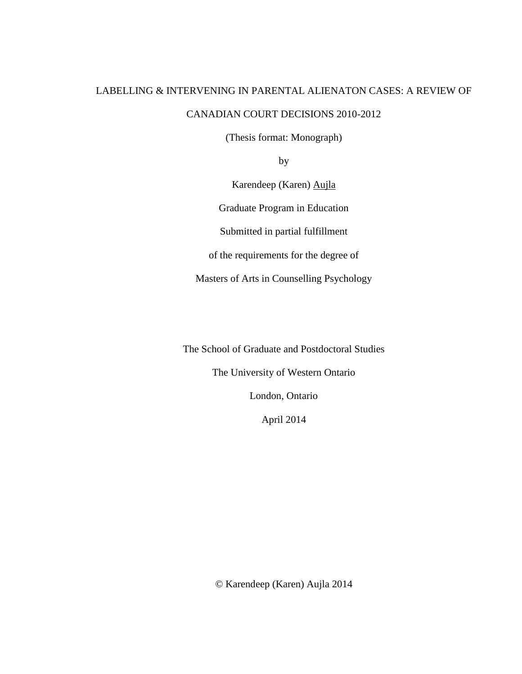# LABELLING & INTERVENING IN PARENTAL ALIENATON CASES: A REVIEW OF CANADIAN COURT DECISIONS 2010-2012

(Thesis format: Monograph)

by

Karendeep (Karen) Aujla

Graduate Program in Education

Submitted in partial fulfillment

of the requirements for the degree of

Masters of Arts in Counselling Psychology

The School of Graduate and Postdoctoral Studies

The University of Western Ontario

London, Ontario

April 2014

© Karendeep (Karen) Aujla 2014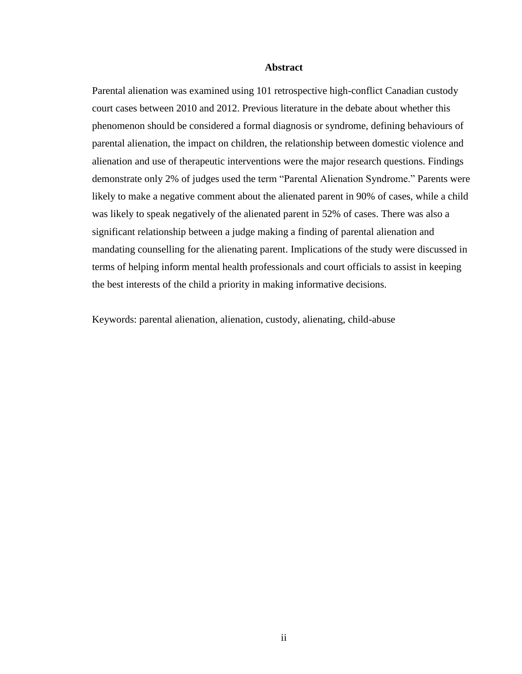### **Abstract**

Parental alienation was examined using 101 retrospective high-conflict Canadian custody court cases between 2010 and 2012. Previous literature in the debate about whether this phenomenon should be considered a formal diagnosis or syndrome, defining behaviours of parental alienation, the impact on children, the relationship between domestic violence and alienation and use of therapeutic interventions were the major research questions. Findings demonstrate only 2% of judges used the term "Parental Alienation Syndrome." Parents were likely to make a negative comment about the alienated parent in 90% of cases, while a child was likely to speak negatively of the alienated parent in 52% of cases. There was also a significant relationship between a judge making a finding of parental alienation and mandating counselling for the alienating parent. Implications of the study were discussed in terms of helping inform mental health professionals and court officials to assist in keeping the best interests of the child a priority in making informative decisions.

Keywords: parental alienation, alienation, custody, alienating, child-abuse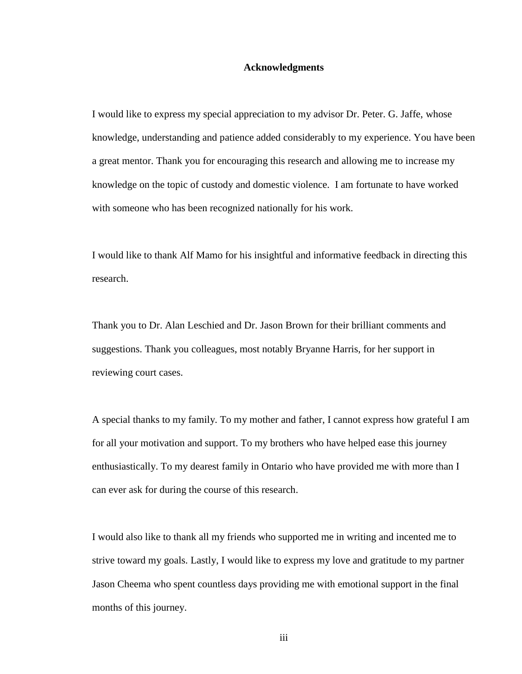### **Acknowledgments**

I would like to express my special appreciation to my advisor Dr. Peter. G. Jaffe, whose knowledge, understanding and patience added considerably to my experience. You have been a great mentor. Thank you for encouraging this research and allowing me to increase my knowledge on the topic of custody and domestic violence. I am fortunate to have worked with someone who has been recognized nationally for his work.

I would like to thank Alf Mamo for his insightful and informative feedback in directing this research.

Thank you to Dr. Alan Leschied and Dr. Jason Brown for their brilliant comments and suggestions. Thank you colleagues, most notably Bryanne Harris, for her support in reviewing court cases.

A special thanks to my family. To my mother and father, I cannot express how grateful I am for all your motivation and support. To my brothers who have helped ease this journey enthusiastically. To my dearest family in Ontario who have provided me with more than I can ever ask for during the course of this research.

I would also like to thank all my friends who supported me in writing and incented me to strive toward my goals. Lastly, I would like to express my love and gratitude to my partner Jason Cheema who spent countless days providing me with emotional support in the final months of this journey.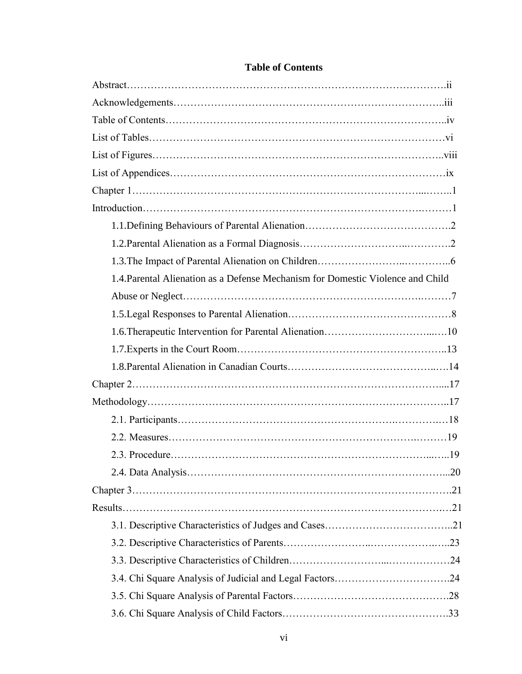| 1.4. Parental Alienation as a Defense Mechanism for Domestic Violence and Child |  |
|---------------------------------------------------------------------------------|--|
|                                                                                 |  |
|                                                                                 |  |
|                                                                                 |  |
|                                                                                 |  |
|                                                                                 |  |
|                                                                                 |  |
|                                                                                 |  |
|                                                                                 |  |
|                                                                                 |  |
|                                                                                 |  |
|                                                                                 |  |
|                                                                                 |  |
|                                                                                 |  |
|                                                                                 |  |
|                                                                                 |  |
|                                                                                 |  |
|                                                                                 |  |
|                                                                                 |  |
|                                                                                 |  |

# **Table of Contents**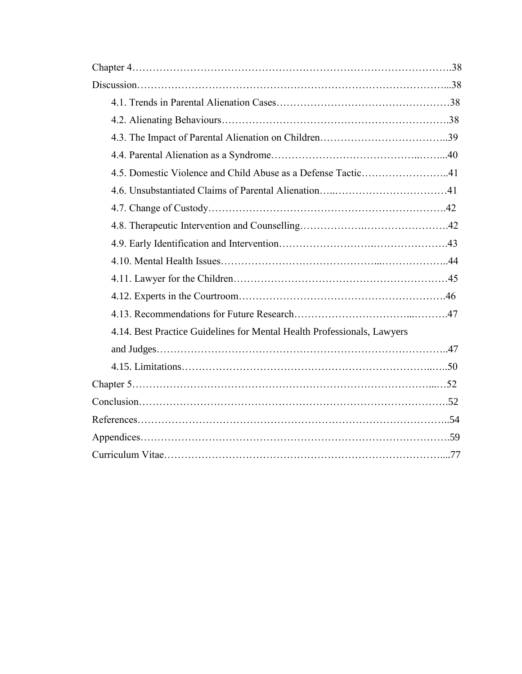| 4.5. Domestic Violence and Child Abuse as a Defense Tactic41            |  |
|-------------------------------------------------------------------------|--|
|                                                                         |  |
|                                                                         |  |
|                                                                         |  |
|                                                                         |  |
|                                                                         |  |
|                                                                         |  |
|                                                                         |  |
|                                                                         |  |
| 4.14. Best Practice Guidelines for Mental Health Professionals, Lawyers |  |
|                                                                         |  |
|                                                                         |  |
|                                                                         |  |
|                                                                         |  |
|                                                                         |  |
|                                                                         |  |
|                                                                         |  |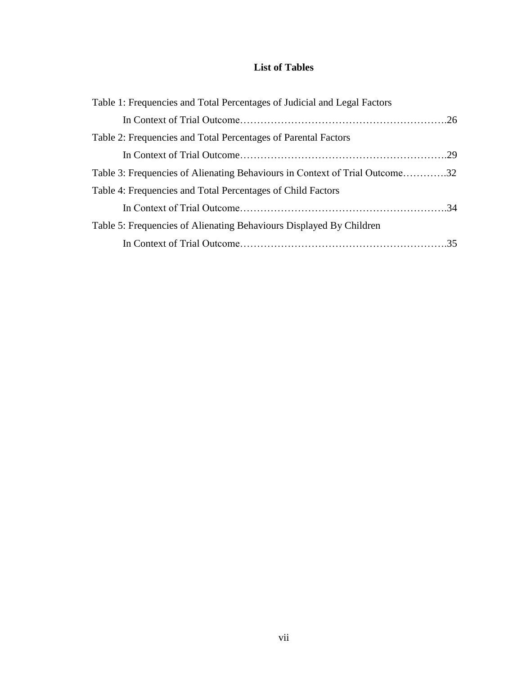# **List of Tables**

| Table 1: Frequencies and Total Percentages of Judicial and Legal Factors    |  |
|-----------------------------------------------------------------------------|--|
|                                                                             |  |
| Table 2: Frequencies and Total Percentages of Parental Factors              |  |
|                                                                             |  |
| Table 3: Frequencies of Alienating Behaviours in Context of Trial Outcome32 |  |
| Table 4: Frequencies and Total Percentages of Child Factors                 |  |
|                                                                             |  |
| Table 5: Frequencies of Alienating Behaviours Displayed By Children         |  |
|                                                                             |  |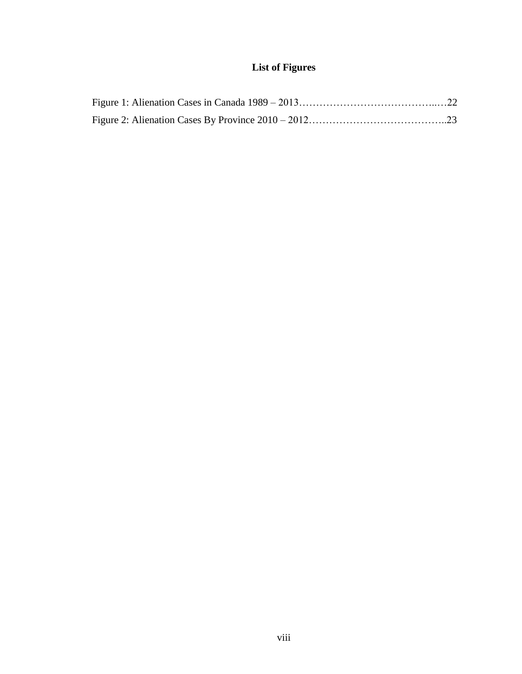# **List of Figures**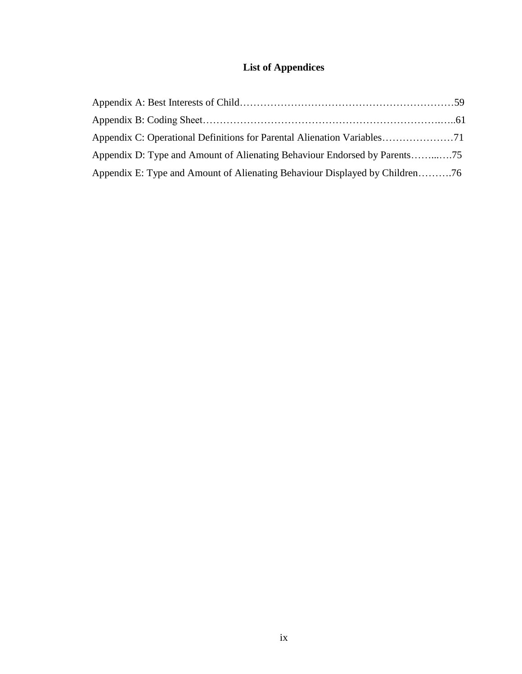# **List of Appendices**

| Appendix E: Type and Amount of Alienating Behaviour Displayed by Children76 |  |
|-----------------------------------------------------------------------------|--|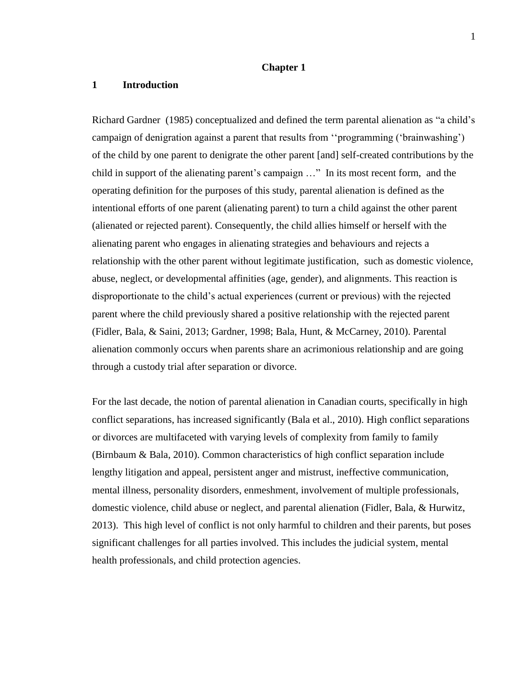## **Chapter 1**

# **1 Introduction**

Richard Gardner (1985) conceptualized and defined the term parental alienation as "a child's campaign of denigration against a parent that results from ''programming ('brainwashing') of the child by one parent to denigrate the other parent [and] self-created contributions by the child in support of the alienating parent's campaign …" In its most recent form, and the operating definition for the purposes of this study, parental alienation is defined as the intentional efforts of one parent (alienating parent) to turn a child against the other parent (alienated or rejected parent). Consequently, the child allies himself or herself with the alienating parent who engages in alienating strategies and behaviours and rejects a relationship with the other parent without legitimate justification, such as domestic violence, abuse, neglect, or developmental affinities (age, gender), and alignments. This reaction is disproportionate to the child's actual experiences (current or previous) with the rejected parent where the child previously shared a positive relationship with the rejected parent (Fidler, Bala, & Saini, 2013; Gardner, 1998; Bala, Hunt, & McCarney, 2010). Parental alienation commonly occurs when parents share an acrimonious relationship and are going through a custody trial after separation or divorce.

For the last decade, the notion of parental alienation in Canadian courts, specifically in high conflict separations, has increased significantly (Bala et al., 2010). High conflict separations or divorces are multifaceted with varying levels of complexity from family to family (Birnbaum & Bala, 2010). Common characteristics of high conflict separation include lengthy litigation and appeal, persistent anger and mistrust, ineffective communication, mental illness, personality disorders, enmeshment, involvement of multiple professionals, domestic violence, child abuse or neglect, and parental alienation (Fidler, Bala, & Hurwitz, 2013). This high level of conflict is not only harmful to children and their parents, but poses significant challenges for all parties involved. This includes the judicial system, mental health professionals, and child protection agencies.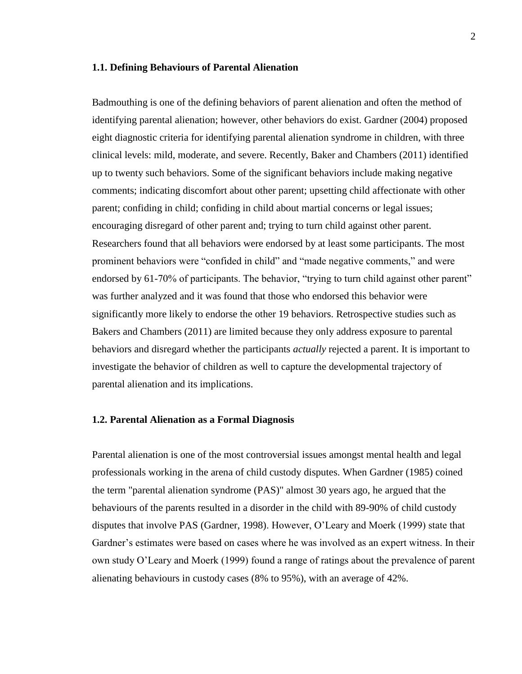### **1.1. Defining Behaviours of Parental Alienation**

Badmouthing is one of the defining behaviors of parent alienation and often the method of identifying parental alienation; however, other behaviors do exist. Gardner (2004) proposed eight diagnostic criteria for identifying parental alienation syndrome in children, with three clinical levels: mild, moderate, and severe. Recently, Baker and Chambers (2011) identified up to twenty such behaviors. Some of the significant behaviors include making negative comments; indicating discomfort about other parent; upsetting child affectionate with other parent; confiding in child; confiding in child about martial concerns or legal issues; encouraging disregard of other parent and; trying to turn child against other parent. Researchers found that all behaviors were endorsed by at least some participants. The most prominent behaviors were "confided in child" and "made negative comments," and were endorsed by 61-70% of participants. The behavior, "trying to turn child against other parent" was further analyzed and it was found that those who endorsed this behavior were significantly more likely to endorse the other 19 behaviors. Retrospective studies such as Bakers and Chambers (2011) are limited because they only address exposure to parental behaviors and disregard whether the participants *actually* rejected a parent. It is important to investigate the behavior of children as well to capture the developmental trajectory of parental alienation and its implications.

#### **1.2. Parental Alienation as a Formal Diagnosis**

Parental alienation is one of the most controversial issues amongst mental health and legal professionals working in the arena of child custody disputes. When Gardner (1985) coined the term "parental alienation syndrome (PAS)" almost 30 years ago, he argued that the behaviours of the parents resulted in a disorder in the child with 89-90% of child custody disputes that involve PAS (Gardner, 1998). However, O'Leary and Moerk (1999) state that Gardner's estimates were based on cases where he was involved as an expert witness. In their own study O'Leary and Moerk (1999) found a range of ratings about the prevalence of parent alienating behaviours in custody cases (8% to 95%), with an average of 42%.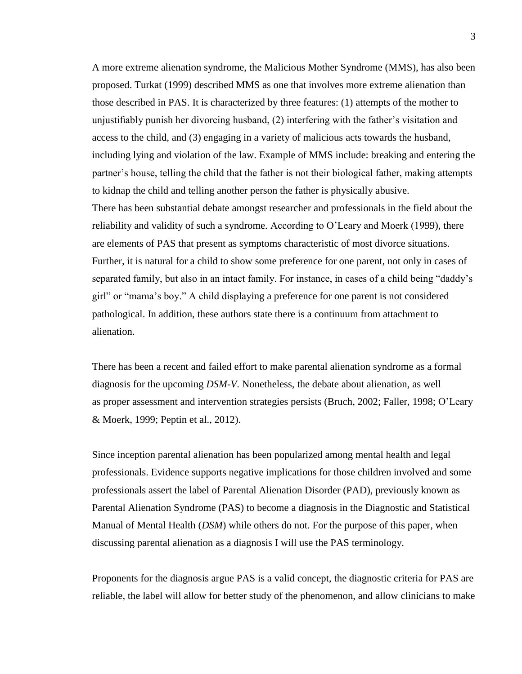A more extreme alienation syndrome, the Malicious Mother Syndrome (MMS), has also been proposed. Turkat (1999) described MMS as one that involves more extreme alienation than those described in PAS. It is characterized by three features: (1) attempts of the mother to unjustifiably punish her divorcing husband, (2) interfering with the father's visitation and access to the child, and (3) engaging in a variety of malicious acts towards the husband, including lying and violation of the law. Example of MMS include: breaking and entering the partner's house, telling the child that the father is not their biological father, making attempts to kidnap the child and telling another person the father is physically abusive. There has been substantial debate amongst researcher and professionals in the field about the reliability and validity of such a syndrome. According to O'Leary and Moerk (1999), there are elements of PAS that present as symptoms characteristic of most divorce situations. Further, it is natural for a child to show some preference for one parent, not only in cases of separated family, but also in an intact family. For instance, in cases of a child being "daddy's girl" or "mama's boy." A child displaying a preference for one parent is not considered pathological. In addition, these authors state there is a continuum from attachment to alienation.

There has been a recent and failed effort to make parental alienation syndrome as a formal diagnosis for the upcoming *DSM-V*. Nonetheless, the debate about alienation, as well as proper assessment and intervention strategies persists (Bruch, 2002; Faller, 1998; O'Leary & Moerk, 1999; Peptin et al., 2012).

Since inception parental alienation has been popularized among mental health and legal professionals. Evidence supports negative implications for those children involved and some professionals assert the label of Parental Alienation Disorder (PAD), previously known as Parental Alienation Syndrome (PAS) to become a diagnosis in the Diagnostic and Statistical Manual of Mental Health (*DSM*) while others do not. For the purpose of this paper, when discussing parental alienation as a diagnosis I will use the PAS terminology.

Proponents for the diagnosis argue PAS is a valid concept, the diagnostic criteria for PAS are reliable, the label will allow for better study of the phenomenon, and allow clinicians to make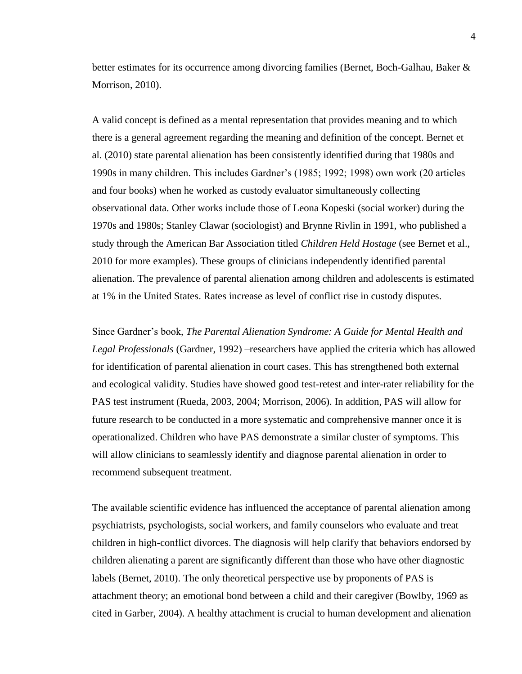better estimates for its occurrence among divorcing families (Bernet, Boch-Galhau, Baker & Morrison, 2010).

A valid concept is defined as a mental representation that provides meaning and to which there is a general agreement regarding the meaning and definition of the concept. Bernet et al. (2010) state parental alienation has been consistently identified during that 1980s and 1990s in many children. This includes Gardner's (1985; 1992; 1998) own work (20 articles and four books) when he worked as custody evaluator simultaneously collecting observational data. Other works include those of Leona Kopeski (social worker) during the 1970s and 1980s; Stanley Clawar (sociologist) and Brynne Rivlin in 1991, who published a study through the American Bar Association titled *Children Held Hostage* (see Bernet et al., 2010 for more examples). These groups of clinicians independently identified parental alienation. The prevalence of parental alienation among children and adolescents is estimated at 1% in the United States. Rates increase as level of conflict rise in custody disputes.

Since Gardner's book, *The Parental Alienation Syndrome: A Guide for Mental Health and*  Legal Professionals (Gardner, 1992) –researchers have applied the criteria which has allowed for identification of parental alienation in court cases. This has strengthened both external and ecological validity. Studies have showed good test-retest and inter-rater reliability for the PAS test instrument (Rueda, 2003, 2004; Morrison, 2006). In addition, PAS will allow for future research to be conducted in a more systematic and comprehensive manner once it is operationalized. Children who have PAS demonstrate a similar cluster of symptoms. This will allow clinicians to seamlessly identify and diagnose parental alienation in order to recommend subsequent treatment.

The available scientific evidence has influenced the acceptance of parental alienation among psychiatrists, psychologists, social workers, and family counselors who evaluate and treat children in high-conflict divorces. The diagnosis will help clarify that behaviors endorsed by children alienating a parent are significantly different than those who have other diagnostic labels (Bernet, 2010). The only theoretical perspective use by proponents of PAS is attachment theory; an emotional bond between a child and their caregiver (Bowlby, 1969 as cited in Garber, 2004). A healthy attachment is crucial to human development and alienation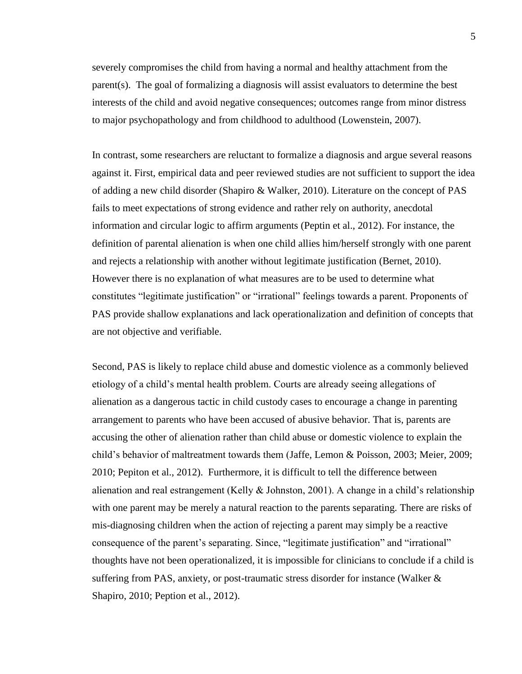severely compromises the child from having a normal and healthy attachment from the parent(s). The goal of formalizing a diagnosis will assist evaluators to determine the best interests of the child and avoid negative consequences; outcomes range from minor distress to major psychopathology and from childhood to adulthood (Lowenstein, 2007).

In contrast, some researchers are reluctant to formalize a diagnosis and argue several reasons against it. First, empirical data and peer reviewed studies are not sufficient to support the idea of adding a new child disorder (Shapiro & Walker, 2010). Literature on the concept of PAS fails to meet expectations of strong evidence and rather rely on authority, anecdotal information and circular logic to affirm arguments (Peptin et al., 2012). For instance, the definition of parental alienation is when one child allies him/herself strongly with one parent and rejects a relationship with another without legitimate justification (Bernet, 2010). However there is no explanation of what measures are to be used to determine what constitutes "legitimate justification" or "irrational" feelings towards a parent. Proponents of PAS provide shallow explanations and lack operationalization and definition of concepts that are not objective and verifiable.

Second, PAS is likely to replace child abuse and domestic violence as a commonly believed etiology of a child's mental health problem. Courts are already seeing allegations of alienation as a dangerous tactic in child custody cases to encourage a change in parenting arrangement to parents who have been accused of abusive behavior. That is, parents are accusing the other of alienation rather than child abuse or domestic violence to explain the child's behavior of maltreatment towards them (Jaffe, Lemon & Poisson, 2003; Meier, 2009; 2010; Pepiton et al., 2012). Furthermore, it is difficult to tell the difference between alienation and real estrangement (Kelly  $\&$  Johnston, 2001). A change in a child's relationship with one parent may be merely a natural reaction to the parents separating. There are risks of mis-diagnosing children when the action of rejecting a parent may simply be a reactive consequence of the parent's separating. Since, "legitimate justification" and "irrational" thoughts have not been operationalized, it is impossible for clinicians to conclude if a child is suffering from PAS, anxiety, or post-traumatic stress disorder for instance (Walker & Shapiro, 2010; Peption et al., 2012).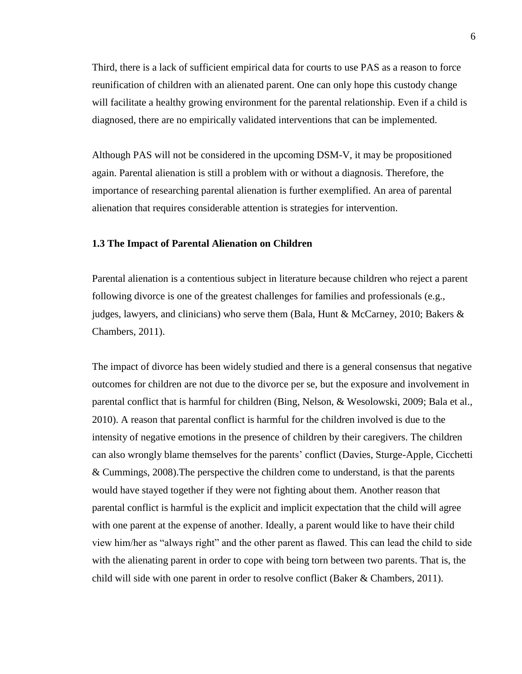Third, there is a lack of sufficient empirical data for courts to use PAS as a reason to force reunification of children with an alienated parent. One can only hope this custody change will facilitate a healthy growing environment for the parental relationship. Even if a child is diagnosed, there are no empirically validated interventions that can be implemented.

Although PAS will not be considered in the upcoming DSM-V, it may be propositioned again. Parental alienation is still a problem with or without a diagnosis. Therefore, the importance of researching parental alienation is further exemplified. An area of parental alienation that requires considerable attention is strategies for intervention.

# **1.3 The Impact of Parental Alienation on Children**

Parental alienation is a contentious subject in literature because children who reject a parent following divorce is one of the greatest challenges for families and professionals (e.g., judges, lawyers, and clinicians) who serve them (Bala, Hunt & McCarney, 2010; Bakers  $\&$ Chambers, 2011).

The impact of divorce has been widely studied and there is a general consensus that negative outcomes for children are not due to the divorce per se, but the exposure and involvement in parental conflict that is harmful for children (Bing, Nelson, & Wesolowski, 2009; Bala et al., 2010). A reason that parental conflict is harmful for the children involved is due to the intensity of negative emotions in the presence of children by their caregivers. The children can also wrongly blame themselves for the parents' conflict (Davies, Sturge-Apple, Cicchetti & Cummings, 2008).The perspective the children come to understand, is that the parents would have stayed together if they were not fighting about them. Another reason that parental conflict is harmful is the explicit and implicit expectation that the child will agree with one parent at the expense of another. Ideally, a parent would like to have their child view him/her as "always right" and the other parent as flawed. This can lead the child to side with the alienating parent in order to cope with being torn between two parents. That is, the child will side with one parent in order to resolve conflict (Baker & Chambers, 2011).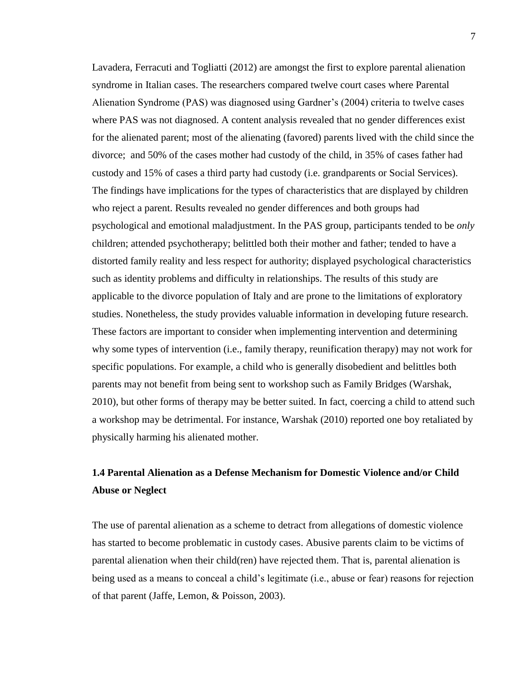Lavadera, Ferracuti and Togliatti (2012) are amongst the first to explore parental alienation syndrome in Italian cases. The researchers compared twelve court cases where Parental Alienation Syndrome (PAS) was diagnosed using Gardner's (2004) criteria to twelve cases where PAS was not diagnosed. A content analysis revealed that no gender differences exist for the alienated parent; most of the alienating (favored) parents lived with the child since the divorce; and 50% of the cases mother had custody of the child, in 35% of cases father had custody and 15% of cases a third party had custody (i.e. grandparents or Social Services). The findings have implications for the types of characteristics that are displayed by children who reject a parent. Results revealed no gender differences and both groups had psychological and emotional maladjustment. In the PAS group, participants tended to be *only*  children; attended psychotherapy; belittled both their mother and father; tended to have a distorted family reality and less respect for authority; displayed psychological characteristics such as identity problems and difficulty in relationships. The results of this study are applicable to the divorce population of Italy and are prone to the limitations of exploratory studies. Nonetheless, the study provides valuable information in developing future research. These factors are important to consider when implementing intervention and determining why some types of intervention (i.e., family therapy, reunification therapy) may not work for specific populations. For example, a child who is generally disobedient and belittles both parents may not benefit from being sent to workshop such as Family Bridges (Warshak, 2010), but other forms of therapy may be better suited. In fact, coercing a child to attend such a workshop may be detrimental. For instance, Warshak (2010) reported one boy retaliated by physically harming his alienated mother.

# **1.4 Parental Alienation as a Defense Mechanism for Domestic Violence and/or Child Abuse or Neglect**

The use of parental alienation as a scheme to detract from allegations of domestic violence has started to become problematic in custody cases. Abusive parents claim to be victims of parental alienation when their child(ren) have rejected them. That is, parental alienation is being used as a means to conceal a child's legitimate (i.e., abuse or fear) reasons for rejection of that parent (Jaffe, Lemon, & Poisson, 2003).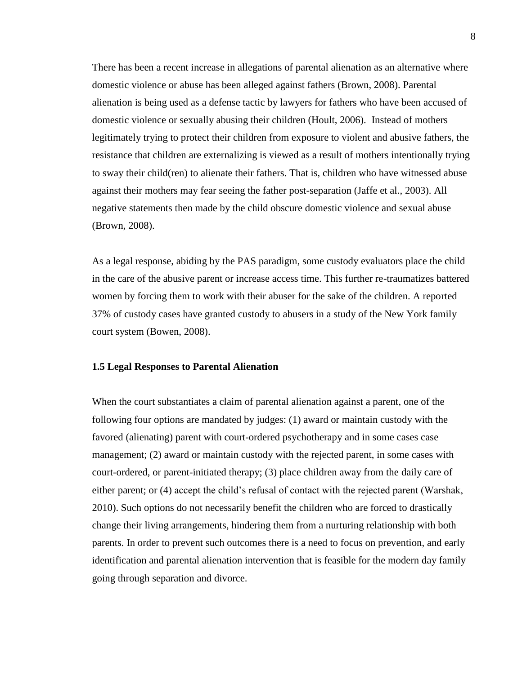There has been a recent increase in allegations of parental alienation as an alternative where domestic violence or abuse has been alleged against fathers (Brown, 2008). Parental alienation is being used as a defense tactic by lawyers for fathers who have been accused of domestic violence or sexually abusing their children (Hoult, 2006). Instead of mothers legitimately trying to protect their children from exposure to violent and abusive fathers, the resistance that children are externalizing is viewed as a result of mothers intentionally trying to sway their child(ren) to alienate their fathers. That is, children who have witnessed abuse against their mothers may fear seeing the father post-separation (Jaffe et al., 2003). All negative statements then made by the child obscure domestic violence and sexual abuse (Brown, 2008).

As a legal response, abiding by the PAS paradigm, some custody evaluators place the child in the care of the abusive parent or increase access time. This further re-traumatizes battered women by forcing them to work with their abuser for the sake of the children. A reported 37% of custody cases have granted custody to abusers in a study of the New York family court system (Bowen, 2008).

# **1.5 Legal Responses to Parental Alienation**

When the court substantiates a claim of parental alienation against a parent, one of the following four options are mandated by judges: (1) award or maintain custody with the favored (alienating) parent with court-ordered psychotherapy and in some cases case management; (2) award or maintain custody with the rejected parent, in some cases with court-ordered, or parent-initiated therapy; (3) place children away from the daily care of either parent; or (4) accept the child's refusal of contact with the rejected parent (Warshak, 2010). Such options do not necessarily benefit the children who are forced to drastically change their living arrangements, hindering them from a nurturing relationship with both parents. In order to prevent such outcomes there is a need to focus on prevention, and early identification and parental alienation intervention that is feasible for the modern day family going through separation and divorce.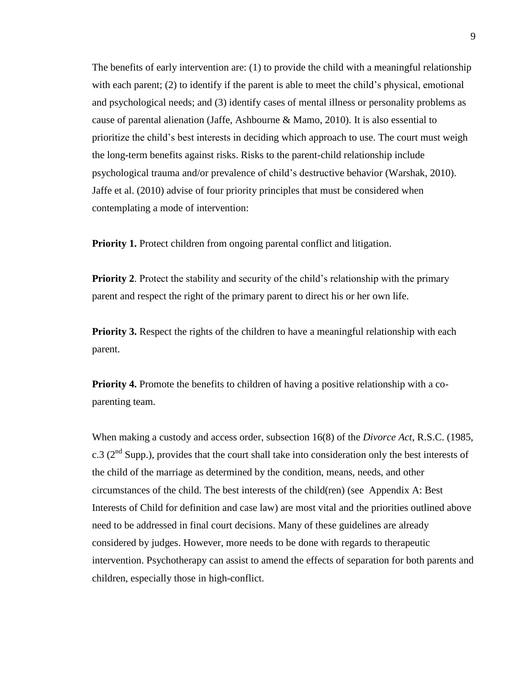The benefits of early intervention are: (1) to provide the child with a meaningful relationship with each parent; (2) to identify if the parent is able to meet the child's physical, emotional and psychological needs; and (3) identify cases of mental illness or personality problems as cause of parental alienation (Jaffe, Ashbourne & Mamo, 2010). It is also essential to prioritize the child's best interests in deciding which approach to use. The court must weigh the long-term benefits against risks. Risks to the parent-child relationship include psychological trauma and/or prevalence of child's destructive behavior (Warshak, 2010). Jaffe et al. (2010) advise of four priority principles that must be considered when contemplating a mode of intervention:

**Priority 1.** Protect children from ongoing parental conflict and litigation.

**Priority 2.** Protect the stability and security of the child's relationship with the primary parent and respect the right of the primary parent to direct his or her own life.

**Priority 3.** Respect the rights of the children to have a meaningful relationship with each parent.

**Priority 4.** Promote the benefits to children of having a positive relationship with a coparenting team.

When making a custody and access order, subsection 16(8) of the *Divorce Act*, R.S.C. (1985, c.3 ( $2<sup>nd</sup>$  Supp.), provides that the court shall take into consideration only the best interests of the child of the marriage as determined by the condition, means, needs, and other circumstances of the child. The best interests of the child(ren) (see Appendix A: Best Interests of Child for definition and case law) are most vital and the priorities outlined above need to be addressed in final court decisions. Many of these guidelines are already considered by judges. However, more needs to be done with regards to therapeutic intervention. Psychotherapy can assist to amend the effects of separation for both parents and children, especially those in high-conflict.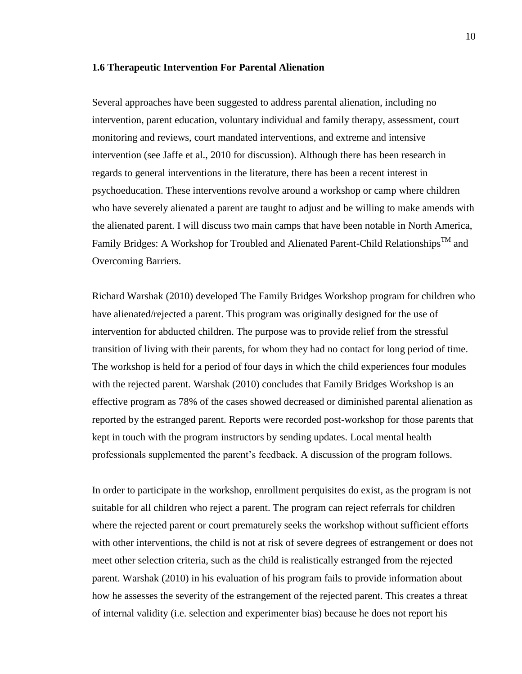#### **1.6 Therapeutic Intervention For Parental Alienation**

Several approaches have been suggested to address parental alienation, including no intervention, parent education, voluntary individual and family therapy, assessment, court monitoring and reviews, court mandated interventions, and extreme and intensive intervention (see Jaffe et al., 2010 for discussion). Although there has been research in regards to general interventions in the literature, there has been a recent interest in psychoeducation. These interventions revolve around a workshop or camp where children who have severely alienated a parent are taught to adjust and be willing to make amends with the alienated parent. I will discuss two main camps that have been notable in North America, Family Bridges: A Workshop for Troubled and Alienated Parent-Child Relationships™ and Overcoming Barriers.

Richard Warshak (2010) developed The Family Bridges Workshop program for children who have alienated/rejected a parent. This program was originally designed for the use of intervention for abducted children. The purpose was to provide relief from the stressful transition of living with their parents, for whom they had no contact for long period of time. The workshop is held for a period of four days in which the child experiences four modules with the rejected parent. Warshak (2010) concludes that Family Bridges Workshop is an effective program as 78% of the cases showed decreased or diminished parental alienation as reported by the estranged parent. Reports were recorded post-workshop for those parents that kept in touch with the program instructors by sending updates. Local mental health professionals supplemented the parent's feedback. A discussion of the program follows.

In order to participate in the workshop, enrollment perquisites do exist, as the program is not suitable for all children who reject a parent. The program can reject referrals for children where the rejected parent or court prematurely seeks the workshop without sufficient efforts with other interventions, the child is not at risk of severe degrees of estrangement or does not meet other selection criteria, such as the child is realistically estranged from the rejected parent. Warshak (2010) in his evaluation of his program fails to provide information about how he assesses the severity of the estrangement of the rejected parent. This creates a threat of internal validity (i.e. selection and experimenter bias) because he does not report his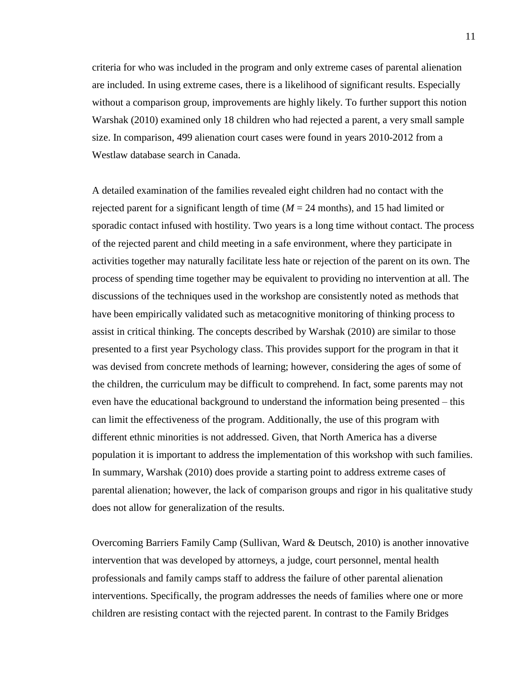criteria for who was included in the program and only extreme cases of parental alienation are included. In using extreme cases, there is a likelihood of significant results. Especially without a comparison group, improvements are highly likely. To further support this notion Warshak (2010) examined only 18 children who had rejected a parent, a very small sample size. In comparison, 499 alienation court cases were found in years 2010-2012 from a Westlaw database search in Canada.

A detailed examination of the families revealed eight children had no contact with the rejected parent for a significant length of time  $(M = 24 \text{ months})$ , and 15 had limited or sporadic contact infused with hostility. Two years is a long time without contact. The process of the rejected parent and child meeting in a safe environment, where they participate in activities together may naturally facilitate less hate or rejection of the parent on its own. The process of spending time together may be equivalent to providing no intervention at all. The discussions of the techniques used in the workshop are consistently noted as methods that have been empirically validated such as metacognitive monitoring of thinking process to assist in critical thinking. The concepts described by Warshak (2010) are similar to those presented to a first year Psychology class. This provides support for the program in that it was devised from concrete methods of learning; however, considering the ages of some of the children, the curriculum may be difficult to comprehend. In fact, some parents may not even have the educational background to understand the information being presented – this can limit the effectiveness of the program. Additionally, the use of this program with different ethnic minorities is not addressed. Given, that North America has a diverse population it is important to address the implementation of this workshop with such families. In summary, Warshak (2010) does provide a starting point to address extreme cases of parental alienation; however, the lack of comparison groups and rigor in his qualitative study does not allow for generalization of the results.

Overcoming Barriers Family Camp (Sullivan, Ward & Deutsch, 2010) is another innovative intervention that was developed by attorneys, a judge, court personnel, mental health professionals and family camps staff to address the failure of other parental alienation interventions. Specifically, the program addresses the needs of families where one or more children are resisting contact with the rejected parent. In contrast to the Family Bridges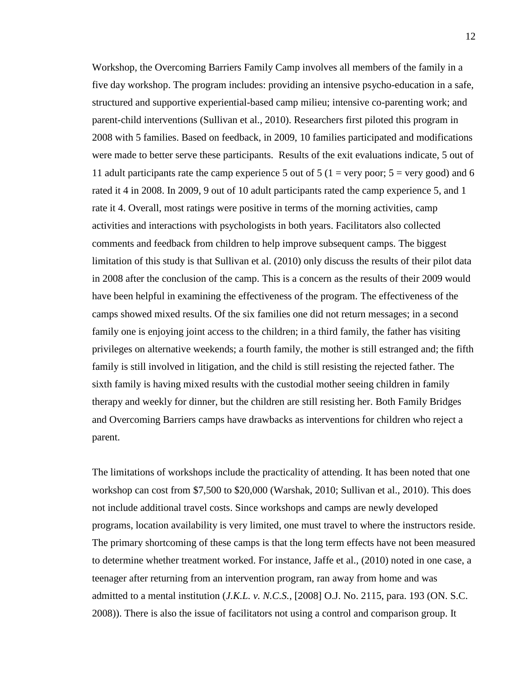Workshop, the Overcoming Barriers Family Camp involves all members of the family in a five day workshop. The program includes: providing an intensive psycho-education in a safe, structured and supportive experiential-based camp milieu; intensive co-parenting work; and parent-child interventions (Sullivan et al., 2010). Researchers first piloted this program in 2008 with 5 families. Based on feedback, in 2009, 10 families participated and modifications were made to better serve these participants. Results of the exit evaluations indicate, 5 out of 11 adult participants rate the camp experience 5 out of 5 (1 = very poor;  $5 = \text{very good}$ ) and 6 rated it 4 in 2008. In 2009, 9 out of 10 adult participants rated the camp experience 5, and 1 rate it 4. Overall, most ratings were positive in terms of the morning activities, camp activities and interactions with psychologists in both years. Facilitators also collected comments and feedback from children to help improve subsequent camps. The biggest limitation of this study is that Sullivan et al. (2010) only discuss the results of their pilot data in 2008 after the conclusion of the camp. This is a concern as the results of their 2009 would have been helpful in examining the effectiveness of the program. The effectiveness of the camps showed mixed results. Of the six families one did not return messages; in a second family one is enjoying joint access to the children; in a third family, the father has visiting privileges on alternative weekends; a fourth family, the mother is still estranged and; the fifth family is still involved in litigation, and the child is still resisting the rejected father. The sixth family is having mixed results with the custodial mother seeing children in family therapy and weekly for dinner, but the children are still resisting her. Both Family Bridges and Overcoming Barriers camps have drawbacks as interventions for children who reject a parent.

The limitations of workshops include the practicality of attending. It has been noted that one workshop can cost from \$7,500 to \$20,000 (Warshak, 2010; Sullivan et al., 2010). This does not include additional travel costs. Since workshops and camps are newly developed programs, location availability is very limited, one must travel to where the instructors reside. The primary shortcoming of these camps is that the long term effects have not been measured to determine whether treatment worked. For instance, Jaffe et al., (2010) noted in one case, a teenager after returning from an intervention program, ran away from home and was admitted to a mental institution (*J.K.L. v. N.C.S.*, [2008] O.J. No. 2115, para. 193 (ON. S.C. 2008)). There is also the issue of facilitators not using a control and comparison group. It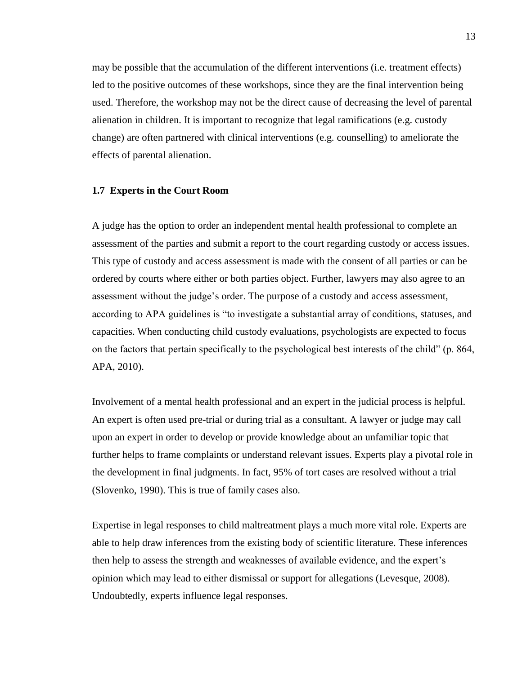may be possible that the accumulation of the different interventions (i.e. treatment effects) led to the positive outcomes of these workshops, since they are the final intervention being used. Therefore, the workshop may not be the direct cause of decreasing the level of parental alienation in children. It is important to recognize that legal ramifications (e.g. custody change) are often partnered with clinical interventions (e.g. counselling) to ameliorate the effects of parental alienation.

#### **1.7 Experts in the Court Room**

A judge has the option to order an independent mental health professional to complete an assessment of the parties and submit a report to the court regarding custody or access issues. This type of custody and access assessment is made with the consent of all parties or can be ordered by courts where either or both parties object. Further, lawyers may also agree to an assessment without the judge's order. The purpose of a custody and access assessment, according to APA guidelines is "to investigate a substantial array of conditions, statuses, and capacities. When conducting child custody evaluations, psychologists are expected to focus on the factors that pertain specifically to the psychological best interests of the child" (p. 864, APA, 2010).

Involvement of a mental health professional and an expert in the judicial process is helpful. An expert is often used pre-trial or during trial as a consultant. A lawyer or judge may call upon an expert in order to develop or provide knowledge about an unfamiliar topic that further helps to frame complaints or understand relevant issues. Experts play a pivotal role in the development in final judgments. In fact, 95% of tort cases are resolved without a trial (Slovenko, 1990). This is true of family cases also.

Expertise in legal responses to child maltreatment plays a much more vital role. Experts are able to help draw inferences from the existing body of scientific literature. These inferences then help to assess the strength and weaknesses of available evidence, and the expert's opinion which may lead to either dismissal or support for allegations (Levesque, 2008). Undoubtedly, experts influence legal responses.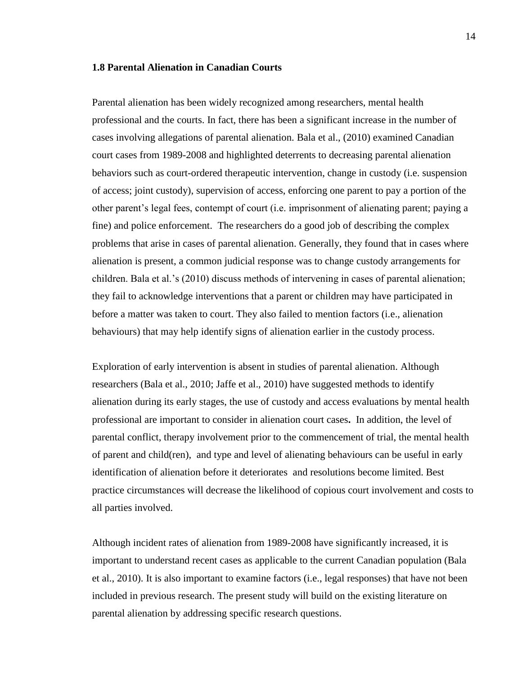### **1.8 Parental Alienation in Canadian Courts**

Parental alienation has been widely recognized among researchers, mental health professional and the courts. In fact, there has been a significant increase in the number of cases involving allegations of parental alienation. Bala et al., (2010) examined Canadian court cases from 1989-2008 and highlighted deterrents to decreasing parental alienation behaviors such as court-ordered therapeutic intervention, change in custody (i.e. suspension of access; joint custody), supervision of access, enforcing one parent to pay a portion of the other parent's legal fees, contempt of court (i.e. imprisonment of alienating parent; paying a fine) and police enforcement. The researchers do a good job of describing the complex problems that arise in cases of parental alienation. Generally, they found that in cases where alienation is present, a common judicial response was to change custody arrangements for children. Bala et al.'s (2010) discuss methods of intervening in cases of parental alienation; they fail to acknowledge interventions that a parent or children may have participated in before a matter was taken to court. They also failed to mention factors (i.e., alienation behaviours) that may help identify signs of alienation earlier in the custody process.

Exploration of early intervention is absent in studies of parental alienation. Although researchers (Bala et al., 2010; Jaffe et al., 2010) have suggested methods to identify alienation during its early stages, the use of custody and access evaluations by mental health professional are important to consider in alienation court cases**.** In addition, the level of parental conflict, therapy involvement prior to the commencement of trial, the mental health of parent and child(ren), and type and level of alienating behaviours can be useful in early identification of alienation before it deteriorates and resolutions become limited. Best practice circumstances will decrease the likelihood of copious court involvement and costs to all parties involved.

Although incident rates of alienation from 1989-2008 have significantly increased, it is important to understand recent cases as applicable to the current Canadian population (Bala et al., 2010). It is also important to examine factors (i.e., legal responses) that have not been included in previous research. The present study will build on the existing literature on parental alienation by addressing specific research questions.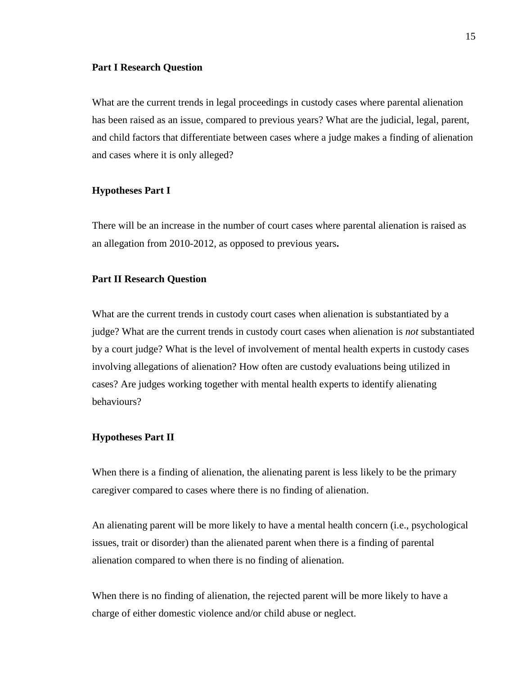#### **Part I Research Question**

What are the current trends in legal proceedings in custody cases where parental alienation has been raised as an issue, compared to previous years? What are the judicial, legal, parent, and child factors that differentiate between cases where a judge makes a finding of alienation and cases where it is only alleged?

#### **Hypotheses Part I**

There will be an increase in the number of court cases where parental alienation is raised as an allegation from 2010-2012, as opposed to previous years**.** 

### **Part II Research Question**

What are the current trends in custody court cases when alienation is substantiated by a judge? What are the current trends in custody court cases when alienation is *not* substantiated by a court judge? What is the level of involvement of mental health experts in custody cases involving allegations of alienation? How often are custody evaluations being utilized in cases? Are judges working together with mental health experts to identify alienating behaviours?

# **Hypotheses Part II**

When there is a finding of alienation, the alienating parent is less likely to be the primary caregiver compared to cases where there is no finding of alienation.

An alienating parent will be more likely to have a mental health concern (i.e., psychological issues, trait or disorder) than the alienated parent when there is a finding of parental alienation compared to when there is no finding of alienation.

When there is no finding of alienation, the rejected parent will be more likely to have a charge of either domestic violence and/or child abuse or neglect.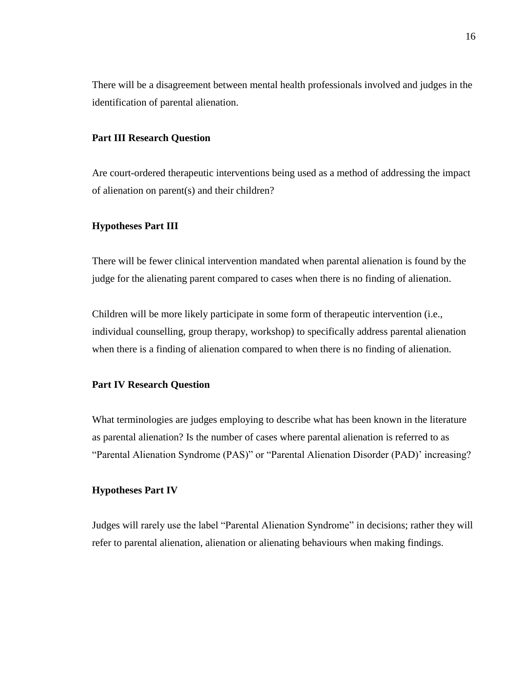There will be a disagreement between mental health professionals involved and judges in the identification of parental alienation.

# **Part III Research Question**

Are court-ordered therapeutic interventions being used as a method of addressing the impact of alienation on parent(s) and their children?

## **Hypotheses Part III**

There will be fewer clinical intervention mandated when parental alienation is found by the judge for the alienating parent compared to cases when there is no finding of alienation.

Children will be more likely participate in some form of therapeutic intervention (i.e., individual counselling, group therapy, workshop) to specifically address parental alienation when there is a finding of alienation compared to when there is no finding of alienation.

# **Part IV Research Question**

What terminologies are judges employing to describe what has been known in the literature as parental alienation? Is the number of cases where parental alienation is referred to as "Parental Alienation Syndrome (PAS)" or "Parental Alienation Disorder (PAD)' increasing?

### **Hypotheses Part IV**

Judges will rarely use the label "Parental Alienation Syndrome" in decisions; rather they will refer to parental alienation, alienation or alienating behaviours when making findings.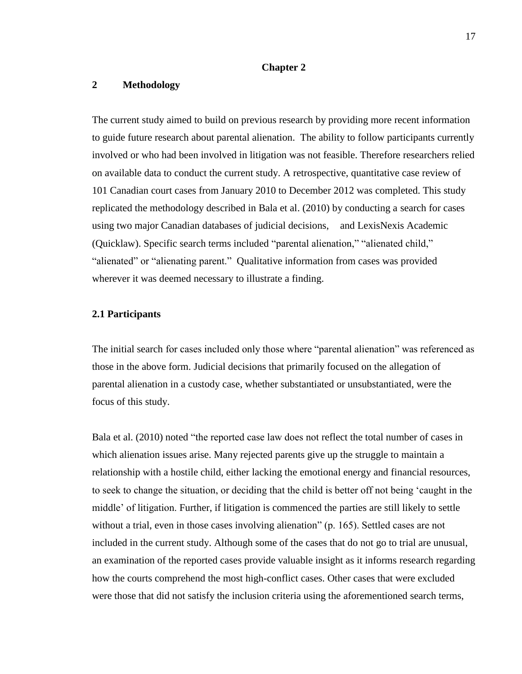### **Chapter 2**

# **2 Methodology**

The current study aimed to build on previous research by providing more recent information to guide future research about parental alienation. The ability to follow participants currently involved or who had been involved in litigation was not feasible. Therefore researchers relied on available data to conduct the current study. A retrospective, quantitative case review of 101 Canadian court cases from January 2010 to December 2012 was completed. This study replicated the methodology described in Bala et al. (2010) by conducting a search for cases using two major Canadian databases of judicial decisions, and LexisNexis Academic (Quicklaw). Specific search terms included "parental alienation," "alienated child," "alienated" or "alienating parent." Qualitative information from cases was provided wherever it was deemed necessary to illustrate a finding.

# **2.1 Participants**

The initial search for cases included only those where "parental alienation" was referenced as those in the above form. Judicial decisions that primarily focused on the allegation of parental alienation in a custody case, whether substantiated or unsubstantiated, were the focus of this study.

Bala et al. (2010) noted "the reported case law does not reflect the total number of cases in which alienation issues arise. Many rejected parents give up the struggle to maintain a relationship with a hostile child, either lacking the emotional energy and financial resources, to seek to change the situation, or deciding that the child is better off not being 'caught in the middle' of litigation. Further, if litigation is commenced the parties are still likely to settle without a trial, even in those cases involving alienation" (p. 165). Settled cases are not included in the current study. Although some of the cases that do not go to trial are unusual, an examination of the reported cases provide valuable insight as it informs research regarding how the courts comprehend the most high-conflict cases. Other cases that were excluded were those that did not satisfy the inclusion criteria using the aforementioned search terms,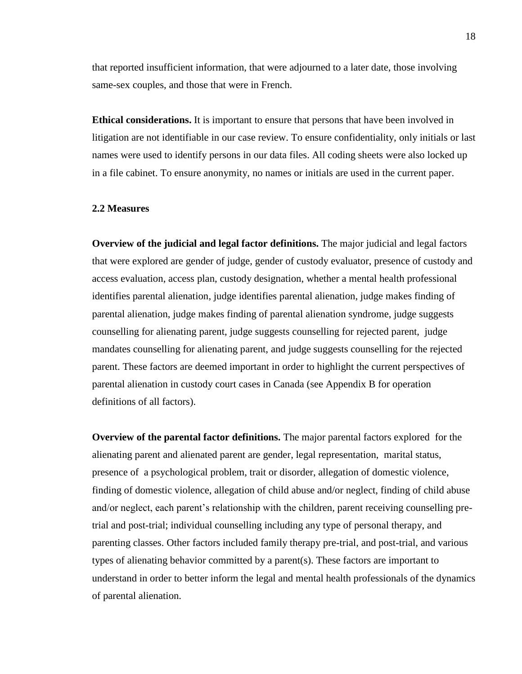that reported insufficient information, that were adjourned to a later date, those involving same-sex couples, and those that were in French.

**Ethical considerations.** It is important to ensure that persons that have been involved in litigation are not identifiable in our case review. To ensure confidentiality, only initials or last names were used to identify persons in our data files. All coding sheets were also locked up in a file cabinet. To ensure anonymity, no names or initials are used in the current paper.

# **2.2 Measures**

**Overview of the judicial and legal factor definitions.** The major judicial and legal factors that were explored are gender of judge, gender of custody evaluator, presence of custody and access evaluation, access plan, custody designation, whether a mental health professional identifies parental alienation, judge identifies parental alienation, judge makes finding of parental alienation, judge makes finding of parental alienation syndrome, judge suggests counselling for alienating parent, judge suggests counselling for rejected parent, judge mandates counselling for alienating parent, and judge suggests counselling for the rejected parent. These factors are deemed important in order to highlight the current perspectives of parental alienation in custody court cases in Canada (see Appendix B for operation definitions of all factors).

**Overview of the parental factor definitions.** The major parental factors explored for the alienating parent and alienated parent are gender, legal representation, marital status, presence of a psychological problem, trait or disorder, allegation of domestic violence, finding of domestic violence, allegation of child abuse and/or neglect, finding of child abuse and/or neglect, each parent's relationship with the children, parent receiving counselling pretrial and post-trial; individual counselling including any type of personal therapy, and parenting classes. Other factors included family therapy pre-trial, and post-trial, and various types of alienating behavior committed by a parent(s). These factors are important to understand in order to better inform the legal and mental health professionals of the dynamics of parental alienation.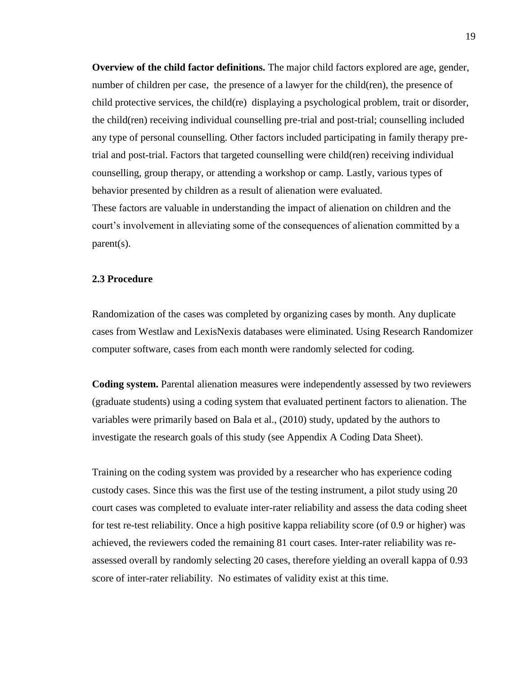**Overview of the child factor definitions.** The major child factors explored are age, gender, number of children per case, the presence of a lawyer for the child(ren), the presence of child protective services, the child(re) displaying a psychological problem, trait or disorder, the child(ren) receiving individual counselling pre-trial and post-trial; counselling included any type of personal counselling. Other factors included participating in family therapy pretrial and post-trial. Factors that targeted counselling were child(ren) receiving individual counselling, group therapy, or attending a workshop or camp. Lastly, various types of behavior presented by children as a result of alienation were evaluated. These factors are valuable in understanding the impact of alienation on children and the court's involvement in alleviating some of the consequences of alienation committed by a parent(s).

### **2.3 Procedure**

Randomization of the cases was completed by organizing cases by month. Any duplicate cases from Westlaw and LexisNexis databases were eliminated. Using Research Randomizer computer software, cases from each month were randomly selected for coding.

**Coding system.** Parental alienation measures were independently assessed by two reviewers (graduate students) using a coding system that evaluated pertinent factors to alienation. The variables were primarily based on Bala et al., (2010) study, updated by the authors to investigate the research goals of this study (see Appendix A Coding Data Sheet).

Training on the coding system was provided by a researcher who has experience coding custody cases. Since this was the first use of the testing instrument, a pilot study using 20 court cases was completed to evaluate inter-rater reliability and assess the data coding sheet for test re-test reliability. Once a high positive kappa reliability score (of 0.9 or higher) was achieved, the reviewers coded the remaining 81 court cases. Inter-rater reliability was reassessed overall by randomly selecting 20 cases, therefore yielding an overall kappa of 0.93 score of inter-rater reliability. No estimates of validity exist at this time.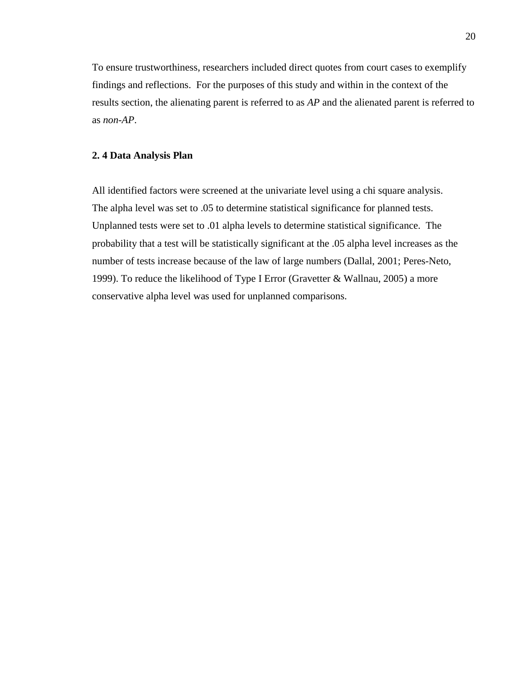To ensure trustworthiness, researchers included direct quotes from court cases to exemplify findings and reflections. For the purposes of this study and within in the context of the results section, the alienating parent is referred to as *AP* and the alienated parent is referred to as *non-AP*.

### **2. 4 Data Analysis Plan**

All identified factors were screened at the univariate level using a chi square analysis. The alpha level was set to .05 to determine statistical significance for planned tests. Unplanned tests were set to .01 alpha levels to determine statistical significance. The probability that a test will be statistically significant at the .05 alpha level increases as the number of tests increase because of the law of large numbers (Dallal, 2001; Peres-Neto, 1999). To reduce the likelihood of Type I Error (Gravetter & Wallnau, 2005) a more conservative alpha level was used for unplanned comparisons.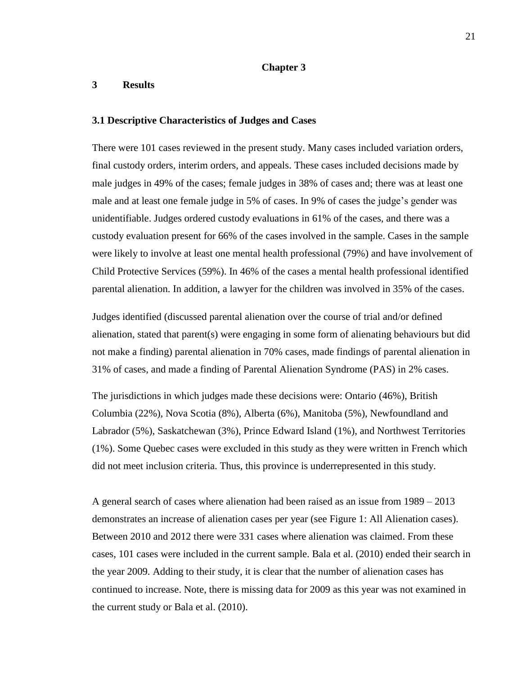### **Chapter 3**

# **3 Results**

#### **3.1 Descriptive Characteristics of Judges and Cases**

There were 101 cases reviewed in the present study. Many cases included variation orders, final custody orders, interim orders, and appeals. These cases included decisions made by male judges in 49% of the cases; female judges in 38% of cases and; there was at least one male and at least one female judge in 5% of cases. In 9% of cases the judge's gender was unidentifiable. Judges ordered custody evaluations in 61% of the cases, and there was a custody evaluation present for 66% of the cases involved in the sample. Cases in the sample were likely to involve at least one mental health professional (79%) and have involvement of Child Protective Services (59%). In 46% of the cases a mental health professional identified parental alienation. In addition, a lawyer for the children was involved in 35% of the cases.

Judges identified (discussed parental alienation over the course of trial and/or defined alienation, stated that parent(s) were engaging in some form of alienating behaviours but did not make a finding) parental alienation in 70% cases, made findings of parental alienation in 31% of cases, and made a finding of Parental Alienation Syndrome (PAS) in 2% cases.

The jurisdictions in which judges made these decisions were: Ontario (46%), British Columbia (22%), Nova Scotia (8%), Alberta (6%), Manitoba (5%), Newfoundland and Labrador (5%), Saskatchewan (3%), Prince Edward Island (1%), and Northwest Territories (1%). Some Quebec cases were excluded in this study as they were written in French which did not meet inclusion criteria. Thus, this province is underrepresented in this study.

A general search of cases where alienation had been raised as an issue from 1989 – 2013 demonstrates an increase of alienation cases per year (see Figure 1: All Alienation cases). Between 2010 and 2012 there were 331 cases where alienation was claimed. From these cases, 101 cases were included in the current sample. Bala et al. (2010) ended their search in the year 2009. Adding to their study, it is clear that the number of alienation cases has continued to increase. Note, there is missing data for 2009 as this year was not examined in the current study or Bala et al. (2010).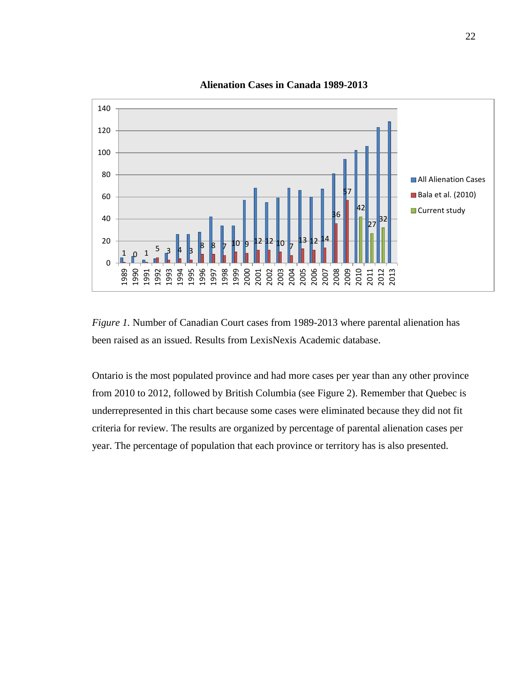

**Alienation Cases in Canada 1989-2013** 

*Figure 1.* Number of Canadian Court cases from 1989-2013 where parental alienation has been raised as an issued. Results from LexisNexis Academic database.

Ontario is the most populated province and had more cases per year than any other province from 2010 to 2012, followed by British Columbia (see Figure 2). Remember that Quebec is underrepresented in this chart because some cases were eliminated because they did not fit criteria for review. The results are organized by percentage of parental alienation cases per year. The percentage of population that each province or territory has is also presented.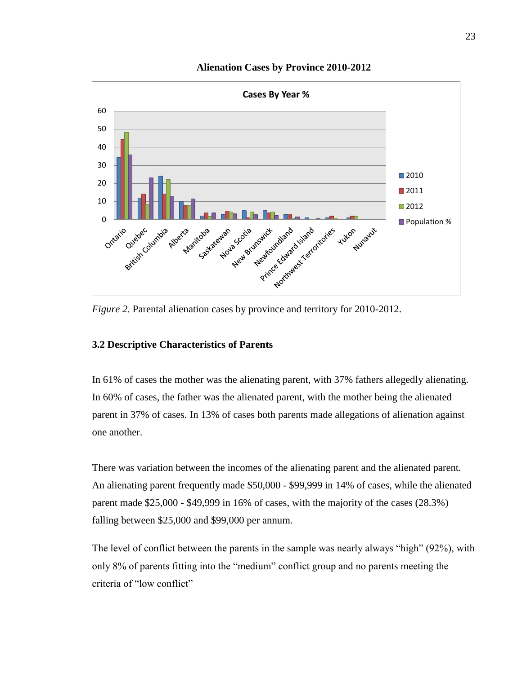

# **Alienation Cases by Province 2010-2012**

*Figure 2.* Parental alienation cases by province and territory for 2010-2012.

# **3.2 Descriptive Characteristics of Parents**

In 61% of cases the mother was the alienating parent, with 37% fathers allegedly alienating. In 60% of cases, the father was the alienated parent, with the mother being the alienated parent in 37% of cases. In 13% of cases both parents made allegations of alienation against one another.

There was variation between the incomes of the alienating parent and the alienated parent. An alienating parent frequently made \$50,000 - \$99,999 in 14% of cases, while the alienated parent made \$25,000 - \$49,999 in 16% of cases, with the majority of the cases (28.3%) falling between \$25,000 and \$99,000 per annum.

The level of conflict between the parents in the sample was nearly always "high" (92%), with only 8% of parents fitting into the "medium" conflict group and no parents meeting the criteria of "low conflict"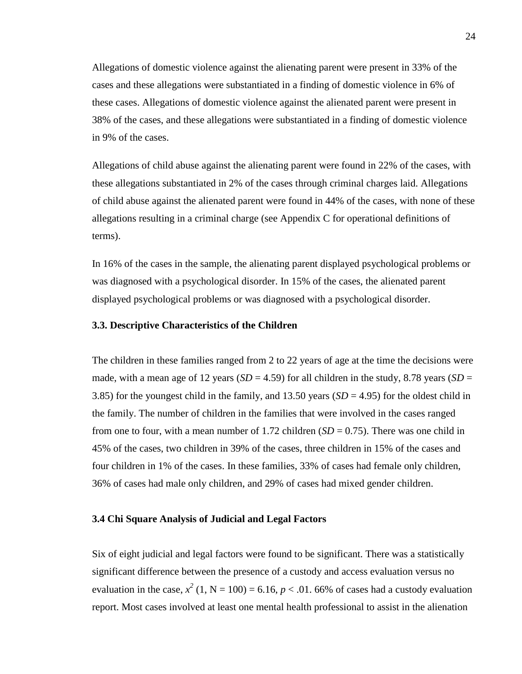Allegations of domestic violence against the alienating parent were present in 33% of the cases and these allegations were substantiated in a finding of domestic violence in 6% of these cases. Allegations of domestic violence against the alienated parent were present in 38% of the cases, and these allegations were substantiated in a finding of domestic violence in 9% of the cases.

Allegations of child abuse against the alienating parent were found in 22% of the cases, with these allegations substantiated in 2% of the cases through criminal charges laid. Allegations of child abuse against the alienated parent were found in 44% of the cases, with none of these allegations resulting in a criminal charge (see Appendix C for operational definitions of terms).

In 16% of the cases in the sample, the alienating parent displayed psychological problems or was diagnosed with a psychological disorder. In 15% of the cases, the alienated parent displayed psychological problems or was diagnosed with a psychological disorder.

#### **3.3. Descriptive Characteristics of the Children**

The children in these families ranged from 2 to 22 years of age at the time the decisions were made, with a mean age of 12 years ( $SD = 4.59$ ) for all children in the study, 8.78 years ( $SD = 12$ 3.85) for the youngest child in the family, and 13.50 years  $(SD = 4.95)$  for the oldest child in the family. The number of children in the families that were involved in the cases ranged from one to four, with a mean number of 1.72 children  $(SD = 0.75)$ . There was one child in 45% of the cases, two children in 39% of the cases, three children in 15% of the cases and four children in 1% of the cases. In these families, 33% of cases had female only children, 36% of cases had male only children, and 29% of cases had mixed gender children.

### **3.4 Chi Square Analysis of Judicial and Legal Factors**

Six of eight judicial and legal factors were found to be significant. There was a statistically significant difference between the presence of a custody and access evaluation versus no evaluation in the case,  $x^2$  (1, N = 100) = 6.16,  $p < .01$ . 66% of cases had a custody evaluation report. Most cases involved at least one mental health professional to assist in the alienation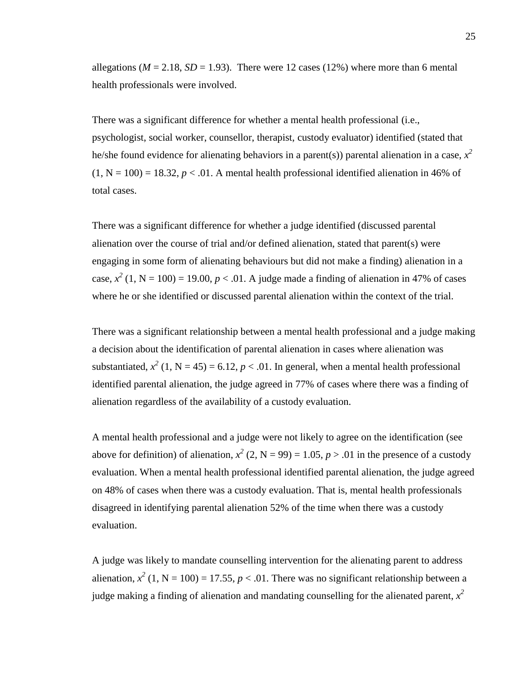allegations ( $M = 2.18$ ,  $SD = 1.93$ ). There were 12 cases (12%) where more than 6 mental health professionals were involved.

There was a significant difference for whether a mental health professional (i.e., psychologist, social worker, counsellor, therapist, custody evaluator) identified (stated that he/she found evidence for alienating behaviors in a parent(s)) parental alienation in a case,  $x^2$  $(1, N = 100) = 18.32, p < .01$ . A mental health professional identified alienation in 46% of total cases.

There was a significant difference for whether a judge identified (discussed parental alienation over the course of trial and/or defined alienation, stated that parent(s) were engaging in some form of alienating behaviours but did not make a finding) alienation in a case,  $x^2$  (1, N = 100) = 19.00,  $p < 0.01$ . A judge made a finding of alienation in 47% of cases where he or she identified or discussed parental alienation within the context of the trial.

There was a significant relationship between a mental health professional and a judge making a decision about the identification of parental alienation in cases where alienation was substantiated,  $x^2$  (1, N = 45) = 6.12,  $p < .01$ . In general, when a mental health professional identified parental alienation, the judge agreed in 77% of cases where there was a finding of alienation regardless of the availability of a custody evaluation.

A mental health professional and a judge were not likely to agree on the identification (see above for definition) of alienation,  $x^2$  (2, N = 99) = 1.05,  $p > .01$  in the presence of a custody evaluation. When a mental health professional identified parental alienation, the judge agreed on 48% of cases when there was a custody evaluation. That is, mental health professionals disagreed in identifying parental alienation 52% of the time when there was a custody evaluation.

A judge was likely to mandate counselling intervention for the alienating parent to address alienation,  $x^2$  (1, N = 100) = 17.55,  $p < .01$ . There was no significant relationship between a judge making a finding of alienation and mandating counselling for the alienated parent,  $x^2$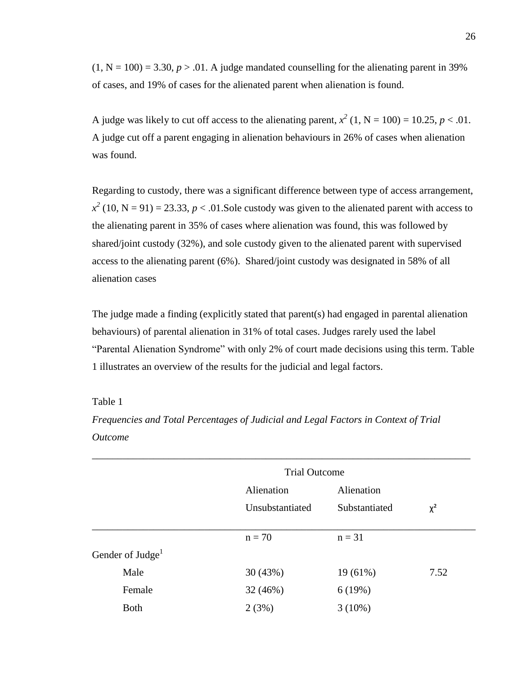$(1, N = 100) = 3.30, p > .01$ . A judge mandated counselling for the alienating parent in 39% of cases, and 19% of cases for the alienated parent when alienation is found.

A judge was likely to cut off access to the alienating parent,  $x^2$  (1, N = 100) = 10.25, p < .01. A judge cut off a parent engaging in alienation behaviours in 26% of cases when alienation was found.

Regarding to custody, there was a significant difference between type of access arrangement,  $x^2$  (10, N = 91) = 23.33, *p* < .01.Sole custody was given to the alienated parent with access to the alienating parent in 35% of cases where alienation was found, this was followed by shared/joint custody (32%), and sole custody given to the alienated parent with supervised access to the alienating parent (6%). Shared/joint custody was designated in 58% of all alienation cases

The judge made a finding (explicitly stated that parent(s) had engaged in parental alienation behaviours) of parental alienation in 31% of total cases. Judges rarely used the label "Parental Alienation Syndrome" with only 2% of court made decisions using this term. Table 1 illustrates an overview of the results for the judicial and legal factors.

### Table 1

*Frequencies and Total Percentages of Judicial and Legal Factors in Context of Trial Outcome*

|                              | <b>Trial Outcome</b> |               |          |
|------------------------------|----------------------|---------------|----------|
|                              | Alienation           | Alienation    |          |
|                              | Unsubstantiated      | Substantiated | $\chi^2$ |
|                              |                      |               |          |
|                              | $n = 70$             | $n = 31$      |          |
| Gender of Judge <sup>1</sup> |                      |               |          |
| Male                         | 30(43%)              | 19 (61%)      | 7.52     |
| Female                       | 32 (46%)             | 6(19%)        |          |
| <b>Both</b>                  | 2(3%)                | $3(10\%)$     |          |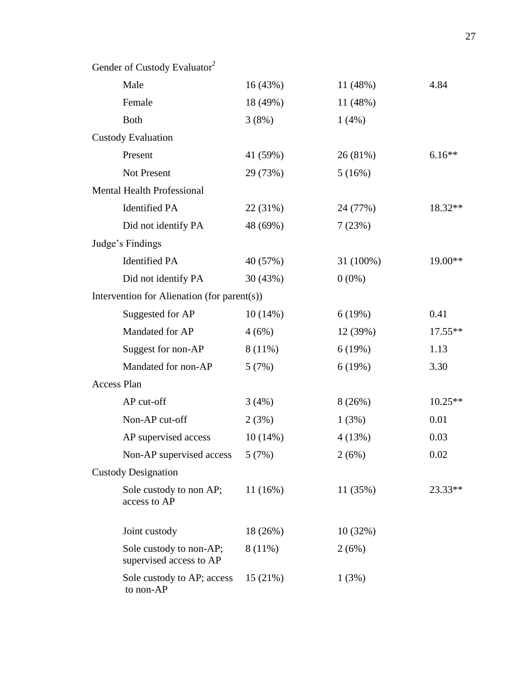| Gender of Custody Evaluator <sup>2</sup>           |            |           |           |
|----------------------------------------------------|------------|-----------|-----------|
| Male                                               | 16(43%)    | 11(48%)   | 4.84      |
| Female                                             | 18 (49%)   | 11 (48%)  |           |
| <b>Both</b>                                        | 3(8%)      | 1(4%)     |           |
| <b>Custody Evaluation</b>                          |            |           |           |
| Present                                            | 41 (59%)   | 26 (81%)  | $6.16**$  |
| <b>Not Present</b>                                 | 29 (73%)   | 5(16%)    |           |
| <b>Mental Health Professional</b>                  |            |           |           |
| <b>Identified PA</b>                               | 22 (31%)   | 24 (77%)  | 18.32**   |
| Did not identify PA                                | 48 (69%)   | 7(23%)    |           |
| Judge's Findings                                   |            |           |           |
| <b>Identified PA</b>                               | 40 (57%)   | 31 (100%) | 19.00**   |
| Did not identify PA                                | 30 (43%)   | $0(0\%)$  |           |
| Intervention for Alienation (for parent(s))        |            |           |           |
| Suggested for AP                                   | 10(14%)    | 6(19%)    | 0.41      |
| Mandated for AP                                    | 4(6%)      | 12(39%)   | $17.55**$ |
| Suggest for non-AP                                 | 8 (11%)    | 6(19%)    | 1.13      |
| Mandated for non-AP                                | 5(7%)      | 6(19%)    | 3.30      |
| <b>Access Plan</b>                                 |            |           |           |
| AP cut-off                                         | 3(4%)      | 8(26%)    | 10.25**   |
| Non-AP cut-off                                     | 2(3%)      | 1(3%)     | 0.01      |
| AP supervised access                               | $10(14\%)$ | 4(13%)    | 0.03      |
| Non-AP supervised access                           | 5(7%)      | 2(6%)     | 0.02      |
| <b>Custody Designation</b>                         |            |           |           |
| Sole custody to non AP;<br>access to AP            | 11(16%)    | 11 (35%)  | 23.33**   |
| Joint custody                                      | 18 (26%)   | 10(32%)   |           |
| Sole custody to non-AP;<br>supervised access to AP | $8(11\%)$  | 2(6%)     |           |
| Sole custody to AP; access<br>to non-AP            | 15(21%)    | 1(3%)     |           |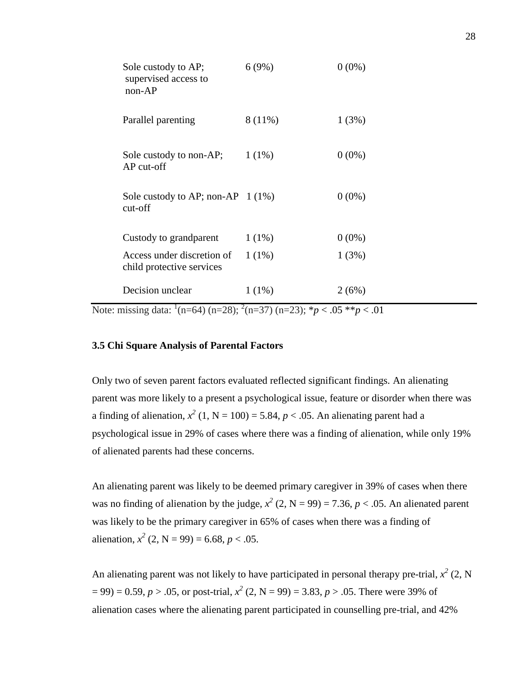| Sole custody to AP;<br>supervised access to<br>$non-AP$ | 6(9%)    | $0(0\%)$ |
|---------------------------------------------------------|----------|----------|
| Parallel parenting                                      | 8 (11%)  | 1(3%)    |
| Sole custody to non-AP;<br>$AP$ cut-off                 | $1(1\%)$ | $0(0\%)$ |
| Sole custody to AP; non-AP $1(1\%)$<br>cut-off          |          | $0(0\%)$ |
| Custody to grandparent                                  | $1(1\%)$ | $0(0\%)$ |
| Access under discretion of<br>child protective services | $1(1\%)$ | 1(3%)    |
| Decision unclear                                        | $1(1\%)$ | 2(6%)    |

Note: missing data: <sup>1</sup>(n=64) (n=28); <sup>2</sup>(n=37) (n=23); \**p* < .05 \*\**p* < .01

### **3.5 Chi Square Analysis of Parental Factors**

Only two of seven parent factors evaluated reflected significant findings. An alienating parent was more likely to a present a psychological issue, feature or disorder when there was a finding of alienation,  $x^2$  (1, N = 100) = 5.84,  $p < .05$ . An alienating parent had a psychological issue in 29% of cases where there was a finding of alienation, while only 19% of alienated parents had these concerns.

An alienating parent was likely to be deemed primary caregiver in 39% of cases when there was no finding of alienation by the judge,  $x^2$  (2, N = 99) = 7.36,  $p < .05$ . An alienated parent was likely to be the primary caregiver in 65% of cases when there was a finding of alienation,  $x^2$  (2, N = 99) = 6.68, *p* < .05.

An alienating parent was not likely to have participated in personal therapy pre-trial,  $x^2$  (2, N  $(2, 99) = 0.59, p > .05$ , or post-trial,  $x^2$  (2, N = 99) = 3.83, p > .05. There were 39% of alienation cases where the alienating parent participated in counselling pre-trial, and 42%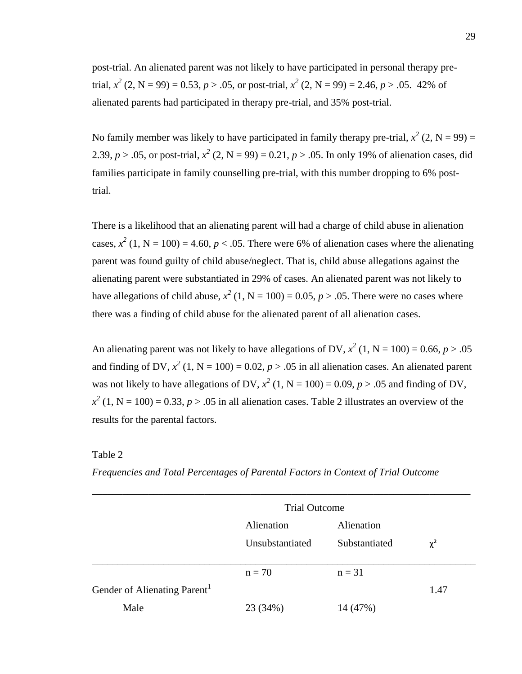post-trial. An alienated parent was not likely to have participated in personal therapy pretrial,  $x^2$  (2, N = 99) = 0.53,  $p > .05$ , or post-trial,  $x^2$  (2, N = 99) = 2.46,  $p > .05$ . 42% of alienated parents had participated in therapy pre-trial, and 35% post-trial.

No family member was likely to have participated in family therapy pre-trial,  $x^2$  (2, N = 99) = 2.39,  $p > .05$ , or post-trial,  $x^2$  (2, N = 99) = 0.21,  $p > .05$ . In only 19% of alienation cases, did families participate in family counselling pre-trial, with this number dropping to 6% posttrial.

There is a likelihood that an alienating parent will had a charge of child abuse in alienation cases,  $x^2$  (1, N = 100) = 4.60,  $p < .05$ . There were 6% of alienation cases where the alienating parent was found guilty of child abuse/neglect. That is, child abuse allegations against the alienating parent were substantiated in 29% of cases. An alienated parent was not likely to have allegations of child abuse,  $x^2$  (1, N = 100) = 0.05,  $p > .05$ . There were no cases where there was a finding of child abuse for the alienated parent of all alienation cases.

An alienating parent was not likely to have allegations of DV,  $x^2$  (1, N = 100) = 0.66,  $p > .05$ and finding of DV,  $x^2$  (1, N = 100) = 0.02,  $p > .05$  in all alienation cases. An alienated parent was not likely to have allegations of DV,  $x^2$  (1, N = 100) = 0.09,  $p > .05$  and finding of DV,  $x^2$  (1, N = 100) = 0.33, *p* > .05 in all alienation cases. Table 2 illustrates an overview of the results for the parental factors.

Table 2

|  | Frequencies and Total Percentages of Parental Factors in Context of Trial Outcome |
|--|-----------------------------------------------------------------------------------|
|--|-----------------------------------------------------------------------------------|

|                                          | <b>Trial Outcome</b> |               |          |
|------------------------------------------|----------------------|---------------|----------|
|                                          | Alienation           | Alienation    |          |
|                                          | Unsubstantiated      | Substantiated | $\chi^2$ |
|                                          | $n = 70$             | $n = 31$      |          |
| Gender of Alienating Parent <sup>1</sup> |                      |               | 1.47     |
| Male                                     | 23 (34%)             | 14 (47%)      |          |

*\_\_\_\_\_\_\_\_\_\_\_\_\_\_\_\_\_\_\_\_\_\_\_\_\_\_\_\_\_\_\_\_\_\_\_\_\_\_\_\_\_\_\_\_\_\_\_\_\_\_\_\_\_\_\_\_\_\_\_\_\_\_\_\_\_\_\_\_\_\_\_\_\_\_*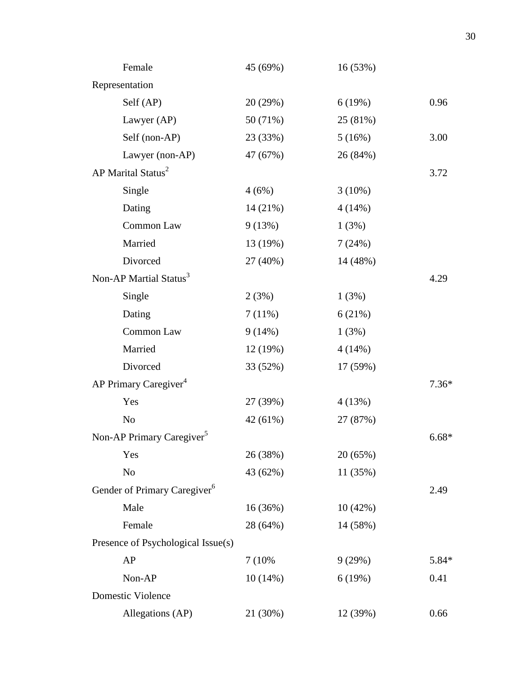| Female                                   | 45 (69%) | 16 (53%)  |         |
|------------------------------------------|----------|-----------|---------|
| Representation                           |          |           |         |
| Self (AP)                                | 20 (29%) | 6(19%)    | 0.96    |
| Lawyer (AP)                              | 50 (71%) | 25 (81%)  |         |
| Self (non-AP)                            | 23 (33%) | 5(16%)    | 3.00    |
| Lawyer (non-AP)                          | 47 (67%) | 26 (84%)  |         |
| AP Marital Status <sup>2</sup>           |          |           | 3.72    |
| Single                                   | 4(6%)    | $3(10\%)$ |         |
| Dating                                   | 14(21%)  | 4(14%)    |         |
| Common Law                               | 9(13%)   | 1(3%)     |         |
| Married                                  | 13 (19%) | 7(24%)    |         |
| Divorced                                 | 27 (40%) | 14 (48%)  |         |
| Non-AP Martial Status <sup>3</sup>       |          |           | 4.29    |
| Single                                   | 2(3%)    | 1(3%)     |         |
| Dating                                   | 7(11%)   | 6(21%)    |         |
| Common Law                               | 9(14%)   | 1(3%)     |         |
| Married                                  | 12(19%)  | 4(14%)    |         |
| Divorced                                 | 33 (52%) | 17 (59%)  |         |
| AP Primary Caregiver <sup>4</sup>        |          |           | $7.36*$ |
| Yes                                      | 27 (39%) | 4(13%)    |         |
| N <sub>o</sub>                           | 42 (61%) | 27 (87%)  |         |
| Non-AP Primary Caregiver <sup>5</sup>    |          |           | $6.68*$ |
| Yes                                      | 26 (38%) | 20(65%)   |         |
| N <sub>o</sub>                           | 43 (62%) | 11 (35%)  |         |
| Gender of Primary Caregiver <sup>6</sup> |          |           | 2.49    |
| Male                                     | 16(36%)  | 10(42%)   |         |
| Female                                   | 28 (64%) | 14 (58%)  |         |
| Presence of Psychological Issue(s)       |          |           |         |
| AP                                       | 7 (10%)  | 9(29%)    | 5.84*   |
| Non-AP                                   | 10(14%)  | 6(19%)    | 0.41    |
| Domestic Violence                        |          |           |         |
| Allegations (AP)                         | 21 (30%) | 12 (39%)  | 0.66    |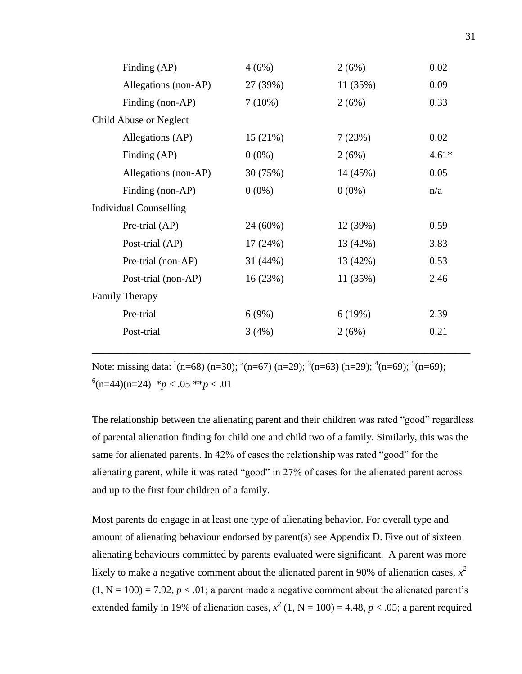| Finding (AP)                  | 4(6%)    | 2(6%)    | 0.02    |
|-------------------------------|----------|----------|---------|
| Allegations (non-AP)          | 27 (39%) | 11(35%)  | 0.09    |
| Finding (non-AP)              | 7(10%)   | 2(6%)    | 0.33    |
| Child Abuse or Neglect        |          |          |         |
| Allegations (AP)              | 15(21%)  | 7(23%)   | 0.02    |
| Finding (AP)                  | $0(0\%)$ | 2(6%)    | $4.61*$ |
| Allegations (non-AP)          | 30 (75%) | 14 (45%) | 0.05    |
| Finding (non-AP)              | $0(0\%)$ | $0(0\%)$ | n/a     |
| <b>Individual Counselling</b> |          |          |         |
| Pre-trial (AP)                | 24 (60%) | 12 (39%) | 0.59    |
| Post-trial (AP)               | 17(24%)  | 13 (42%) | 3.83    |
| Pre-trial (non-AP)            | 31 (44%) | 13 (42%) | 0.53    |
| Post-trial (non-AP)           | 16(23%)  | 11(35%)  | 2.46    |
| <b>Family Therapy</b>         |          |          |         |
| Pre-trial                     | 6(9%)    | 6(19%)   | 2.39    |
| Post-trial                    | 3(4%)    | 2(6%)    | 0.21    |
|                               |          |          |         |

Note: missing data:  $\frac{1}{n}$ (n=68) (n=30);  $\frac{2}{n}$ (n=67) (n=29);  $\frac{3}{n}$ (n=63) (n=29);  $\frac{4}{n}$ (n=69);  $\frac{5}{n}$ (n=69);  $^{6}$ (n=44)(n=24)  $^{*}p < .05$   $^{*}p < .01$ 

\_\_\_\_\_\_\_\_\_\_\_\_\_\_\_\_\_\_\_\_\_\_\_\_\_\_\_\_\_\_\_\_\_\_\_\_\_\_\_\_\_\_\_\_\_\_\_\_\_\_\_\_\_\_\_\_\_\_\_\_\_\_\_\_\_\_\_\_\_\_\_\_\_\_

The relationship between the alienating parent and their children was rated "good" regardless of parental alienation finding for child one and child two of a family. Similarly, this was the same for alienated parents. In 42% of cases the relationship was rated "good" for the alienating parent, while it was rated "good" in 27% of cases for the alienated parent across and up to the first four children of a family.

Most parents do engage in at least one type of alienating behavior. For overall type and amount of alienating behaviour endorsed by parent(s) see Appendix D. Five out of sixteen alienating behaviours committed by parents evaluated were significant. A parent was more likely to make a negative comment about the alienated parent in 90% of alienation cases,  $x^2$  $(1, N = 100) = 7.92$ ,  $p < .01$ ; a parent made a negative comment about the alienated parent's extended family in 19% of alienation cases,  $x^2$  (1, N = 100) = 4.48,  $p < .05$ ; a parent required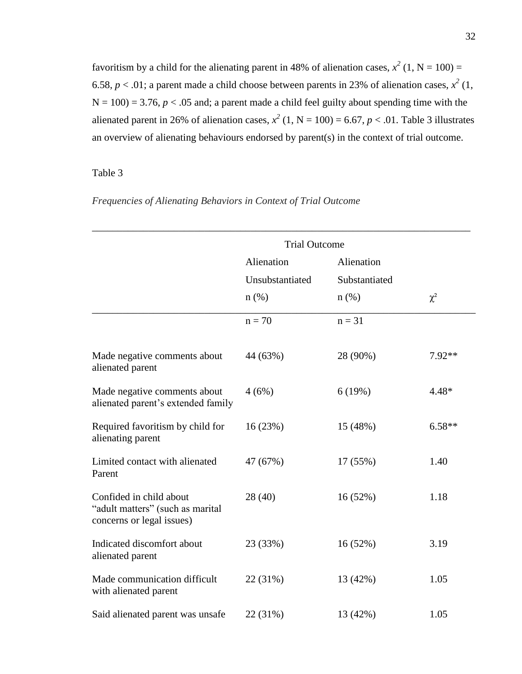favoritism by a child for the alienating parent in 48% of alienation cases,  $x^2$  (1, N = 100) = 6.58,  $p < .01$ ; a parent made a child choose between parents in 23% of alienation cases,  $x^2(1, 1)$  $N = 100$ ) = 3.76,  $p < .05$  and; a parent made a child feel guilty about spending time with the alienated parent in 26% of alienation cases,  $x^2$  (1, N = 100) = 6.67, p < .01. Table 3 illustrates an overview of alienating behaviours endorsed by parent(s) in the context of trial outcome.

### Table 3

|                                                                                          | <b>Trial Outcome</b> |               |          |
|------------------------------------------------------------------------------------------|----------------------|---------------|----------|
|                                                                                          | Alienation           | Alienation    |          |
|                                                                                          | Unsubstantiated      | Substantiated |          |
|                                                                                          | $n$ (%)              | $n$ (%)       | $\chi^2$ |
|                                                                                          | $n = 70$             | $n = 31$      |          |
| Made negative comments about<br>alienated parent                                         | 44 (63%)             | 28 (90%)      | 7.92**   |
| Made negative comments about<br>alienated parent's extended family                       | 4(6%)                | 6(19%)        | $4.48*$  |
| Required favoritism by child for<br>alienating parent                                    | 16(23%)              | 15 (48%)      | $6.58**$ |
| Limited contact with alienated<br>Parent                                                 | 47 (67%)             | 17 (55%)      | 1.40     |
| Confided in child about<br>"adult matters" (such as marital<br>concerns or legal issues) | 28(40)               | 16(52%)       | 1.18     |
| Indicated discomfort about<br>alienated parent                                           | 23 (33%)             | 16(52%)       | 3.19     |
| Made communication difficult<br>with alienated parent                                    | 22 (31%)             | 13 (42%)      | 1.05     |
| Said alienated parent was unsafe                                                         | 22 (31%)             | 13 (42%)      | 1.05     |

*Frequencies of Alienating Behaviors in Context of Trial Outcome*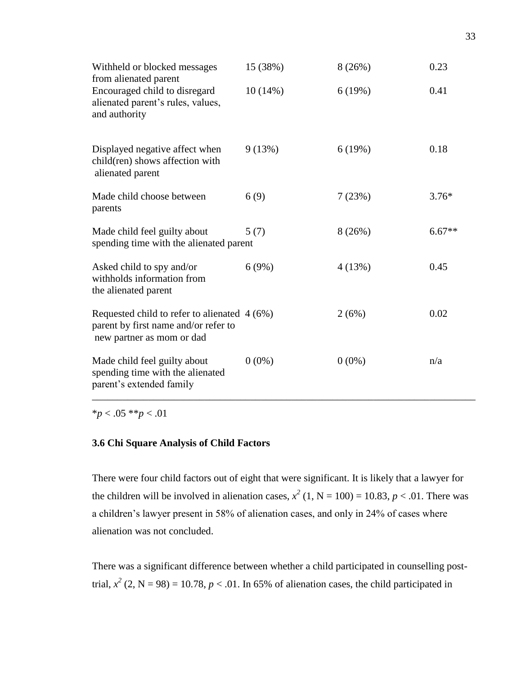| Withheld or blocked messages<br>from alienated parent                                                              | 15 (38%) | 8(26%)   | 0.23     |
|--------------------------------------------------------------------------------------------------------------------|----------|----------|----------|
| Encouraged child to disregard<br>alienated parent's rules, values,<br>and authority                                | 10(14%)  | 6(19%)   | 0.41     |
| Displayed negative affect when<br>child(ren) shows affection with<br>alienated parent                              | 9(13%)   | 6(19%)   | 0.18     |
| Made child choose between<br>parents                                                                               | 6(9)     | 7(23%)   | $3.76*$  |
| Made child feel guilty about<br>spending time with the alienated parent                                            | 5(7)     | 8(26%)   | $6.67**$ |
| Asked child to spy and/or<br>withholds information from<br>the alienated parent                                    | 6(9%)    | 4(13%)   | 0.45     |
| Requested child to refer to alienated $4(6%)$<br>parent by first name and/or refer to<br>new partner as mom or dad |          | 2(6%)    | 0.02     |
| Made child feel guilty about<br>spending time with the alienated<br>parent's extended family                       | $0(0\%)$ | $0(0\%)$ | n/a      |

\**p* < .05 \*\**p* < .01

#### **3.6 Chi Square Analysis of Child Factors**

There were four child factors out of eight that were significant. It is likely that a lawyer for the children will be involved in alienation cases,  $x^2$  (1, N = 100) = 10.83,  $p < .01$ . There was a children's lawyer present in 58% of alienation cases, and only in 24% of cases where alienation was not concluded.

There was a significant difference between whether a child participated in counselling posttrial,  $x^2$  (2, N = 98) = 10.78,  $p < 0.01$ . In 65% of alienation cases, the child participated in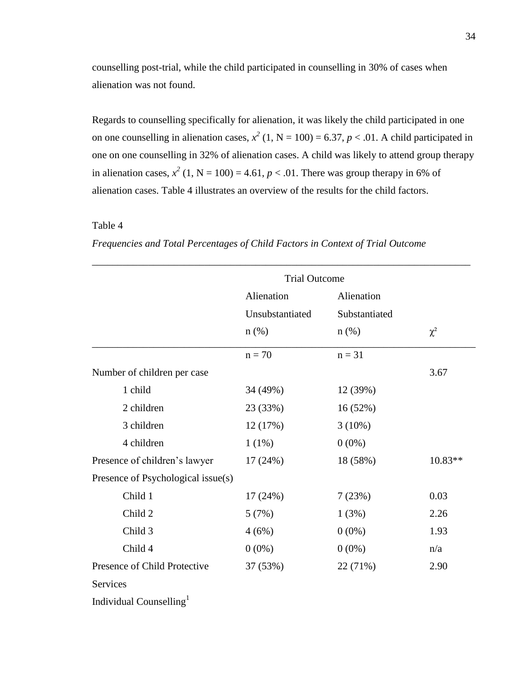counselling post-trial, while the child participated in counselling in 30% of cases when alienation was not found.

Regards to counselling specifically for alienation, it was likely the child participated in one on one counselling in alienation cases,  $x^2$  (1, N = 100) = 6.37,  $p < .01$ . A child participated in one on one counselling in 32% of alienation cases. A child was likely to attend group therapy in alienation cases,  $x^2$  (1, N = 100) = 4.61,  $p < 0.01$ . There was group therapy in 6% of alienation cases. Table 4 illustrates an overview of the results for the child factors.

### Table 4

# *Frequencies and Total Percentages of Child Factors in Context of Trial Outcome*

|                                     | <b>Trial Outcome</b> |               |           |
|-------------------------------------|----------------------|---------------|-----------|
|                                     | Alienation           | Alienation    |           |
|                                     | Unsubstantiated      | Substantiated |           |
|                                     | $n$ (%)              | $n$ (%)       | $\chi^2$  |
|                                     | $n = 70$             | $n = 31$      |           |
| Number of children per case         |                      |               | 3.67      |
| 1 child                             | 34 (49%)             | 12 (39%)      |           |
| 2 children                          | 23 (33%)             | 16(52%)       |           |
| 3 children                          | 12(17%)              | 3(10%)        |           |
| 4 children                          | 1(1%)                | $0(0\%)$      |           |
| Presence of children's lawyer       | 17(24%)              | 18 (58%)      | $10.83**$ |
| Presence of Psychological issue(s)  |                      |               |           |
| Child 1                             | 17(24%)              | 7(23%)        | 0.03      |
| Child 2                             | 5(7%)                | 1(3%)         | 2.26      |
| Child 3                             | 4(6%)                | $0(0\%)$      | 1.93      |
| Child 4                             | $0(0\%)$             | $0(0\%)$      | n/a       |
| Presence of Child Protective        | 37 (53%)             | 22 (71%)      | 2.90      |
| <b>Services</b>                     |                      |               |           |
| Individual Counselling <sup>1</sup> |                      |               |           |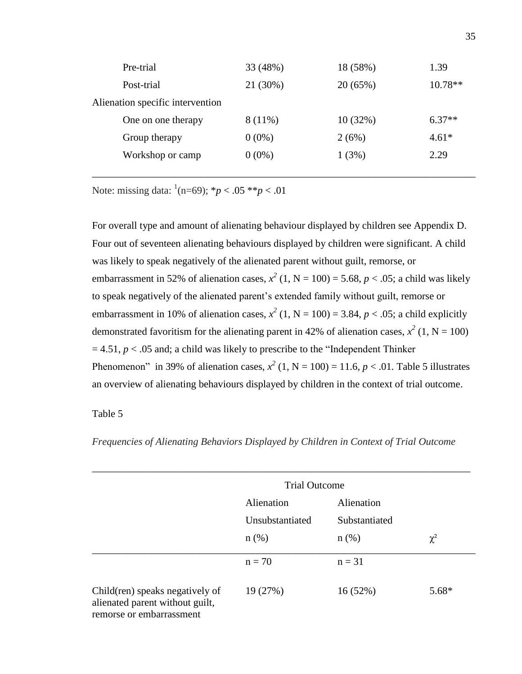| Pre-trial                        | 33 (48%)  | 18 (58%) | 1.39      |
|----------------------------------|-----------|----------|-----------|
| Post-trial                       | 21 (30%)  | 20(65%)  | $10.78**$ |
| Alienation specific intervention |           |          |           |
| One on one therapy               | $8(11\%)$ | 10(32%)  | $6.37**$  |
| Group therapy                    | $0(0\%)$  | 2(6%)    | $4.61*$   |
| Workshop or camp                 | $0(0\%)$  | 1(3%)    | 2.29      |
|                                  |           |          |           |

Note: missing data:  $^1(n=69)$ ;  $^*p < .05$   $^{**}p < .01$ 

For overall type and amount of alienating behaviour displayed by children see Appendix D. Four out of seventeen alienating behaviours displayed by children were significant. A child was likely to speak negatively of the alienated parent without guilt, remorse, or embarrassment in 52% of alienation cases,  $x^2$  (1, N = 100) = 5.68,  $p < .05$ ; a child was likely to speak negatively of the alienated parent's extended family without guilt, remorse or embarrassment in 10% of alienation cases,  $x^2$  (1, N = 100) = 3.84,  $p < .05$ ; a child explicitly demonstrated favoritism for the alienating parent in 42% of alienation cases,  $x^2$  (1, N = 100)  $= 4.51, p < .05$  and; a child was likely to prescribe to the "Independent Thinker" Phenomenon" in 39% of alienation cases,  $x^2$  (1, N = 100) = 11.6,  $p < .01$ . Table 5 illustrates an overview of alienating behaviours displayed by children in the context of trial outcome.

# Table 5

*Frequencies of Alienating Behaviors Displayed by Children in Context of Trial Outcome*

|                                                                                                |                 | <b>Trial Outcome</b> |          |
|------------------------------------------------------------------------------------------------|-----------------|----------------------|----------|
|                                                                                                | Alienation      | Alienation           |          |
|                                                                                                | Unsubstantiated | Substantiated        |          |
|                                                                                                | $n(\%)$         | $n(\%)$              | $\chi^2$ |
|                                                                                                | $n = 70$        | $n = 31$             |          |
| Child(ren) speaks negatively of<br>alienated parent without guilt,<br>remorse or embarrassment | 19 (27%)        | 16(52%)              | 5.68*    |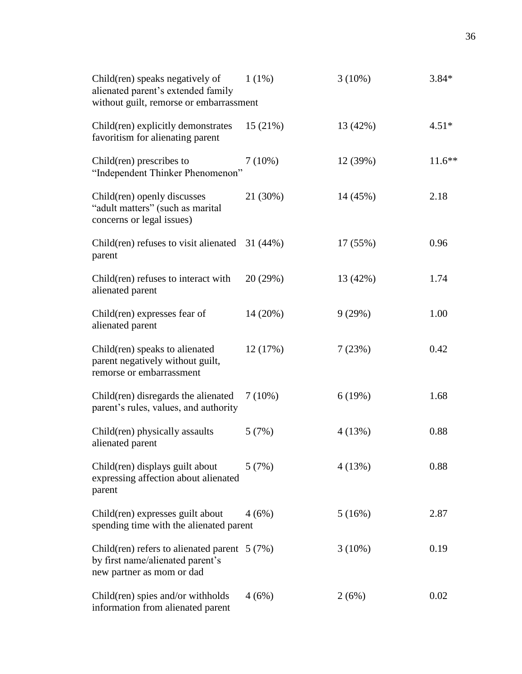| Child(ren) speaks negatively of<br>alienated parent's extended family<br>without guilt, remorse or embarrassment | $1(1\%)$  | $3(10\%)$ | $3.84*$  |
|------------------------------------------------------------------------------------------------------------------|-----------|-----------|----------|
| Child(ren) explicitly demonstrates<br>favoritism for alienating parent                                           | 15(21%)   | 13 (42%)  | $4.51*$  |
| Child(ren) prescribes to<br>"Independent Thinker Phenomenon"                                                     | $7(10\%)$ | 12 (39%)  | $11.6**$ |
| Child(ren) openly discusses<br>"adult matters" (such as marital<br>concerns or legal issues)                     | 21 (30%)  | 14 (45%)  | 2.18     |
| Child(ren) refuses to visit alienated $31(44%)$<br>parent                                                        |           | 17 (55%)  | 0.96     |
| Child(ren) refuses to interact with<br>alienated parent                                                          | 20(29%)   | 13 (42%)  | 1.74     |
| Child(ren) expresses fear of<br>alienated parent                                                                 | 14 (20%)  | 9(29%)    | 1.00     |
| Child(ren) speaks to alienated<br>parent negatively without guilt,<br>remorse or embarrassment                   | 12(17%)   | 7(23%)    | 0.42     |
| Child(ren) disregards the alienated<br>parent's rules, values, and authority                                     | $7(10\%)$ | 6(19%)    | 1.68     |
| Child(ren) physically assaults<br>alienated parent                                                               | 5(7%)     | 4(13%)    | 0.88     |
| Child(ren) displays guilt about<br>expressing affection about alienated<br>parent                                | 5(7%)     | 4(13%)    | 0.88     |
| Child(ren) expresses guilt about<br>spending time with the alienated parent                                      | 4(6%)     | 5(16%)    | 2.87     |
| Child(ren) refers to alienated parent $5(7%)$<br>by first name/alienated parent's<br>new partner as mom or dad   |           | $3(10\%)$ | 0.19     |
| Child(ren) spies and/or withholds<br>information from alienated parent                                           | 4(6%)     | 2(6%)     | 0.02     |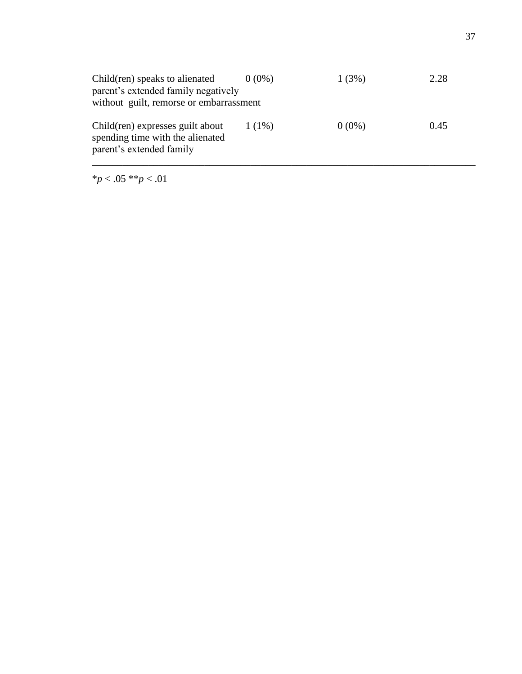| Child(ren) speaks to alienated<br>parent's extended family negatively<br>without guilt, remorse or embarrassment | $0(0\%)$ | 1(3%)    | 2.28 |
|------------------------------------------------------------------------------------------------------------------|----------|----------|------|
| Child(ren) expresses guilt about<br>spending time with the alienated<br>parent's extended family                 | $1(1\%)$ | $0(0\%)$ | 0.45 |

\**p* < .05 \*\**p* < .01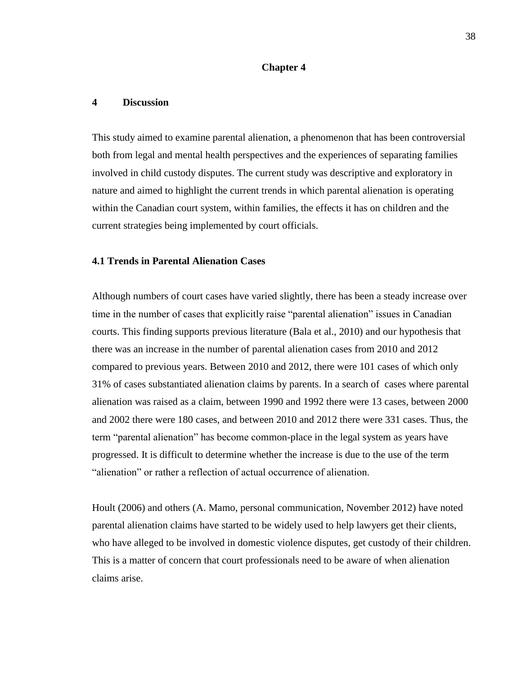#### **Chapter 4**

#### **4 Discussion**

This study aimed to examine parental alienation, a phenomenon that has been controversial both from legal and mental health perspectives and the experiences of separating families involved in child custody disputes. The current study was descriptive and exploratory in nature and aimed to highlight the current trends in which parental alienation is operating within the Canadian court system, within families, the effects it has on children and the current strategies being implemented by court officials.

#### **4.1 Trends in Parental Alienation Cases**

Although numbers of court cases have varied slightly, there has been a steady increase over time in the number of cases that explicitly raise "parental alienation" issues in Canadian courts. This finding supports previous literature (Bala et al., 2010) and our hypothesis that there was an increase in the number of parental alienation cases from 2010 and 2012 compared to previous years. Between 2010 and 2012, there were 101 cases of which only 31% of cases substantiated alienation claims by parents. In a search of cases where parental alienation was raised as a claim, between 1990 and 1992 there were 13 cases, between 2000 and 2002 there were 180 cases, and between 2010 and 2012 there were 331 cases. Thus, the term "parental alienation" has become common-place in the legal system as years have progressed. It is difficult to determine whether the increase is due to the use of the term "alienation" or rather a reflection of actual occurrence of alienation.

Hoult (2006) and others (A. Mamo, personal communication, November 2012) have noted parental alienation claims have started to be widely used to help lawyers get their clients, who have alleged to be involved in domestic violence disputes, get custody of their children. This is a matter of concern that court professionals need to be aware of when alienation claims arise.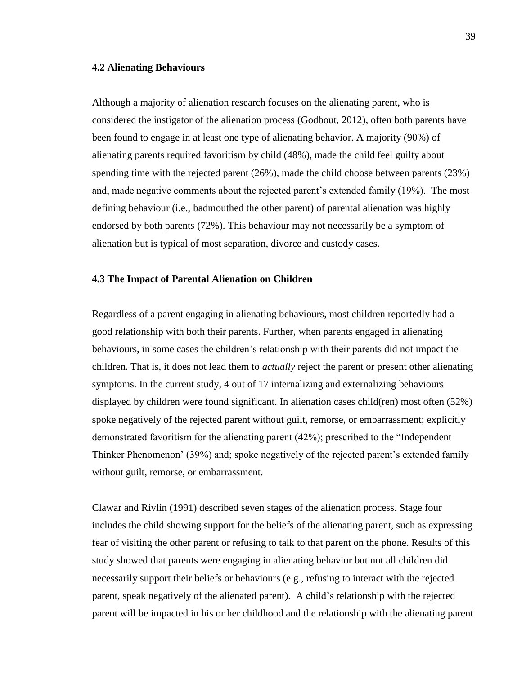#### **4.2 Alienating Behaviours**

Although a majority of alienation research focuses on the alienating parent, who is considered the instigator of the alienation process (Godbout, 2012), often both parents have been found to engage in at least one type of alienating behavior. A majority (90%) of alienating parents required favoritism by child (48%), made the child feel guilty about spending time with the rejected parent (26%), made the child choose between parents (23%) and, made negative comments about the rejected parent's extended family (19%). The most defining behaviour (i.e., badmouthed the other parent) of parental alienation was highly endorsed by both parents (72%). This behaviour may not necessarily be a symptom of alienation but is typical of most separation, divorce and custody cases.

#### **4.3 The Impact of Parental Alienation on Children**

Regardless of a parent engaging in alienating behaviours, most children reportedly had a good relationship with both their parents. Further, when parents engaged in alienating behaviours, in some cases the children's relationship with their parents did not impact the children. That is, it does not lead them to *actually* reject the parent or present other alienating symptoms. In the current study, 4 out of 17 internalizing and externalizing behaviours displayed by children were found significant. In alienation cases child(ren) most often (52%) spoke negatively of the rejected parent without guilt, remorse, or embarrassment; explicitly demonstrated favoritism for the alienating parent (42%); prescribed to the "Independent Thinker Phenomenon' (39%) and; spoke negatively of the rejected parent's extended family without guilt, remorse, or embarrassment.

Clawar and Rivlin (1991) described seven stages of the alienation process. Stage four includes the child showing support for the beliefs of the alienating parent, such as expressing fear of visiting the other parent or refusing to talk to that parent on the phone. Results of this study showed that parents were engaging in alienating behavior but not all children did necessarily support their beliefs or behaviours (e.g., refusing to interact with the rejected parent, speak negatively of the alienated parent). A child's relationship with the rejected parent will be impacted in his or her childhood and the relationship with the alienating parent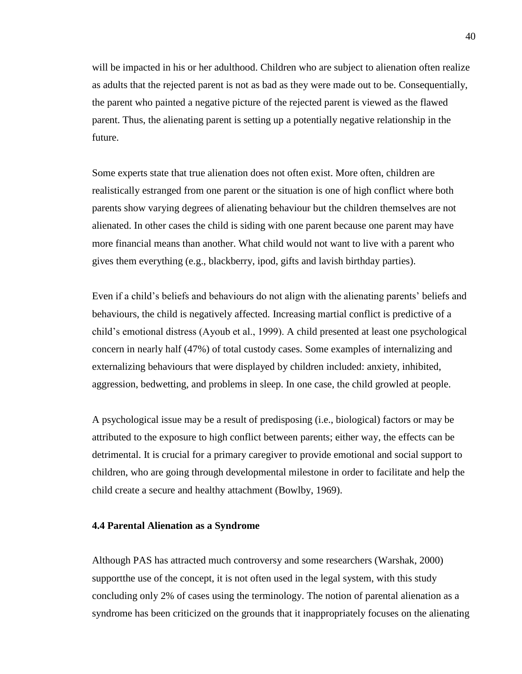will be impacted in his or her adulthood. Children who are subject to alienation often realize as adults that the rejected parent is not as bad as they were made out to be. Consequentially, the parent who painted a negative picture of the rejected parent is viewed as the flawed parent. Thus, the alienating parent is setting up a potentially negative relationship in the future.

Some experts state that true alienation does not often exist. More often, children are realistically estranged from one parent or the situation is one of high conflict where both parents show varying degrees of alienating behaviour but the children themselves are not alienated. In other cases the child is siding with one parent because one parent may have more financial means than another. What child would not want to live with a parent who gives them everything (e.g., blackberry, ipod, gifts and lavish birthday parties).

Even if a child's beliefs and behaviours do not align with the alienating parents' beliefs and behaviours, the child is negatively affected. Increasing martial conflict is predictive of a child's emotional distress (Ayoub et al., 1999). A child presented at least one psychological concern in nearly half (47%) of total custody cases. Some examples of internalizing and externalizing behaviours that were displayed by children included: anxiety, inhibited, aggression, bedwetting, and problems in sleep. In one case, the child growled at people.

A psychological issue may be a result of predisposing (i.e., biological) factors or may be attributed to the exposure to high conflict between parents; either way, the effects can be detrimental. It is crucial for a primary caregiver to provide emotional and social support to children, who are going through developmental milestone in order to facilitate and help the child create a secure and healthy attachment (Bowlby, 1969).

#### **4.4 Parental Alienation as a Syndrome**

Although PAS has attracted much controversy and some researchers (Warshak, 2000) supportthe use of the concept, it is not often used in the legal system, with this study concluding only 2% of cases using the terminology. The notion of parental alienation as a syndrome has been criticized on the grounds that it inappropriately focuses on the alienating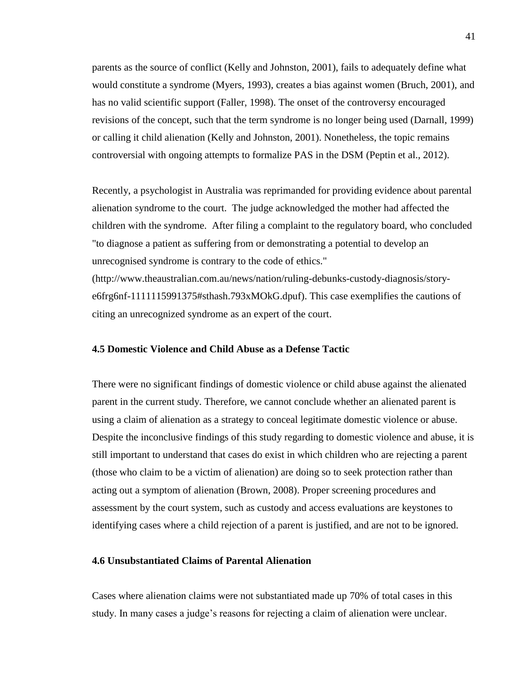parents as the source of conflict (Kelly and Johnston, 2001), fails to adequately define what would constitute a syndrome (Myers, 1993), creates a bias against women (Bruch, 2001), and has no valid scientific support (Faller, 1998). The onset of the controversy encouraged revisions of the concept, such that the term syndrome is no longer being used (Darnall, 1999) or calling it child alienation (Kelly and Johnston, 2001). Nonetheless, the topic remains controversial with ongoing attempts to formalize PAS in the DSM (Peptin et al., 2012).

Recently, a psychologist in Australia was reprimanded for providing evidence about parental alienation syndrome to the court. The judge acknowledged the mother had affected the children with the syndrome. After filing a complaint to the regulatory board, who concluded "to diagnose a patient as suffering from or demonstrating a potential to develop an unrecognised syndrome is contrary to the code of ethics." [\(http://www.theaustralian.com.au/news/nation/ruling-debunks-custody-diagnosis/story](http://www.theaustralian.com.au/news/nation/ruling-debunks-custody-diagnosis/story-e6frg6nf-1111115991375#sthash.793xMOkG.dpuf)[e6frg6nf-1111115991375#sthash.793xMOkG.dpuf\)](http://www.theaustralian.com.au/news/nation/ruling-debunks-custody-diagnosis/story-e6frg6nf-1111115991375#sthash.793xMOkG.dpuf). This case exemplifies the cautions of citing an unrecognized syndrome as an expert of the court.

#### **4.5 Domestic Violence and Child Abuse as a Defense Tactic**

There were no significant findings of domestic violence or child abuse against the alienated parent in the current study. Therefore, we cannot conclude whether an alienated parent is using a claim of alienation as a strategy to conceal legitimate domestic violence or abuse. Despite the inconclusive findings of this study regarding to domestic violence and abuse, it is still important to understand that cases do exist in which children who are rejecting a parent (those who claim to be a victim of alienation) are doing so to seek protection rather than acting out a symptom of alienation (Brown, 2008). Proper screening procedures and assessment by the court system, such as custody and access evaluations are keystones to identifying cases where a child rejection of a parent is justified, and are not to be ignored.

#### **4.6 Unsubstantiated Claims of Parental Alienation**

Cases where alienation claims were not substantiated made up 70% of total cases in this study. In many cases a judge's reasons for rejecting a claim of alienation were unclear.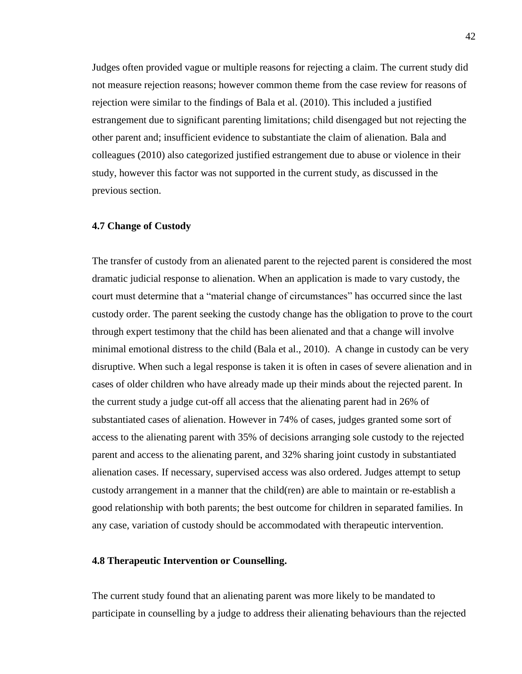Judges often provided vague or multiple reasons for rejecting a claim. The current study did not measure rejection reasons; however common theme from the case review for reasons of rejection were similar to the findings of Bala et al. (2010). This included a justified estrangement due to significant parenting limitations; child disengaged but not rejecting the other parent and; insufficient evidence to substantiate the claim of alienation. Bala and colleagues (2010) also categorized justified estrangement due to abuse or violence in their study, however this factor was not supported in the current study, as discussed in the previous section.

#### **4.7 Change of Custody**

The transfer of custody from an alienated parent to the rejected parent is considered the most dramatic judicial response to alienation. When an application is made to vary custody, the court must determine that a "material change of circumstances" has occurred since the last custody order. The parent seeking the custody change has the obligation to prove to the court through expert testimony that the child has been alienated and that a change will involve minimal emotional distress to the child (Bala et al., 2010). A change in custody can be very disruptive. When such a legal response is taken it is often in cases of severe alienation and in cases of older children who have already made up their minds about the rejected parent. In the current study a judge cut-off all access that the alienating parent had in 26% of substantiated cases of alienation. However in 74% of cases, judges granted some sort of access to the alienating parent with 35% of decisions arranging sole custody to the rejected parent and access to the alienating parent, and 32% sharing joint custody in substantiated alienation cases. If necessary, supervised access was also ordered. Judges attempt to setup custody arrangement in a manner that the child(ren) are able to maintain or re-establish a good relationship with both parents; the best outcome for children in separated families. In any case, variation of custody should be accommodated with therapeutic intervention.

### **4.8 Therapeutic Intervention or Counselling.**

The current study found that an alienating parent was more likely to be mandated to participate in counselling by a judge to address their alienating behaviours than the rejected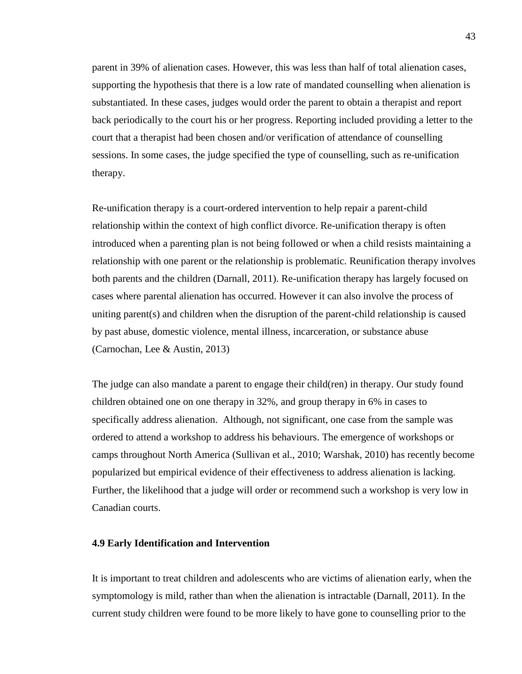parent in 39% of alienation cases. However, this was less than half of total alienation cases, supporting the hypothesis that there is a low rate of mandated counselling when alienation is substantiated. In these cases, judges would order the parent to obtain a therapist and report back periodically to the court his or her progress. Reporting included providing a letter to the court that a therapist had been chosen and/or verification of attendance of counselling sessions. In some cases, the judge specified the type of counselling, such as re-unification therapy.

Re-unification therapy is a court-ordered intervention to help repair a parent-child relationship within the context of high conflict divorce. Re-unification therapy is often introduced when a parenting plan is not being followed or when a child resists maintaining a relationship with one parent or the relationship is problematic. Reunification therapy involves both parents and the children (Darnall, 2011). Re-unification therapy has largely focused on cases where parental alienation has occurred. However it can also involve the process of uniting parent(s) and children when the disruption of the parent-child relationship is caused by past abuse, domestic violence, mental illness, incarceration, or substance abuse (Carnochan, Lee & Austin, 2013)

The judge can also mandate a parent to engage their child(ren) in therapy. Our study found children obtained one on one therapy in 32%, and group therapy in 6% in cases to specifically address alienation. Although, not significant, one case from the sample was ordered to attend a workshop to address his behaviours. The emergence of workshops or camps throughout North America (Sullivan et al., 2010; Warshak, 2010) has recently become popularized but empirical evidence of their effectiveness to address alienation is lacking. Further, the likelihood that a judge will order or recommend such a workshop is very low in Canadian courts.

#### **4.9 Early Identification and Intervention**

It is important to treat children and adolescents who are victims of alienation early, when the symptomology is mild, rather than when the alienation is intractable (Darnall, 2011). In the current study children were found to be more likely to have gone to counselling prior to the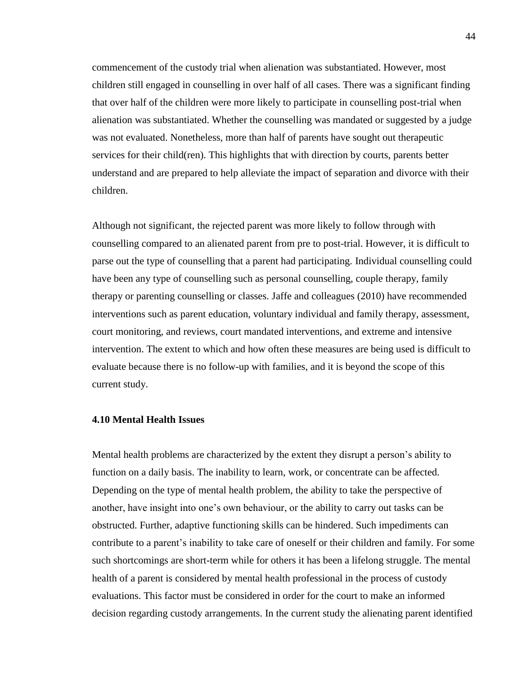commencement of the custody trial when alienation was substantiated. However, most children still engaged in counselling in over half of all cases. There was a significant finding that over half of the children were more likely to participate in counselling post-trial when alienation was substantiated. Whether the counselling was mandated or suggested by a judge was not evaluated. Nonetheless, more than half of parents have sought out therapeutic services for their child(ren). This highlights that with direction by courts, parents better understand and are prepared to help alleviate the impact of separation and divorce with their children.

Although not significant, the rejected parent was more likely to follow through with counselling compared to an alienated parent from pre to post-trial. However, it is difficult to parse out the type of counselling that a parent had participating. Individual counselling could have been any type of counselling such as personal counselling, couple therapy, family therapy or parenting counselling or classes. Jaffe and colleagues (2010) have recommended interventions such as parent education, voluntary individual and family therapy, assessment, court monitoring, and reviews, court mandated interventions, and extreme and intensive intervention. The extent to which and how often these measures are being used is difficult to evaluate because there is no follow-up with families, and it is beyond the scope of this current study.

#### **4.10 Mental Health Issues**

Mental health problems are characterized by the extent they disrupt a person's ability to function on a daily basis. The inability to learn, work, or concentrate can be affected. Depending on the type of mental health problem, the ability to take the perspective of another, have insight into one's own behaviour, or the ability to carry out tasks can be obstructed. Further, adaptive functioning skills can be hindered. Such impediments can contribute to a parent's inability to take care of oneself or their children and family. For some such shortcomings are short-term while for others it has been a lifelong struggle. The mental health of a parent is considered by mental health professional in the process of custody evaluations. This factor must be considered in order for the court to make an informed decision regarding custody arrangements. In the current study the alienating parent identified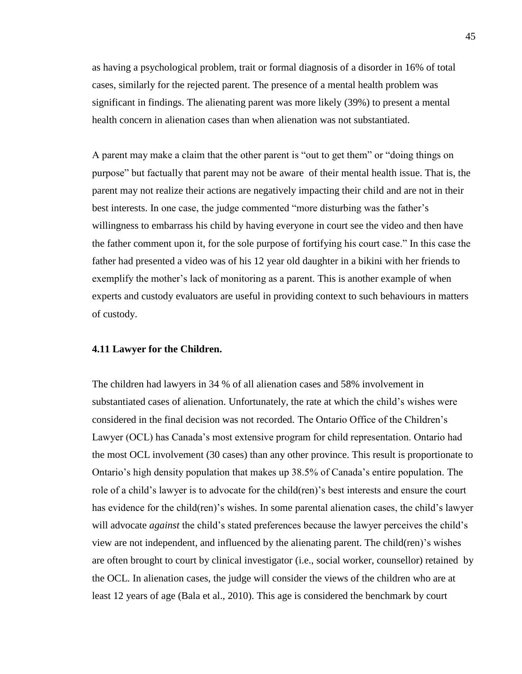as having a psychological problem, trait or formal diagnosis of a disorder in 16% of total cases, similarly for the rejected parent. The presence of a mental health problem was significant in findings. The alienating parent was more likely (39%) to present a mental health concern in alienation cases than when alienation was not substantiated.

A parent may make a claim that the other parent is "out to get them" or "doing things on purpose" but factually that parent may not be aware of their mental health issue. That is, the parent may not realize their actions are negatively impacting their child and are not in their best interests. In one case, the judge commented "more disturbing was the father's willingness to embarrass his child by having everyone in court see the video and then have the father comment upon it, for the sole purpose of fortifying his court case." In this case the father had presented a video was of his 12 year old daughter in a bikini with her friends to exemplify the mother's lack of monitoring as a parent. This is another example of when experts and custody evaluators are useful in providing context to such behaviours in matters of custody.

#### **4.11 Lawyer for the Children.**

The children had lawyers in 34 % of all alienation cases and 58% involvement in substantiated cases of alienation. Unfortunately, the rate at which the child's wishes were considered in the final decision was not recorded. The Ontario Office of the Children's Lawyer (OCL) has Canada's most extensive program for child representation. Ontario had the most OCL involvement (30 cases) than any other province. This result is proportionate to Ontario's high density population that makes up 38.5% of Canada's entire population. The role of a child's lawyer is to advocate for the child(ren)'s best interests and ensure the court has evidence for the child(ren)'s wishes. In some parental alienation cases, the child's lawyer will advocate *against* the child's stated preferences because the lawyer perceives the child's view are not independent, and influenced by the alienating parent. The child(ren)'s wishes are often brought to court by clinical investigator (i.e., social worker, counsellor) retained by the OCL. In alienation cases, the judge will consider the views of the children who are at least 12 years of age (Bala et al., 2010). This age is considered the benchmark by court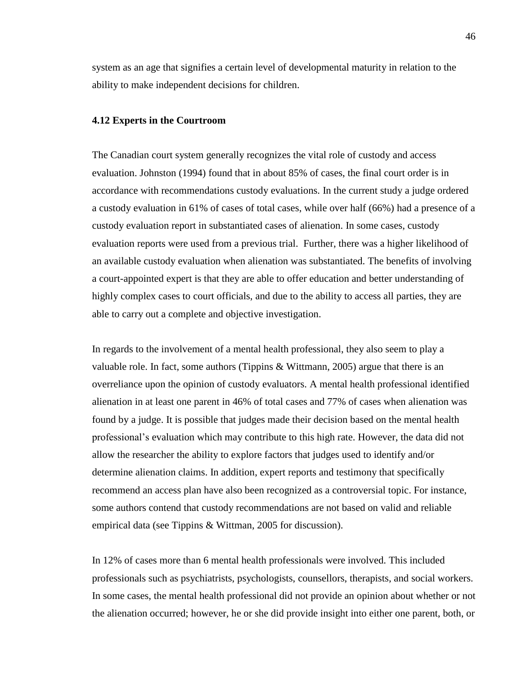system as an age that signifies a certain level of developmental maturity in relation to the ability to make independent decisions for children.

#### **4.12 Experts in the Courtroom**

The Canadian court system generally recognizes the vital role of custody and access evaluation. Johnston (1994) found that in about 85% of cases, the final court order is in accordance with recommendations custody evaluations. In the current study a judge ordered a custody evaluation in 61% of cases of total cases, while over half (66%) had a presence of a custody evaluation report in substantiated cases of alienation. In some cases, custody evaluation reports were used from a previous trial. Further, there was a higher likelihood of an available custody evaluation when alienation was substantiated. The benefits of involving a court-appointed expert is that they are able to offer education and better understanding of highly complex cases to court officials, and due to the ability to access all parties, they are able to carry out a complete and objective investigation.

In regards to the involvement of a mental health professional, they also seem to play a valuable role. In fact, some authors (Tippins & Wittmann, 2005) argue that there is an overreliance upon the opinion of custody evaluators. A mental health professional identified alienation in at least one parent in 46% of total cases and 77% of cases when alienation was found by a judge. It is possible that judges made their decision based on the mental health professional's evaluation which may contribute to this high rate. However, the data did not allow the researcher the ability to explore factors that judges used to identify and/or determine alienation claims. In addition, expert reports and testimony that specifically recommend an access plan have also been recognized as a controversial topic. For instance, some authors contend that custody recommendations are not based on valid and reliable empirical data (see Tippins & Wittman, 2005 for discussion).

In 12% of cases more than 6 mental health professionals were involved. This included professionals such as psychiatrists, psychologists, counsellors, therapists, and social workers. In some cases, the mental health professional did not provide an opinion about whether or not the alienation occurred; however, he or she did provide insight into either one parent, both, or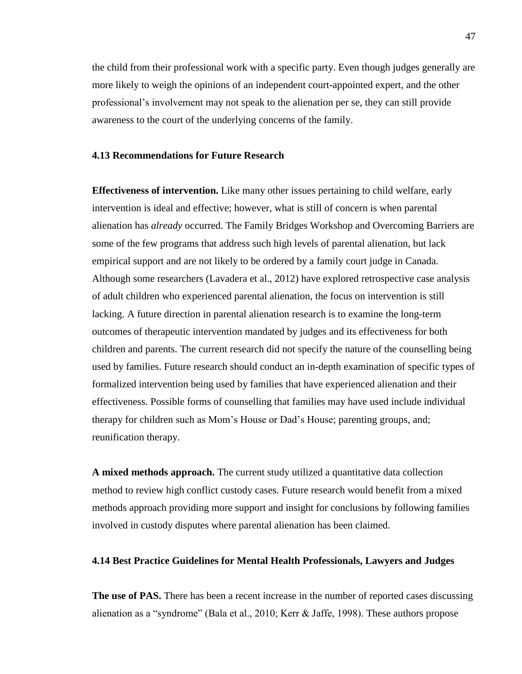the child from their professional work with a specific party. Even though judges generally are more likely to weigh the opinions of an independent court-appointed expert, and the other professional's involvement may not speak to the alienation per se, they can still provide awareness to the court of the underlying concerns of the family.

#### **4.13 Recommendations for Future Research**

**Effectiveness of intervention.** Like many other issues pertaining to child welfare, early intervention is ideal and effective; however, what is still of concern is when parental alienation has *already* occurred. The Family Bridges Workshop and Overcoming Barriers are some of the few programs that address such high levels of parental alienation, but lack empirical support and are not likely to be ordered by a family court judge in Canada. Although some researchers (Lavadera et al., 2012) have explored retrospective case analysis of adult children who experienced parental alienation, the focus on intervention is still lacking. A future direction in parental alienation research is to examine the long-term outcomes of therapeutic intervention mandated by judges and its effectiveness for both children and parents. The current research did not specify the nature of the counselling being used by families. Future research should conduct an in-depth examination of specific types of formalized intervention being used by families that have experienced alienation and their effectiveness. Possible forms of counselling that families may have used include individual therapy for children such as Mom's House or Dad's House; parenting groups, and; reunification therapy.

**A mixed methods approach.** The current study utilized a quantitative data collection method to review high conflict custody cases. Future research would benefit from a mixed methods approach providing more support and insight for conclusions by following families involved in custody disputes where parental alienation has been claimed.

#### **4.14 Best Practice Guidelines for Mental Health Professionals, Lawyers and Judges**

**The use of PAS.** There has been a recent increase in the number of reported cases discussing alienation as a "syndrome" (Bala et al., 2010; Kerr & Jaffe, 1998). These authors propose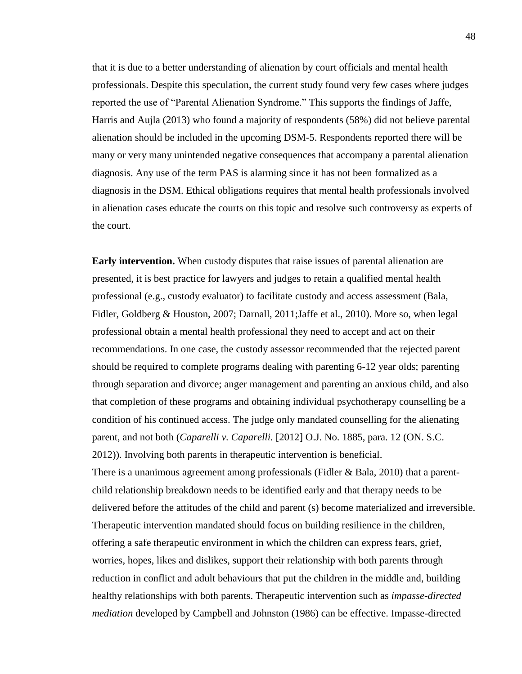that it is due to a better understanding of alienation by court officials and mental health professionals. Despite this speculation, the current study found very few cases where judges reported the use of "Parental Alienation Syndrome." This supports the findings of Jaffe, Harris and Aujla (2013) who found a majority of respondents (58%) did not believe parental alienation should be included in the upcoming DSM-5. Respondents reported there will be many or very many unintended negative consequences that accompany a parental alienation diagnosis. Any use of the term PAS is alarming since it has not been formalized as a diagnosis in the DSM. Ethical obligations requires that mental health professionals involved in alienation cases educate the courts on this topic and resolve such controversy as experts of the court.

**Early intervention.** When custody disputes that raise issues of parental alienation are presented, it is best practice for lawyers and judges to retain a qualified mental health professional (e.g., custody evaluator) to facilitate custody and access assessment (Bala, Fidler, Goldberg & Houston, 2007; Darnall, 2011;Jaffe et al., 2010). More so, when legal professional obtain a mental health professional they need to accept and act on their recommendations. In one case, the custody assessor recommended that the rejected parent should be required to complete programs dealing with parenting 6-12 year olds; parenting through separation and divorce; anger management and parenting an anxious child, and also that completion of these programs and obtaining individual psychotherapy counselling be a condition of his continued access. The judge only mandated counselling for the alienating parent, and not both (*Caparelli v. Caparelli.* [2012] O.J. No. 1885, para. 12 (ON. S.C. 2012)). Involving both parents in therapeutic intervention is beneficial. There is a unanimous agreement among professionals (Fidler & Bala, 2010) that a parentchild relationship breakdown needs to be identified early and that therapy needs to be delivered before the attitudes of the child and parent (s) become materialized and irreversible. Therapeutic intervention mandated should focus on building resilience in the children, offering a safe therapeutic environment in which the children can express fears, grief, worries, hopes, likes and dislikes, support their relationship with both parents through reduction in conflict and adult behaviours that put the children in the middle and, building healthy relationships with both parents. Therapeutic intervention such as *impasse-directed mediation* developed by Campbell and Johnston (1986) can be effective. Impasse-directed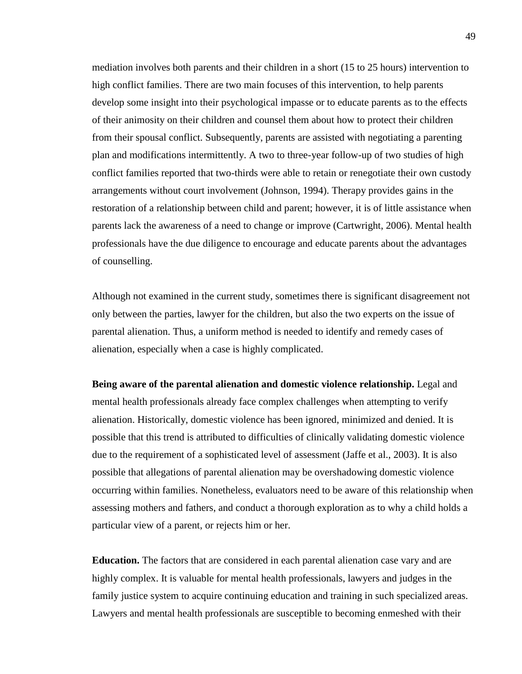mediation involves both parents and their children in a short (15 to 25 hours) intervention to high conflict families. There are two main focuses of this intervention, to help parents develop some insight into their psychological impasse or to educate parents as to the effects of their animosity on their children and counsel them about how to protect their children from their spousal conflict. Subsequently, parents are assisted with negotiating a parenting plan and modifications intermittently. A two to three-year follow-up of two studies of high conflict families reported that two-thirds were able to retain or renegotiate their own custody arrangements without court involvement (Johnson, 1994). Therapy provides gains in the restoration of a relationship between child and parent; however, it is of little assistance when parents lack the awareness of a need to change or improve (Cartwright, 2006). Mental health professionals have the due diligence to encourage and educate parents about the advantages of counselling.

Although not examined in the current study, sometimes there is significant disagreement not only between the parties, lawyer for the children, but also the two experts on the issue of parental alienation. Thus, a uniform method is needed to identify and remedy cases of alienation, especially when a case is highly complicated.

**Being aware of the parental alienation and domestic violence relationship.** Legal and mental health professionals already face complex challenges when attempting to verify alienation. Historically, domestic violence has been ignored, minimized and denied. It is possible that this trend is attributed to difficulties of clinically validating domestic violence due to the requirement of a sophisticated level of assessment (Jaffe et al., 2003). It is also possible that allegations of parental alienation may be overshadowing domestic violence occurring within families. Nonetheless, evaluators need to be aware of this relationship when assessing mothers and fathers, and conduct a thorough exploration as to why a child holds a particular view of a parent, or rejects him or her.

**Education.** The factors that are considered in each parental alienation case vary and are highly complex. It is valuable for mental health professionals, lawyers and judges in the family justice system to acquire continuing education and training in such specialized areas. Lawyers and mental health professionals are susceptible to becoming enmeshed with their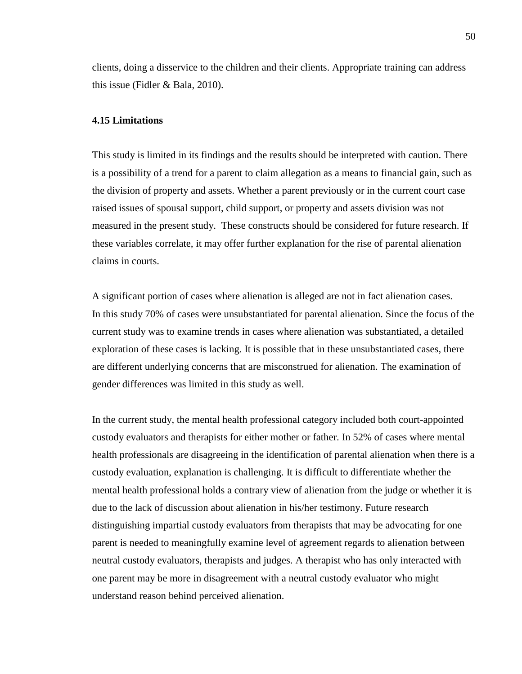clients, doing a disservice to the children and their clients. Appropriate training can address this issue (Fidler & Bala, 2010).

#### **4.15 Limitations**

This study is limited in its findings and the results should be interpreted with caution. There is a possibility of a trend for a parent to claim allegation as a means to financial gain, such as the division of property and assets. Whether a parent previously or in the current court case raised issues of spousal support, child support, or property and assets division was not measured in the present study. These constructs should be considered for future research. If these variables correlate, it may offer further explanation for the rise of parental alienation claims in courts.

A significant portion of cases where alienation is alleged are not in fact alienation cases. In this study 70% of cases were unsubstantiated for parental alienation. Since the focus of the current study was to examine trends in cases where alienation was substantiated, a detailed exploration of these cases is lacking. It is possible that in these unsubstantiated cases, there are different underlying concerns that are misconstrued for alienation. The examination of gender differences was limited in this study as well.

In the current study, the mental health professional category included both court-appointed custody evaluators and therapists for either mother or father. In 52% of cases where mental health professionals are disagreeing in the identification of parental alienation when there is a custody evaluation, explanation is challenging. It is difficult to differentiate whether the mental health professional holds a contrary view of alienation from the judge or whether it is due to the lack of discussion about alienation in his/her testimony. Future research distinguishing impartial custody evaluators from therapists that may be advocating for one parent is needed to meaningfully examine level of agreement regards to alienation between neutral custody evaluators, therapists and judges. A therapist who has only interacted with one parent may be more in disagreement with a neutral custody evaluator who might understand reason behind perceived alienation.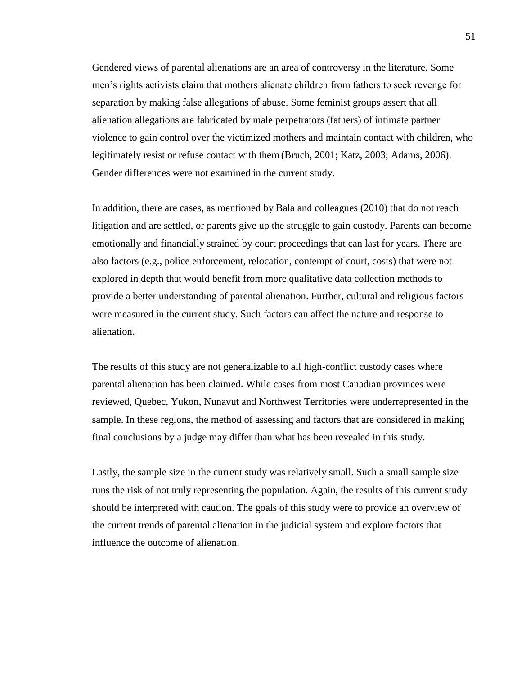Gendered views of parental alienations are an area of controversy in the literature. Some men's rights activists claim that mothers alienate children from fathers to seek revenge for separation by making false allegations of abuse. Some feminist groups assert that all alienation allegations are fabricated by male perpetrators (fathers) of intimate partner violence to gain control over the victimized mothers and maintain contact with children, who legitimately resist or refuse contact with them (Bruch, 2001; Katz, 2003; Adams, 2006). Gender differences were not examined in the current study.

In addition, there are cases, as mentioned by Bala and colleagues (2010) that do not reach litigation and are settled, or parents give up the struggle to gain custody. Parents can become emotionally and financially strained by court proceedings that can last for years. There are also factors (e.g., police enforcement, relocation, contempt of court, costs) that were not explored in depth that would benefit from more qualitative data collection methods to provide a better understanding of parental alienation. Further, cultural and religious factors were measured in the current study. Such factors can affect the nature and response to alienation.

The results of this study are not generalizable to all high-conflict custody cases where parental alienation has been claimed. While cases from most Canadian provinces were reviewed, Quebec, Yukon, Nunavut and Northwest Territories were underrepresented in the sample. In these regions, the method of assessing and factors that are considered in making final conclusions by a judge may differ than what has been revealed in this study.

Lastly, the sample size in the current study was relatively small. Such a small sample size runs the risk of not truly representing the population. Again, the results of this current study should be interpreted with caution. The goals of this study were to provide an overview of the current trends of parental alienation in the judicial system and explore factors that influence the outcome of alienation.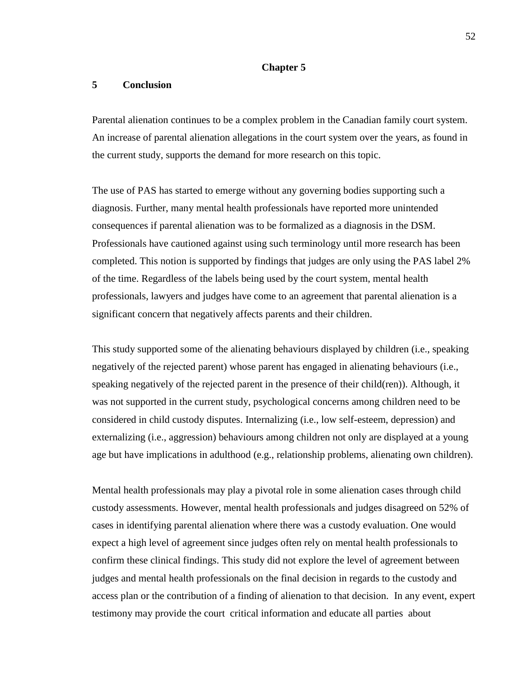#### **Chapter 5**

### **5 Conclusion**

Parental alienation continues to be a complex problem in the Canadian family court system. An increase of parental alienation allegations in the court system over the years, as found in the current study, supports the demand for more research on this topic.

The use of PAS has started to emerge without any governing bodies supporting such a diagnosis. Further, many mental health professionals have reported more unintended consequences if parental alienation was to be formalized as a diagnosis in the DSM. Professionals have cautioned against using such terminology until more research has been completed. This notion is supported by findings that judges are only using the PAS label 2% of the time. Regardless of the labels being used by the court system, mental health professionals, lawyers and judges have come to an agreement that parental alienation is a significant concern that negatively affects parents and their children.

This study supported some of the alienating behaviours displayed by children (i.e., speaking negatively of the rejected parent) whose parent has engaged in alienating behaviours (i.e., speaking negatively of the rejected parent in the presence of their child(ren)). Although, it was not supported in the current study, psychological concerns among children need to be considered in child custody disputes. Internalizing (i.e., low self-esteem, depression) and externalizing (i.e., aggression) behaviours among children not only are displayed at a young age but have implications in adulthood (e.g., relationship problems, alienating own children).

Mental health professionals may play a pivotal role in some alienation cases through child custody assessments. However, mental health professionals and judges disagreed on 52% of cases in identifying parental alienation where there was a custody evaluation. One would expect a high level of agreement since judges often rely on mental health professionals to confirm these clinical findings. This study did not explore the level of agreement between judges and mental health professionals on the final decision in regards to the custody and access plan or the contribution of a finding of alienation to that decision. In any event, expert testimony may provide the court critical information and educate all parties about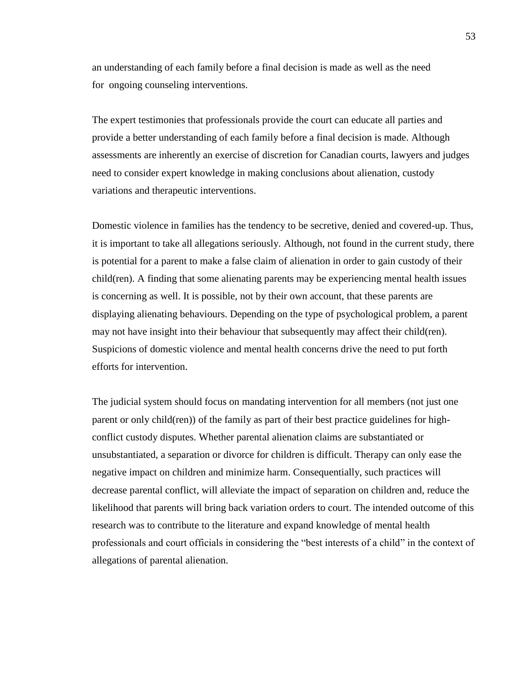an understanding of each family before a final decision is made as well as the need for ongoing counseling interventions.

The expert testimonies that professionals provide the court can educate all parties and provide a better understanding of each family before a final decision is made. Although assessments are inherently an exercise of discretion for Canadian courts, lawyers and judges need to consider expert knowledge in making conclusions about alienation, custody variations and therapeutic interventions.

Domestic violence in families has the tendency to be secretive, denied and covered-up. Thus, it is important to take all allegations seriously. Although, not found in the current study, there is potential for a parent to make a false claim of alienation in order to gain custody of their child(ren). A finding that some alienating parents may be experiencing mental health issues is concerning as well. It is possible, not by their own account, that these parents are displaying alienating behaviours. Depending on the type of psychological problem, a parent may not have insight into their behaviour that subsequently may affect their child(ren). Suspicions of domestic violence and mental health concerns drive the need to put forth efforts for intervention.

The judicial system should focus on mandating intervention for all members (not just one parent or only child(ren)) of the family as part of their best practice guidelines for highconflict custody disputes. Whether parental alienation claims are substantiated or unsubstantiated, a separation or divorce for children is difficult. Therapy can only ease the negative impact on children and minimize harm. Consequentially, such practices will decrease parental conflict, will alleviate the impact of separation on children and, reduce the likelihood that parents will bring back variation orders to court. The intended outcome of this research was to contribute to the literature and expand knowledge of mental health professionals and court officials in considering the "best interests of a child" in the context of allegations of parental alienation.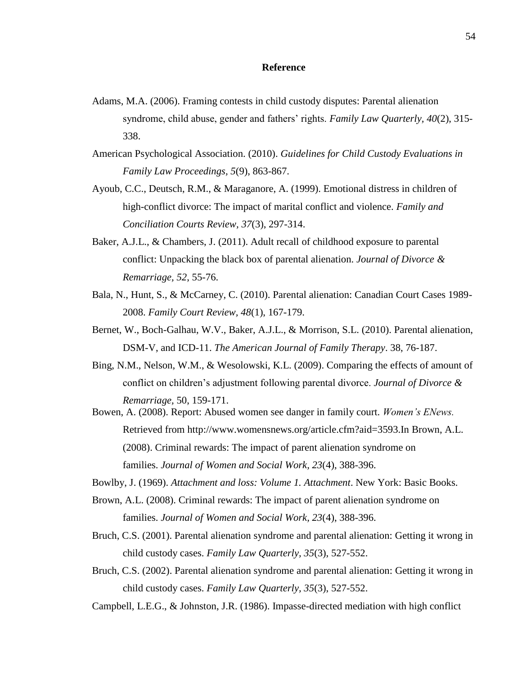#### **Reference**

- Adams, M.A. (2006). Framing contests in child custody disputes: Parental alienation syndrome, child abuse, gender and fathers' rights. *Family Law Quarterly, 40*(2), 315- 338.
- American Psychological Association. (2010). *Guidelines for Child Custody Evaluations in Family Law Proceedings, 5*(9), 863-867.
- Ayoub, C.C., Deutsch, R.M., & Maraganore, A. (1999). Emotional distress in children of high-conflict divorce: The impact of marital conflict and violence. *Family and Conciliation Courts Review, 37*(3), 297-314.
- Baker, A.J.L., & Chambers, J. (2011). Adult recall of childhood exposure to parental conflict: Unpacking the black box of parental alienation. *Journal of Divorce & Remarriage, 52*, 55-76.
- Bala, N., Hunt, S., & McCarney, C. (2010). Parental alienation: Canadian Court Cases 1989- 2008. *Family Court Review, 48*(1), 167-179.
- Bernet, W., Boch-Galhau, W.V., Baker, A.J.L., & Morrison, S.L. (2010). Parental alienation, DSM-V, and ICD-11. *The American Journal of Family Therapy*. 38, 76-187.
- Bing, N.M., Nelson, W.M., & Wesolowski, K.L. (2009). Comparing the effects of amount of conflict on children's adjustment following parental divorce. *Journal of Divorce & Remarriage,* 50, 159-171.
- Bowen, A. (2008). Report: Abused women see danger in family court. *Women's ENews.*  Retrieved from http://www.womensnews.org/article.cfm?aid=3593.In Brown, A.L. (2008). Criminal rewards: The impact of parent alienation syndrome on families. *Journal of Women and Social Work, 23*(4), 388-396.
- Bowlby, J. (1969). *Attachment and loss: Volume 1. Attachment*. New York: Basic Books.
- Brown, A.L. (2008). Criminal rewards: The impact of parent alienation syndrome on families. *Journal of Women and Social Work, 23*(4), 388-396.
- Bruch, C.S. (2001). Parental alienation syndrome and parental alienation: Getting it wrong in child custody cases. *Family Law Quarterly, 35*(3), 527-552.
- Bruch, C.S. (2002). Parental alienation syndrome and parental alienation: Getting it wrong in child custody cases. *Family Law Quarterly, 35*(3), 527-552.

Campbell, L.E.G., & Johnston, J.R. (1986). Impasse-directed mediation with high conflict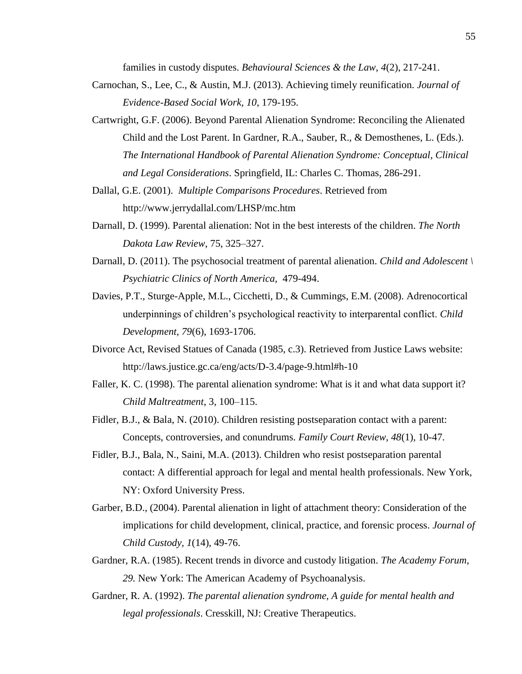families in custody disputes. *Behavioural Sciences & the Law, 4*(2), 217-241.

- Carnochan, S., Lee, C., & Austin, M.J. (2013). Achieving timely reunification. *Journal of Evidence-Based Social Work, 10,* 179-195.
- Cartwright, G.F. (2006). Beyond Parental Alienation Syndrome: Reconciling the Alienated Child and the Lost Parent. In Gardner, R.A., Sauber, R., & Demosthenes, L. (Eds.). *The International Handbook of Parental Alienation Syndrome: Conceptual, Clinical and Legal Considerations*. Springfield, IL: Charles C. Thomas, 286-291.
- Dallal, G.E. (2001). *Multiple Comparisons Procedures*. Retrieved from http://www.jerrydallal.com/LHSP/mc.htm
- Darnall, D. (1999). Parental alienation: Not in the best interests of the children. *The North Dakota Law Review*, 75, 325–327.
- Darnall, D. (2011). The psychosocial treatment of parental alienation. *Child and Adolescent \ Psychiatric Clinics of North America,* 479-494.
- Davies, P.T., Sturge-Apple, M.L., Cicchetti, D., & Cummings, E.M. (2008). Adrenocortical underpinnings of children's psychological reactivity to interparental conflict. *Child Development, 79*(6), 1693-1706.
- Divorce Act, Revised Statues of Canada (1985, c.3). Retrieved from Justice Laws website: http://laws.justice.gc.ca/eng/acts/D-3.4/page-9.html#h-10
- Faller, K. C. (1998). The parental alienation syndrome: What is it and what data support it? *Child Maltreatment*, 3, 100–115.
- Fidler, B.J., & Bala, N. (2010). Children resisting postseparation contact with a parent: Concepts, controversies, and conundrums. *Family Court Review, 48*(1), 10-47.
- Fidler, B.J., Bala, N., Saini, M.A. (2013). Children who resist postseparation parental contact: A differential approach for legal and mental health professionals. New York, NY: Oxford University Press.
- Garber, B.D., (2004). Parental alienation in light of attachment theory: Consideration of the implications for child development, clinical, practice, and forensic process. *Journal of Child Custody, 1*(14), 49-76.
- Gardner, R.A. (1985). Recent trends in divorce and custody litigation. *The Academy Forum, 29.* New York: The American Academy of Psychoanalysis.
- Gardner, R. A. (1992). *The parental alienation syndrome, A guide for mental health and legal professionals*. Cresskill, NJ: Creative Therapeutics.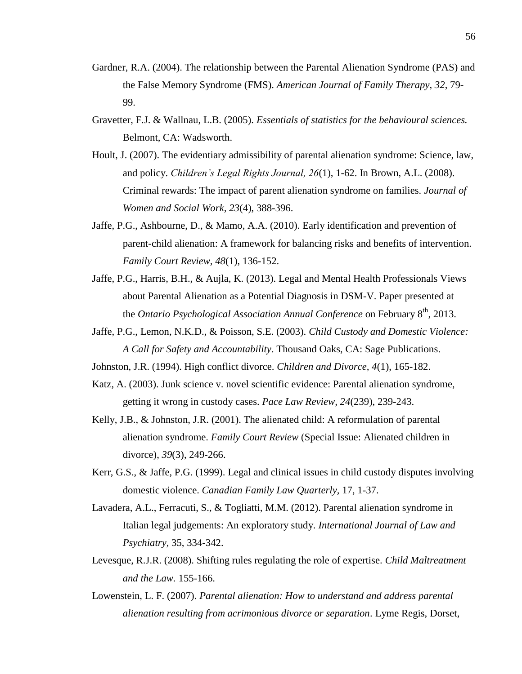- Gardner, R.A. (2004). The relationship between the Parental Alienation Syndrome (PAS) and the False Memory Syndrome (FMS). *American Journal of Family Therapy, 32*, 79- 99.
- Gravetter, F.J. & Wallnau, L.B. (2005). *Essentials of statistics for the behavioural sciences.*  Belmont, CA: Wadsworth.
- Hoult, J. (2007). The evidentiary admissibility of parental alienation syndrome: Science, law, and policy. *Children's Legal Rights Journal, 26*(1), 1-62. In Brown, A.L. (2008). Criminal rewards: The impact of parent alienation syndrome on families. *Journal of Women and Social Work, 23*(4), 388-396.
- Jaffe, P.G., Ashbourne, D., & Mamo, A.A. (2010). Early identification and prevention of parent-child alienation: A framework for balancing risks and benefits of intervention. *Family Court Review, 48*(1), 136-152.
- Jaffe, P.G., Harris, B.H., & Aujla, K. (2013). Legal and Mental Health Professionals Views about Parental Alienation as a Potential Diagnosis in DSM-V. Paper presented at the *Ontario Psychological Association Annual Conference* on February 8<sup>th</sup>, 2013.
- Jaffe, P.G., Lemon, N.K.D., & Poisson, S.E. (2003). *Child Custody and Domestic Violence: A Call for Safety and Accountability*. Thousand Oaks, CA: Sage Publications.

Johnston, J.R. (1994). High conflict divorce. *Children and Divorce, 4*(1), 165-182.

- Katz, A. (2003). Junk science v. novel scientific evidence: Parental alienation syndrome, getting it wrong in custody cases. *Pace Law Review, 24*(239), 239-243.
- Kelly, J.B., & Johnston, J.R. (2001). The alienated child: A reformulation of parental alienation syndrome. *Family Court Review* (Special Issue: Alienated children in divorce), *39*(3), 249-266.
- Kerr, G.S., & Jaffe, P.G. (1999). Legal and clinical issues in child custody disputes involving domestic violence. *Canadian Family Law Quarterly,* 17, 1-37.
- Lavadera, A.L., Ferracuti, S., & Togliatti, M.M. (2012). Parental alienation syndrome in Italian legal judgements: An exploratory study. *International Journal of Law and Psychiatry,* 35, 334-342.
- Levesque, R.J.R. (2008). Shifting rules regulating the role of expertise. *Child Maltreatment and the Law.* 155-166.
- Lowenstein, L. F. (2007). *Parental alienation: How to understand and address parental alienation resulting from acrimonious divorce or separation*. Lyme Regis, Dorset,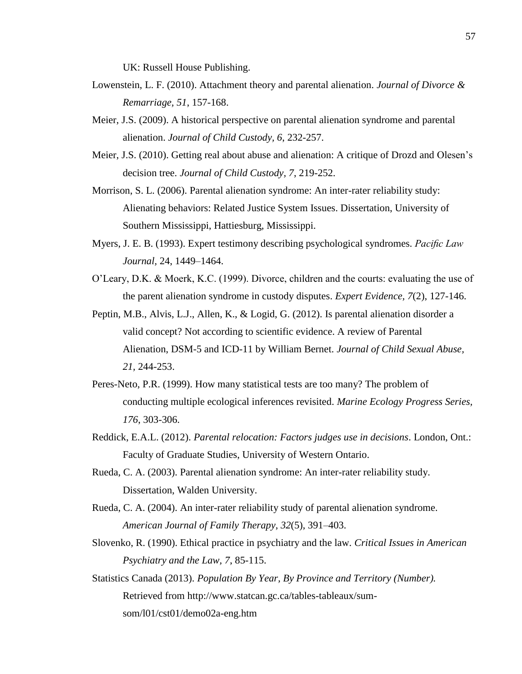UK: Russell House Publishing.

- Lowenstein, L. F. (2010). Attachment theory and parental alienation. *Journal of Divorce & Remarriage, 51*, 157-168.
- Meier, J.S. (2009). A historical perspective on parental alienation syndrome and parental alienation. *Journal of Child Custody, 6*, 232-257.
- Meier, J.S. (2010). Getting real about abuse and alienation: A critique of Drozd and Olesen's decision tree. *Journal of Child Custody, 7*, 219-252.
- Morrison, S. L. (2006). Parental alienation syndrome: An inter-rater reliability study: Alienating behaviors: Related Justice System Issues. Dissertation, University of Southern Mississippi, Hattiesburg, Mississippi.
- Myers, J. E. B. (1993). Expert testimony describing psychological syndromes. *Pacific Law Journal,* 24, 1449–1464.
- O'Leary, D.K. & Moerk, K.C. (1999). Divorce, children and the courts: evaluating the use of the parent alienation syndrome in custody disputes. *Expert Evidence, 7*(2), 127-146.
- Peptin, M.B., Alvis, L.J., Allen, K., & Logid, G. (2012). Is parental alienation disorder a valid concept? Not according to scientific evidence. A review of Parental Alienation, DSM-5 and ICD-11 by William Bernet. *Journal of Child Sexual Abuse, 21,* 244-253.
- Peres-Neto, P.R. (1999). How many statistical tests are too many? The problem of conducting multiple ecological inferences revisited. *Marine Ecology Progress Series, 176*, 303-306.
- Reddick, E.A.L. (2012). *Parental relocation: Factors judges use in decisions*. London, Ont.: Faculty of Graduate Studies, University of Western Ontario.
- Rueda, C. A. (2003). Parental alienation syndrome: An inter-rater reliability study. Dissertation, Walden University.
- Rueda, C. A. (2004). An inter-rater reliability study of parental alienation syndrome. *American Journal of Family Therapy*, *32*(5), 391–403.
- Slovenko, R. (1990). Ethical practice in psychiatry and the law. *Critical Issues in American Psychiatry and the Law, 7*, 85-115.
- Statistics Canada (2013). *Population By Year, By Province and Territory (Number).*  Retrieved from [http://www.statcan.gc.ca/tables-tableaux/sum](http://www.statcan.gc.ca/tables-tableaux/sum-som/l01/cst01/demo02a-eng.htm)[som/l01/cst01/demo02a-eng.htm](http://www.statcan.gc.ca/tables-tableaux/sum-som/l01/cst01/demo02a-eng.htm)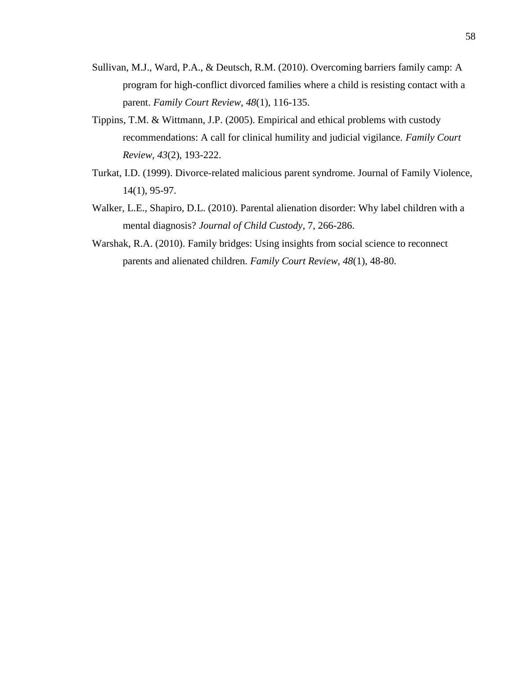- Sullivan, M.J., Ward, P.A., & Deutsch, R.M. (2010). Overcoming barriers family camp: A program for high-conflict divorced families where a child is resisting contact with a parent. *Family Court Review, 48*(1), 116-135.
- Tippins, T.M. & Wittmann, J.P. (2005). Empirical and ethical problems with custody recommendations: A call for clinical humility and judicial vigilance. *Family Court Review, 43*(2), 193-222.
- Turkat, I.D. (1999). Divorce-related malicious parent syndrome. Journal of Family Violence, 14(1), 95-97.
- Walker, L.E., Shapiro, D.L. (2010). Parental alienation disorder: Why label children with a mental diagnosis? *Journal of Child Custody,* 7, 266-286.
- Warshak, R.A. (2010). Family bridges: Using insights from social science to reconnect parents and alienated children. *Family Court Review, 48*(1), 48-80.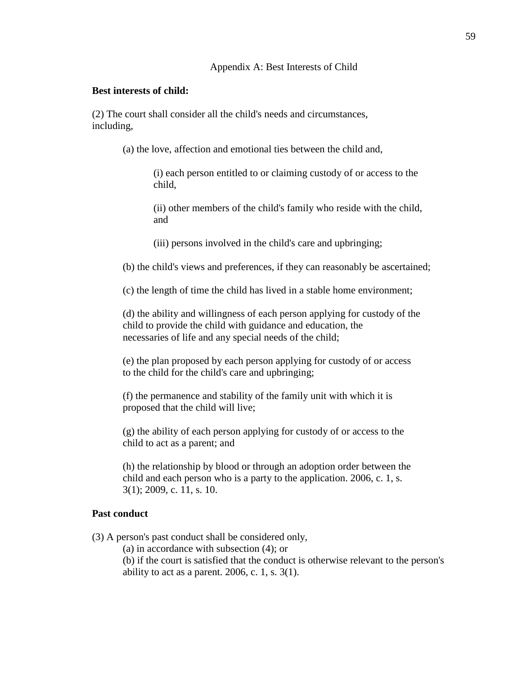# **Best interests of child:**

(2) The court shall consider all the child's needs and circumstances, including,

(a) the love, affection and emotional ties between the child and,

(i) each person entitled to or claiming custody of or access to the child,

(ii) other members of the child's family who reside with the child, and

(iii) persons involved in the child's care and upbringing;

(b) the child's views and preferences, if they can reasonably be ascertained;

(c) the length of time the child has lived in a stable home environment;

(d) the ability and willingness of each person applying for custody of the child to provide the child with guidance and education, the necessaries of life and any special needs of the child;

(e) the plan proposed by each person applying for custody of or access to the child for the child's care and upbringing;

(f) the permanence and stability of the family unit with which it is proposed that the child will live;

(g) the ability of each person applying for custody of or access to the child to act as a parent; and

(h) the relationship by blood or through an adoption order between the child and each person who is a party to the application. 2006, c. 1, s. 3(1); 2009, c. 11, s. 10.

# **Past conduct**

(3) A person's past conduct shall be considered only,

(a) in accordance with subsection (4); or

(b) if the court is satisfied that the conduct is otherwise relevant to the person's ability to act as a parent. 2006, c. 1, s.  $3(1)$ .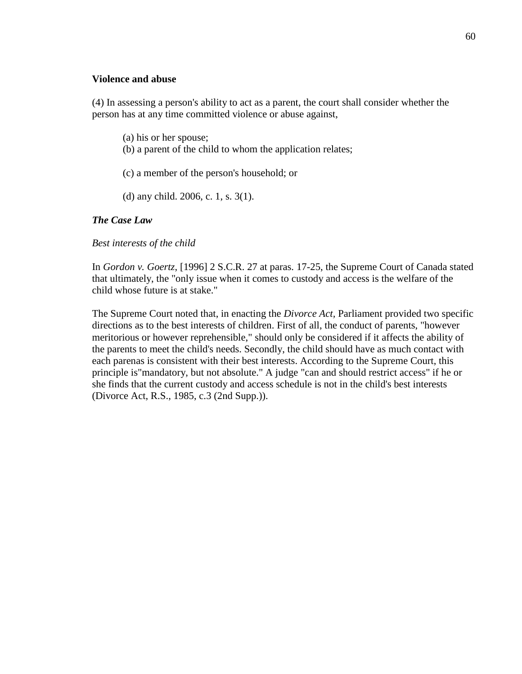### **Violence and abuse**

(4) In assessing a person's ability to act as a parent, the court shall consider whether the person has at any time committed violence or abuse against,

- (a) his or her spouse;
- (b) a parent of the child to whom the application relates;
- (c) a member of the person's household; or
- (d) any child. 2006, c. 1, s. 3(1).

# *The Case Law*

*Best interests of the child*

In *Gordon v. Goertz*, [1996] 2 S.C.R. 27 at paras. 17-25, the Supreme Court of Canada stated that ultimately, the "only issue when it comes to custody and access is the welfare of the child whose future is at stake."

The Supreme Court noted that, in enacting the *Divorce Act,* Parliament provided two specific directions as to the best interests of children. First of all, the conduct of parents, "however meritorious or however reprehensible," should only be considered if it affects the ability of the parents to meet the child's needs. Secondly, the child should have as much contact with each parenas is consistent with their best interests. According to the Supreme Court, this principle is"mandatory, but not absolute." A judge "can and should restrict access" if he or she finds that the current custody and access schedule is not in the child's best interests (Divorce Act, R.S., 1985, c.3 (2nd Supp.)).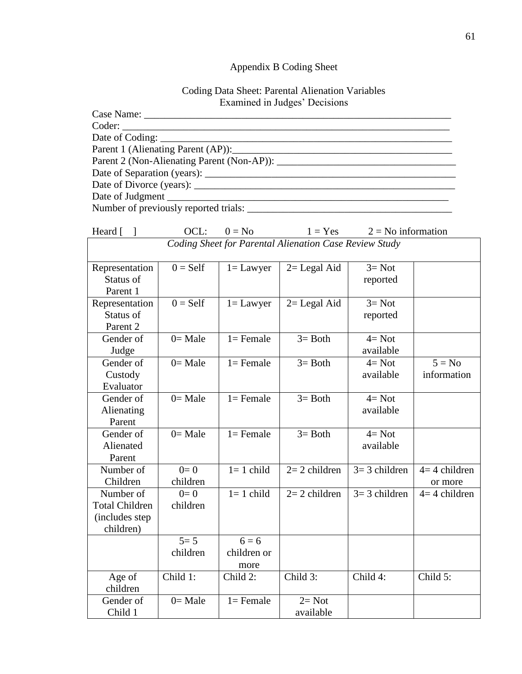# Appendix B Coding Sheet

# Coding Data Sheet: Parental Alienation Variables Examined in Judges' Decisions

| Parent 1 (Alienating Parent (AP)): 2008. [2010] |
|-------------------------------------------------|
| Parent 2 (Non-Alienating Parent (Non-AP)):      |
|                                                 |
|                                                 |
|                                                 |
|                                                 |

| Heard [                                                | OCL:       | $0 = No$     | $1 = Yes$       | $2 = No$ information |                |  |
|--------------------------------------------------------|------------|--------------|-----------------|----------------------|----------------|--|
| Coding Sheet for Parental Alienation Case Review Study |            |              |                 |                      |                |  |
|                                                        |            |              |                 |                      |                |  |
| Representation                                         | $0 = Self$ | $1 =$ Lawyer | $2 =$ Legal Aid | $3 = Not$            |                |  |
| Status of                                              |            |              |                 | reported             |                |  |
| Parent 1                                               |            |              |                 |                      |                |  |
| Representation                                         | $0 = Self$ | $l =$ Lawyer | $2 =$ Legal Aid | $3 = Not$            |                |  |
| Status of                                              |            |              |                 | reported             |                |  |
| Parent 2                                               |            |              |                 |                      |                |  |
| Gender of                                              | $0=$ Male  | $1 =$ Female | $3 = Both$      | $4 = Not$            |                |  |
| Judge                                                  |            |              |                 | available            |                |  |
| Gender of                                              | $0=$ Male  | $1 =$ Female | $3 = Both$      | $4 = Not$            | $5 = No$       |  |
| Custody                                                |            |              |                 | available            | information    |  |
| Evaluator                                              |            |              |                 |                      |                |  |
| Gender of                                              | $0=$ Male  | $1 =$ Female | $3 = Both$      | $4 = Not$            |                |  |
| Alienating                                             |            |              |                 | available            |                |  |
| Parent                                                 |            |              |                 |                      |                |  |
| Gender of                                              | $0=$ Male  | $1 =$ Female | $3 = Both$      | $4 = Not$            |                |  |
| Alienated                                              |            |              |                 | available            |                |  |
| Parent                                                 |            |              |                 |                      |                |  |
| Number of                                              | $0=0$      | $1=1$ child  | $2=2$ children  | $3=3$ children       | $4=4$ children |  |
| Children                                               | children   |              |                 |                      | or more        |  |
| Number of                                              | $0=0$      | $1=1$ child  | $2=2$ children  | $3=3$ children       | $4=4$ children |  |
| <b>Total Children</b>                                  | children   |              |                 |                      |                |  |
| (includes step                                         |            |              |                 |                      |                |  |
| children)                                              |            |              |                 |                      |                |  |
|                                                        | $5 = 5$    | $6 = 6$      |                 |                      |                |  |
|                                                        | children   | children or  |                 |                      |                |  |
|                                                        |            | more         |                 |                      |                |  |
| Age of                                                 | Child 1:   | Child 2:     | Child 3:        | Child 4:             | Child 5:       |  |
| children                                               |            |              |                 |                      |                |  |
| Gender of                                              | $0=$ Male  | $1 =$ Female | $2 = Not$       |                      |                |  |
| Child 1                                                |            |              | available       |                      |                |  |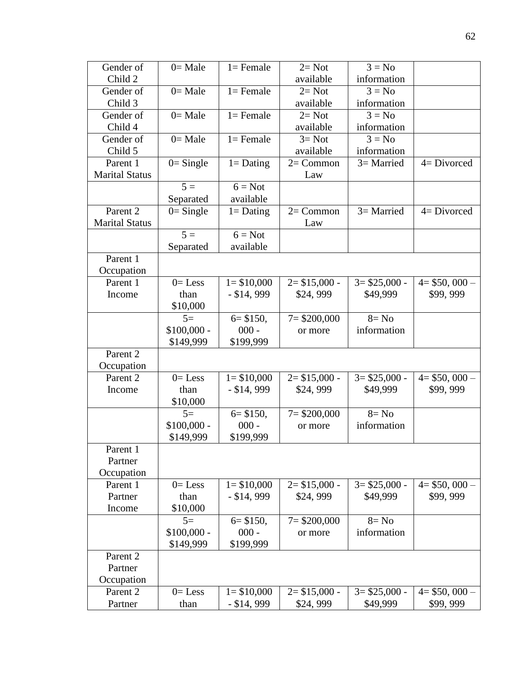| Gender of             | $0=$ Male    | $1 =$ Female  | $2=Not$         | $3 = No$        |                 |
|-----------------------|--------------|---------------|-----------------|-----------------|-----------------|
| Child 2               |              |               | available       | information     |                 |
| Gender of             | $0=$ Male    | $1 =$ Female  | $2=Not$         | $3 = No$        |                 |
| Child 3               |              |               | available       | information     |                 |
| Gender of             | $0=$ Male    | $1 =$ Female  | $2=Not$         | $3 = No$        |                 |
| Child 4               |              |               | available       | information     |                 |
| Gender of             | $0=$ Male    | $1 =$ Female  | $3 = Not$       | $3 = No$        |                 |
| Child 5               |              |               | available       | information     |                 |
| Parent 1              | $0 =$ Single | $1 =$ Dating  | $2=Common$      | $3=$ Married    | $4 = Divorced$  |
| <b>Marital Status</b> |              |               | Law             |                 |                 |
|                       | $5 =$        | $6 = Not$     |                 |                 |                 |
|                       | Separated    | available     |                 |                 |                 |
| Parent 2              | $0 =$ Single | $1 =$ Dating  | $2=Common$      | $3=$ Married    | $4 = Divorced$  |
| <b>Marital Status</b> |              |               | Law             |                 |                 |
|                       | $5 =$        | $6 = Not$     |                 |                 |                 |
|                       | Separated    | available     |                 |                 |                 |
| Parent 1              |              |               |                 |                 |                 |
| Occupation            |              |               |                 |                 |                 |
| Parent 1              | $0 =$ Less   | $1 = $10,000$ | $2 = $15,000 -$ | $3 = $25,000 -$ | $4 = $50,000 -$ |
| Income                | than         | $-$ \$14, 999 | \$24,999        | \$49,999        | \$99,999        |
|                       | \$10,000     |               |                 |                 |                 |
|                       | $5=$         | $6 = $150,$   | $7 = $200,000$  | $8 = No$        |                 |
|                       | $$100,000 -$ | $000 -$       | or more         | information     |                 |
|                       | \$149,999    | \$199,999     |                 |                 |                 |
| Parent 2              |              |               |                 |                 |                 |
| Occupation            |              |               |                 |                 |                 |
| Parent <sub>2</sub>   | $0 =$ Less   | $1 = $10,000$ | $2 = $15,000 -$ | $3 = $25,000 -$ | $4 = $50,000 -$ |
| Income                | than         | $-$ \$14, 999 | \$24,999        | \$49,999        | \$99,999        |
|                       | \$10,000     |               |                 |                 |                 |
|                       | $5=$         | $6 = $150,$   | $7 = $200,000$  | $8 = No$        |                 |
|                       | $$100,000 -$ | $000 -$       | or more         | information     |                 |
|                       | \$149,999    | \$199,999     |                 |                 |                 |
| Parent 1              |              |               |                 |                 |                 |
| Partner               |              |               |                 |                 |                 |
| Occupation            |              |               |                 |                 |                 |
| Parent 1              | $0=$ Less    | $1 = $10,000$ | $2 = $15,000 -$ | $3 = $25,000 -$ | $4 = $50,000 -$ |
| Partner               | than         | $-$ \$14, 999 | \$24,999        | \$49,999        | \$99,999        |
| Income                | \$10,000     |               |                 |                 |                 |
|                       | $5=$         | $6 = $150,$   | $7 = $200,000$  | $8 = No$        |                 |
|                       | $$100,000 -$ | $000 -$       | or more         | information     |                 |
|                       | \$149,999    | \$199,999     |                 |                 |                 |
| Parent 2              |              |               |                 |                 |                 |
| Partner               |              |               |                 |                 |                 |
| Occupation            |              |               |                 |                 |                 |
| Parent 2              | $0 =$ Less   | $1 = $10,000$ | $2 = $15,000 -$ | $3 = $25,000 -$ | $4 = $50,000 -$ |
| Partner               | than         | $-$ \$14, 999 | \$24,999        | \$49,999        | \$99,999        |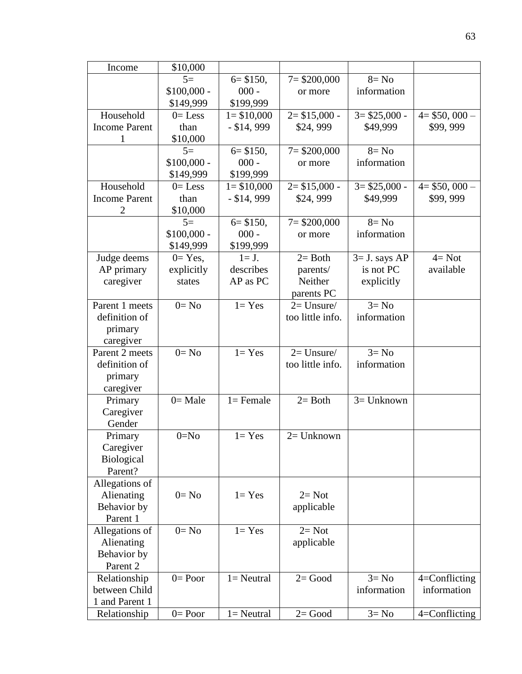| Income               | \$10,000            |               |                  |                 |                   |
|----------------------|---------------------|---------------|------------------|-----------------|-------------------|
|                      | $5=$                | $6 = $150,$   | $7 = $200,000$   | $8 = No$        |                   |
|                      | $$100,000 -$        | $000 -$       | or more          | information     |                   |
|                      | \$149,999           | \$199,999     |                  |                 |                   |
| Household            | $0=$ Less           | $1 = $10,000$ | $2 = $15,000 -$  | $3 = $25,000 -$ | $4 = $50,000 -$   |
| <b>Income Parent</b> | than                | $-$ \$14, 999 | \$24,999         | \$49,999        | \$99,999          |
| 1                    | \$10,000            |               |                  |                 |                   |
|                      | $5=$                | $6 = $150,$   | $7 = $200,000$   | $8 = No$        |                   |
|                      | $$100,000 -$        | $000 -$       | or more          | information     |                   |
|                      | \$149,999           | \$199,999     |                  |                 |                   |
| Household            | $0=$ Less           | $1 = $10,000$ | $2 = $15,000 -$  | $3 = $25,000 -$ | $4 = $50,000 -$   |
| <b>Income Parent</b> | than                | $-$ \$14, 999 | \$24,999         | \$49,999        | \$99,999          |
| $\overline{2}$       | \$10,000            |               |                  |                 |                   |
|                      | $5=$                | $6 = $150,$   | $7 = $200,000$   | $8 = No$        |                   |
|                      | $$100,000 -$        | $000 -$       | or more          | information     |                   |
|                      | \$149,999           | \$199,999     |                  |                 |                   |
| Judge deems          | $0=Yes,$            | $l=J.$        | $2=$ Both        | $3=$ J. says AP | $4 = Not$         |
| AP primary           | explicitly          | describes     | parents/         | is not PC       | available         |
| caregiver            | states              | AP as PC      | Neither          | explicitly      |                   |
|                      |                     |               | parents PC       |                 |                   |
| Parent 1 meets       | $0=$ No             | $1 = Yes$     | $2=$ Unsure/     | $3 = No$        |                   |
| definition of        |                     |               | too little info. | information     |                   |
| primary              |                     |               |                  |                 |                   |
| caregiver            |                     |               |                  |                 |                   |
| Parent 2 meets       | $\overline{0}$ = No | $1 = Yes$     | $2=$ Unsure/     | $3 = No$        |                   |
| definition of        |                     |               | too little info. | information     |                   |
| primary              |                     |               |                  |                 |                   |
| caregiver            |                     |               |                  |                 |                   |
| Primary              | $0=$ Male           | $1 =$ Female  | $2=$ Both        | $3=$ Unknown    |                   |
| Caregiver            |                     |               |                  |                 |                   |
| Gender               |                     |               |                  |                 |                   |
| Primary              | $0=N0$              | $1 = Yes$     | $2=$ Unknown     |                 |                   |
| Caregiver            |                     |               |                  |                 |                   |
| <b>Biological</b>    |                     |               |                  |                 |                   |
| Parent?              |                     |               |                  |                 |                   |
| Allegations of       |                     |               |                  |                 |                   |
| Alienating           | $0=$ No             | $1 = Yes$     | $2=Not$          |                 |                   |
| Behavior by          |                     |               | applicable       |                 |                   |
| Parent 1             |                     |               |                  |                 |                   |
| Allegations of       | $0=$ No             | $1 = Yes$     | $2=Not$          |                 |                   |
| Alienating           |                     |               | applicable       |                 |                   |
| Behavior by          |                     |               |                  |                 |                   |
| Parent 2             |                     |               |                  |                 |                   |
| Relationship         | $0=$ Poor           | $l =$ Neutral | $2 = Good$       | $3 = No$        | 4=Conflicting     |
| between Child        |                     |               |                  | information     | information       |
| 1 and Parent 1       |                     |               |                  |                 |                   |
| Relationship         | $0 = Poor$          | $1 =$ Neutral | $2 = Good$       | $3 = No$        | $4 =$ Conflicting |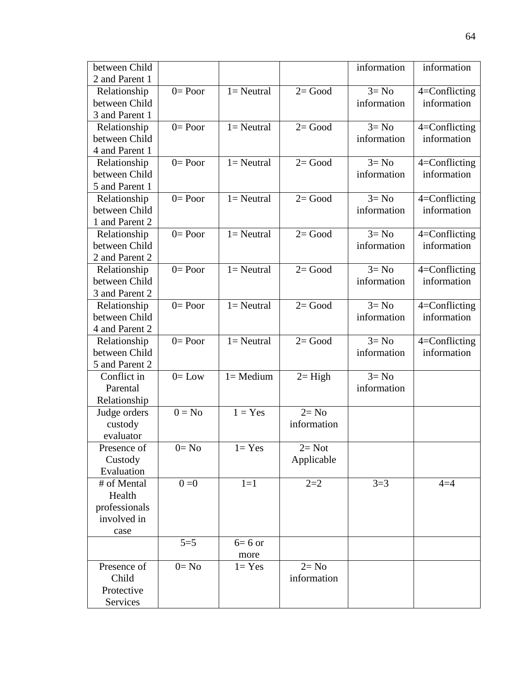| between Child                 |           |                     |             | information | information       |
|-------------------------------|-----------|---------------------|-------------|-------------|-------------------|
| 2 and Parent 1                |           |                     |             |             |                   |
| Relationship                  | $0=$ Poor | $1 =$ Neutral       | $2 = Good$  | $3 = No$    | 4=Conflicting     |
| between Child                 |           |                     |             | information | information       |
| 3 and Parent 1                |           |                     |             |             |                   |
| Relationship                  | $0=$ Poor | $l =$ Neutral       | $2 = Good$  | $3 = No$    | $4 =$ Conflicting |
| between Child                 |           |                     |             | information | information       |
| 4 and Parent 1                |           |                     |             |             |                   |
| Relationship                  | $0=$ Poor | $1 =$ Neutral       | $2 = Good$  | $3 = No$    | $4 =$ Conflicting |
| between Child                 |           |                     |             | information | information       |
| 5 and Parent 1                |           |                     |             |             |                   |
| Relationship                  | $0=$ Poor | $l =$ Neutral       | $2 = Good$  | $3 = No$    | 4=Conflicting     |
| between Child                 |           |                     |             | information | information       |
| 1 and Parent 2                |           |                     |             |             |                   |
| Relationship                  | $0=$ Poor | $l =$ Neutral       | $2 = Good$  | $3 = No$    | 4=Conflicting     |
| between Child                 |           |                     |             | information | information       |
| 2 and Parent 2                |           |                     |             |             |                   |
|                               | $0=$ Poor | $l =$ Neutral       | $2 = Good$  | $3 = No$    | 4=Conflicting     |
| Relationship<br>between Child |           |                     |             | information | information       |
| 3 and Parent 2                |           |                     |             |             |                   |
|                               | $0=$ Poor | $l =$ Neutral       | $2 = Good$  | $3 = No$    |                   |
| Relationship                  |           |                     |             |             | $4 =$ Conflicting |
| between Child                 |           |                     |             | information | information       |
| 4 and Parent 2                |           |                     |             |             |                   |
| Relationship                  | $0=$ Poor | $l =$ Neutral       | $2 = Good$  | $3 = No$    | 4=Conflicting     |
| between Child                 |           |                     |             | information | information       |
| 5 and Parent 2                |           |                     |             |             |                   |
| Conflict in                   | $0 = Low$ | $1 = \text{Median}$ | $2=$ High   | $3 = No$    |                   |
| Parental                      |           |                     |             | information |                   |
| Relationship                  |           |                     |             |             |                   |
| Judge orders                  | $0 = No$  | $1 = Yes$           | $2 = No$    |             |                   |
| custody                       |           |                     | information |             |                   |
| evaluator                     |           |                     |             |             |                   |
| Presence of                   | $0=$ No   | $1 = Yes$           | $2=Not$     |             |                   |
| Custody                       |           |                     | Applicable  |             |                   |
| Evaluation                    |           |                     |             |             |                   |
| # of Mental                   | $0=0$     | $1=1$               | $2 = 2$     | $3=3$       | $4 = 4$           |
| Health                        |           |                     |             |             |                   |
| professionals                 |           |                     |             |             |                   |
| involved in                   |           |                     |             |             |                   |
| case                          |           |                     |             |             |                   |
|                               | $5 = 5$   | $6=6$ or            |             |             |                   |
|                               |           | more                |             |             |                   |
| Presence of                   | $0=$ No   | $1 = Yes$           | $2 = No$    |             |                   |
| Child                         |           |                     | information |             |                   |
| Protective                    |           |                     |             |             |                   |
|                               |           |                     |             |             |                   |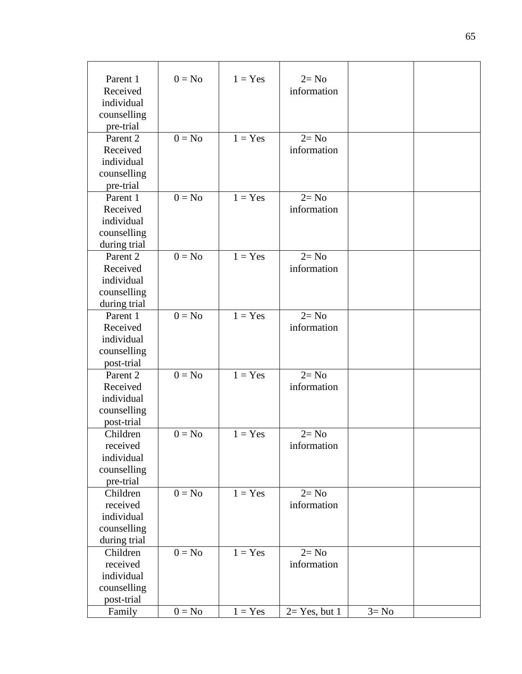| Parent 1<br>Received<br>individual<br>counselling | $0 = No$            | $1 = Yes$ | $2 = No$<br>information |          |  |
|---------------------------------------------------|---------------------|-----------|-------------------------|----------|--|
| pre-trial                                         |                     |           |                         |          |  |
| Parent 2                                          | $0 = No$            | $1 = Yes$ | $2 = No$                |          |  |
| Received                                          |                     |           | information             |          |  |
| individual                                        |                     |           |                         |          |  |
| counselling                                       |                     |           |                         |          |  |
| pre-trial                                         | $\overline{0}$ = No |           |                         |          |  |
| Parent 1                                          |                     | $1 = Yes$ | $2 = No$                |          |  |
| Received                                          |                     |           | information             |          |  |
| individual                                        |                     |           |                         |          |  |
| counselling                                       |                     |           |                         |          |  |
| during trial                                      | $0 = No$            | $1 = Yes$ | $2 = No$                |          |  |
| Parent 2<br>Received                              |                     |           |                         |          |  |
| individual                                        |                     |           | information             |          |  |
| counselling                                       |                     |           |                         |          |  |
|                                                   |                     |           |                         |          |  |
| during trial<br>Parent 1                          | $0 = No$            | $1 = Yes$ | $2 = No$                |          |  |
| Received                                          |                     |           | information             |          |  |
| individual                                        |                     |           |                         |          |  |
| counselling                                       |                     |           |                         |          |  |
| post-trial                                        |                     |           |                         |          |  |
| Parent 2                                          | $0 = No$            | $1 = Yes$ | $2 = No$                |          |  |
| Received                                          |                     |           | information             |          |  |
| individual                                        |                     |           |                         |          |  |
| counselling                                       |                     |           |                         |          |  |
| post-trial                                        |                     |           |                         |          |  |
| Children                                          | $0 = No$            | $1 = Yes$ | $2 = No$                |          |  |
| received                                          |                     |           | information             |          |  |
| individual                                        |                     |           |                         |          |  |
| counselling                                       |                     |           |                         |          |  |
| pre-trial                                         |                     |           |                         |          |  |
| Children                                          | $0 = No$            | $1 = Yes$ | $2 = No$                |          |  |
| received                                          |                     |           | information             |          |  |
| individual                                        |                     |           |                         |          |  |
| counselling                                       |                     |           |                         |          |  |
| during trial                                      |                     |           |                         |          |  |
| Children                                          | $0 = No$            | $1 = Yes$ | $2 = No$                |          |  |
| received                                          |                     |           | information             |          |  |
| individual                                        |                     |           |                         |          |  |
| counselling                                       |                     |           |                         |          |  |
| post-trial                                        |                     |           |                         |          |  |
| Family                                            | $0 = No$            | $1 = Yes$ | $2=Yes, but 1$          | $3 = No$ |  |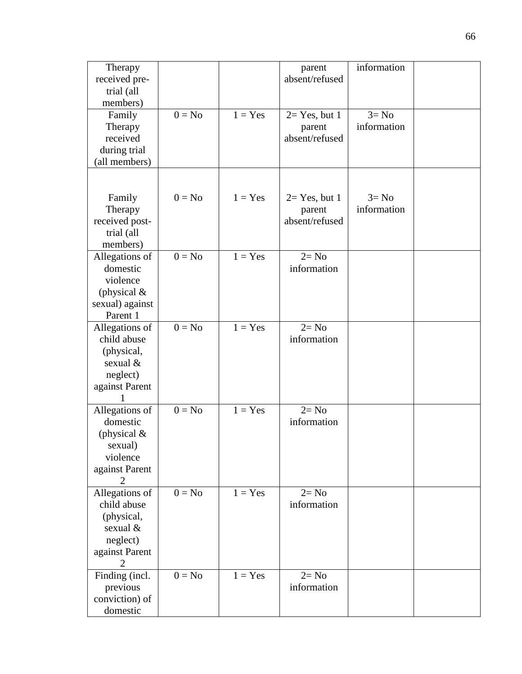| Therapy<br>received pre-<br>trial (all<br>members)<br>Family<br>Therapy<br>received<br>during trial     | $0 = No$ | $1 = Yes$ | parent<br>absent/refused<br>$2=$ Yes, but 1<br>parent<br>absent/refused | information<br>$3 = No$<br>information |  |
|---------------------------------------------------------------------------------------------------------|----------|-----------|-------------------------------------------------------------------------|----------------------------------------|--|
| (all members)                                                                                           |          |           |                                                                         |                                        |  |
| Family<br>Therapy<br>received post-<br>trial (all<br>members)                                           | $0 = No$ | $1 = Yes$ | $2=$ Yes, but 1<br>parent<br>absent/refused                             | $3 = No$<br>information                |  |
| Allegations of<br>domestic<br>violence<br>(physical $\&$<br>sexual) against<br>Parent 1                 | $0 = No$ | $1 = Yes$ | $2 = No$<br>information                                                 |                                        |  |
| Allegations of<br>child abuse<br>(physical,<br>sexual &<br>neglect)<br>against Parent                   | $0 = No$ | $1 = Yes$ | $2 = No$<br>information                                                 |                                        |  |
| Allegations of<br>domestic<br>(physical $\&$<br>sexual)<br>violence<br>against Parent<br>$\overline{2}$ | $0 = No$ | $1 = Yes$ | $2 = No$<br>information                                                 |                                        |  |
| Allegations of<br>child abuse<br>(physical,<br>sexual &<br>neglect)<br>against Parent<br>2              | $0 = No$ | $1 = Yes$ | $2 = No$<br>information                                                 |                                        |  |
| Finding (incl.<br>previous<br>conviction) of<br>domestic                                                | $0 = No$ | $1 = Yes$ | $2 = No$<br>information                                                 |                                        |  |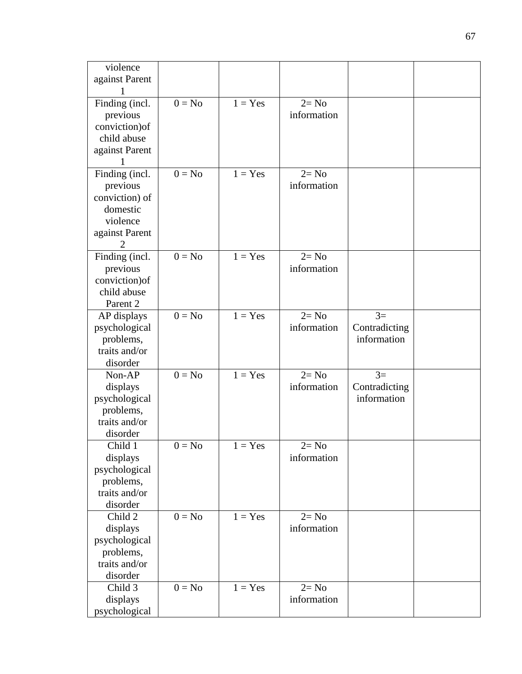| violence       |          |           |             |               |  |
|----------------|----------|-----------|-------------|---------------|--|
| against Parent |          |           |             |               |  |
|                |          |           |             |               |  |
| Finding (incl. | $0 = No$ | $1 = Yes$ | $2 = No$    |               |  |
| previous       |          |           | information |               |  |
| conviction) of |          |           |             |               |  |
| child abuse    |          |           |             |               |  |
| against Parent |          |           |             |               |  |
|                |          |           |             |               |  |
| Finding (incl. | $0 = No$ | $1 = Yes$ | $2 = No$    |               |  |
| previous       |          |           | information |               |  |
| conviction) of |          |           |             |               |  |
| domestic       |          |           |             |               |  |
| violence       |          |           |             |               |  |
| against Parent |          |           |             |               |  |
| 2              |          |           |             |               |  |
| Finding (incl. | $0 = No$ | $1 = Yes$ | $2 = No$    |               |  |
| previous       |          |           | information |               |  |
| conviction) of |          |           |             |               |  |
| child abuse    |          |           |             |               |  |
| Parent 2       |          |           |             |               |  |
| AP displays    | $0 = No$ | $1 = Yes$ | $2 = No$    | $3=$          |  |
| psychological  |          |           | information | Contradicting |  |
| problems,      |          |           |             | information   |  |
| traits and/or  |          |           |             |               |  |
| disorder       |          |           |             |               |  |
| Non-AP         | $0 = No$ | $1 = Yes$ | $2 = No$    | $3=$          |  |
| displays       |          |           | information | Contradicting |  |
| psychological  |          |           |             | information   |  |
| problems,      |          |           |             |               |  |
| traits and/or  |          |           |             |               |  |
| disorder       |          |           |             |               |  |
| Child 1        | $0 = No$ | $1 = Yes$ | $2 = No$    |               |  |
| displays       |          |           | information |               |  |
| psychological  |          |           |             |               |  |
| problems,      |          |           |             |               |  |
| traits and/or  |          |           |             |               |  |
| disorder       |          |           |             |               |  |
| Child 2        | $0 = No$ | $1 = Yes$ | $2 = No$    |               |  |
| displays       |          |           | information |               |  |
| psychological  |          |           |             |               |  |
| problems,      |          |           |             |               |  |
| traits and/or  |          |           |             |               |  |
| disorder       |          |           |             |               |  |
| Child 3        | $0 = No$ | $1 = Yes$ | $2 = No$    |               |  |
| displays       |          |           | information |               |  |
| psychological  |          |           |             |               |  |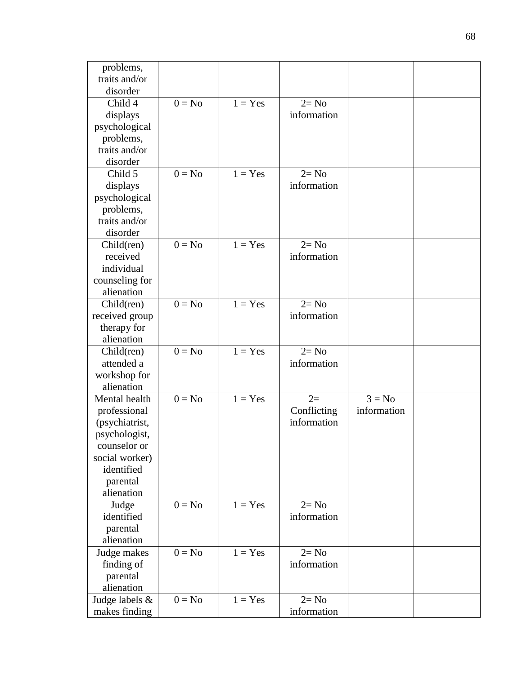| problems,      |          |           |             |             |  |
|----------------|----------|-----------|-------------|-------------|--|
| traits and/or  |          |           |             |             |  |
| disorder       |          |           |             |             |  |
| Child 4        | $0 = No$ | $1 = Yes$ | $2 = No$    |             |  |
| displays       |          |           | information |             |  |
| psychological  |          |           |             |             |  |
| problems,      |          |           |             |             |  |
| traits and/or  |          |           |             |             |  |
| disorder       |          |           |             |             |  |
| Child 5        | $0 = No$ | $1 = Yes$ | $2 = No$    |             |  |
| displays       |          |           | information |             |  |
| psychological  |          |           |             |             |  |
| problems,      |          |           |             |             |  |
| traits and/or  |          |           |             |             |  |
| disorder       |          |           |             |             |  |
| Child(ren)     | $0 = No$ | $1 = Yes$ | $2 = No$    |             |  |
| received       |          |           | information |             |  |
| individual     |          |           |             |             |  |
| counseling for |          |           |             |             |  |
| alienation     |          |           |             |             |  |
| Child(ren)     | $0 = No$ | $1 = Yes$ | $2 = No$    |             |  |
| received group |          |           | information |             |  |
| therapy for    |          |           |             |             |  |
| alienation     |          |           |             |             |  |
| $Child$ (ren)  | $0 = No$ | $1 = Yes$ | $2 = No$    |             |  |
| attended a     |          |           | information |             |  |
| workshop for   |          |           |             |             |  |
| alienation     |          |           |             |             |  |
| Mental health  | $0 = No$ | $1 = Yes$ | $2=$        | $3 = No$    |  |
| professional   |          |           | Conflicting | information |  |
| (psychiatrist, |          |           | information |             |  |
| psychologist,  |          |           |             |             |  |
| counselor or   |          |           |             |             |  |
| social worker) |          |           |             |             |  |
| identified     |          |           |             |             |  |
| parental       |          |           |             |             |  |
| alienation     |          |           |             |             |  |
| Judge          | $0 = No$ | $1 = Yes$ | $2 = No$    |             |  |
| identified     |          |           | information |             |  |
| parental       |          |           |             |             |  |
| alienation     |          |           |             |             |  |
| Judge makes    | $0 = No$ | $1 = Yes$ | $2 = No$    |             |  |
| finding of     |          |           | information |             |  |
| parental       |          |           |             |             |  |
| alienation     |          |           |             |             |  |
| Judge labels & | $0 = No$ | $1 = Yes$ | $2 = No$    |             |  |
| makes finding  |          |           | information |             |  |
|                |          |           |             |             |  |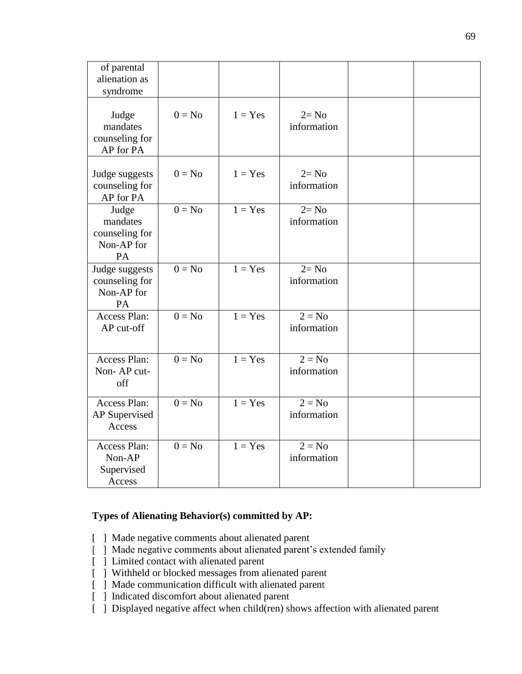| of parental<br>alienation as<br>syndrome                |          |           |                         |  |
|---------------------------------------------------------|----------|-----------|-------------------------|--|
| Judge<br>mandates<br>counseling for<br>AP for PA        | $0 = No$ | $1 = Yes$ | $2 = No$<br>information |  |
| Judge suggests<br>counseling for<br>AP for PA           | $0 = No$ | $1 = Yes$ | $2 = No$<br>information |  |
| Judge<br>mandates<br>counseling for<br>Non-AP for<br>PA | $0 = No$ | $1 = Yes$ | $2 = No$<br>information |  |
| Judge suggests<br>counseling for<br>Non-AP for<br>PA    | $0 = No$ | $1 = Yes$ | $2 = No$<br>information |  |
| <b>Access Plan:</b><br>AP cut-off                       | $0 = No$ | $1 = Yes$ | $2 = No$<br>information |  |
| Access Plan:<br>Non-AP cut-<br>off                      | $0 = No$ | $1 = Yes$ | $2 = No$<br>information |  |
| Access Plan:<br>AP Supervised<br>Access                 | $0 = No$ | $1 = Yes$ | $2 = No$<br>information |  |
| Access Plan:<br>Non-AP<br>Supervised<br>Access          | $0 = No$ | $1 = Yes$ | $2 = No$<br>information |  |

#### **Types of Alienating Behavior(s) committed by AP:**

- [ ] Made negative comments about alienated parent
- [ ] Made negative comments about alienated parent's extended family
- [ ] Limited contact with alienated parent
- [ ] Withheld or blocked messages from alienated parent
- [ ] Made communication difficult with alienated parent
- [ ] Indicated discomfort about alienated parent
- [ ] Displayed negative affect when child(ren) shows affection with alienated parent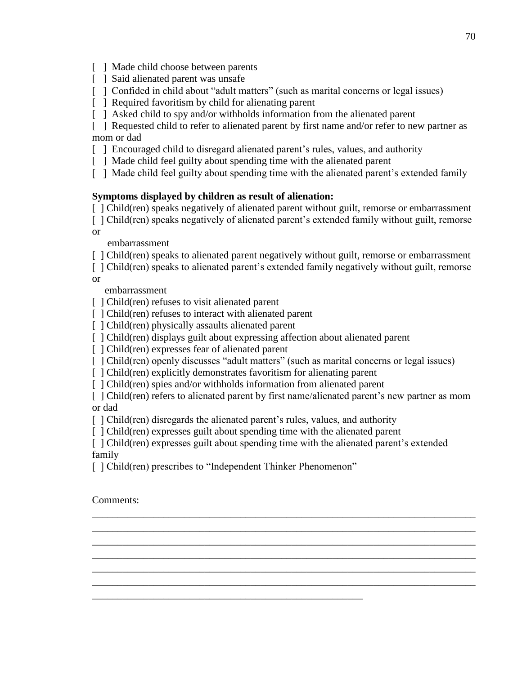[ ] Made child choose between parents

- [ ] Said alienated parent was unsafe
- [  $\parallel$  ] Confided in child about "adult matters" (such as marital concerns or legal issues)
- [ ] Required favoritism by child for alienating parent
- [ ] Asked child to spy and/or withholds information from the alienated parent

[ ] Requested child to refer to alienated parent by first name and/or refer to new partner as mom or dad

- [ ] Encouraged child to disregard alienated parent's rules, values, and authority
- [ ] Made child feel guilty about spending time with the alienated parent
- [ ] Made child feel guilty about spending time with the alienated parent's extended family

#### **Symptoms displayed by children as result of alienation:**

[ ] Child(ren) speaks negatively of alienated parent without guilt, remorse or embarrassment

[ ] Child(ren) speaks negatively of alienated parent's extended family without guilt, remorse or

embarrassment

[ ] Child(ren) speaks to alienated parent negatively without guilt, remorse or embarrassment

[ ] Child(ren) speaks to alienated parent's extended family negatively without guilt, remorse or

embarrassment

- [  $\vert$  Child(ren) refuses to visit alienated parent
- [ ] Child(ren) refuses to interact with alienated parent
- [  $\vert$  Child(ren) physically assaults alienated parent
- [ ] Child(ren) displays guilt about expressing affection about alienated parent
- [ ] Child(ren) expresses fear of alienated parent
- [ ] Child(ren) openly discusses "adult matters" (such as marital concerns or legal issues)
- [ ] Child(ren) explicitly demonstrates favoritism for alienating parent
- [ ] Child(ren) spies and/or withholds information from alienated parent

[ ] Child(ren) refers to alienated parent by first name/alienated parent's new partner as mom or dad

\_\_\_\_\_\_\_\_\_\_\_\_\_\_\_\_\_\_\_\_\_\_\_\_\_\_\_\_\_\_\_\_\_\_\_\_\_\_\_\_\_\_\_\_\_\_\_\_\_\_\_\_\_\_\_\_\_\_\_\_\_\_\_\_\_\_\_\_\_\_\_\_\_\_\_ \_\_\_\_\_\_\_\_\_\_\_\_\_\_\_\_\_\_\_\_\_\_\_\_\_\_\_\_\_\_\_\_\_\_\_\_\_\_\_\_\_\_\_\_\_\_\_\_\_\_\_\_\_\_\_\_\_\_\_\_\_\_\_\_\_\_\_\_\_\_\_\_\_\_\_ \_\_\_\_\_\_\_\_\_\_\_\_\_\_\_\_\_\_\_\_\_\_\_\_\_\_\_\_\_\_\_\_\_\_\_\_\_\_\_\_\_\_\_\_\_\_\_\_\_\_\_\_\_\_\_\_\_\_\_\_\_\_\_\_\_\_\_\_\_\_\_\_\_\_\_ \_\_\_\_\_\_\_\_\_\_\_\_\_\_\_\_\_\_\_\_\_\_\_\_\_\_\_\_\_\_\_\_\_\_\_\_\_\_\_\_\_\_\_\_\_\_\_\_\_\_\_\_\_\_\_\_\_\_\_\_\_\_\_\_\_\_\_\_\_\_\_\_\_\_\_ \_\_\_\_\_\_\_\_\_\_\_\_\_\_\_\_\_\_\_\_\_\_\_\_\_\_\_\_\_\_\_\_\_\_\_\_\_\_\_\_\_\_\_\_\_\_\_\_\_\_\_\_\_\_\_\_\_\_\_\_\_\_\_\_\_\_\_\_\_\_\_\_\_\_\_ \_\_\_\_\_\_\_\_\_\_\_\_\_\_\_\_\_\_\_\_\_\_\_\_\_\_\_\_\_\_\_\_\_\_\_\_\_\_\_\_\_\_\_\_\_\_\_\_\_\_\_\_\_\_\_\_\_\_\_\_\_\_\_\_\_\_\_\_\_\_\_\_\_\_\_

- [ ] Child(ren) disregards the alienated parent's rules, values, and authority
- [ ] Child(ren) expresses guilt about spending time with the alienated parent

[ ] Child(ren) expresses guilt about spending time with the alienated parent's extended family

[ ] Child(ren) prescribes to "Independent Thinker Phenomenon"

\_\_\_\_\_\_\_\_\_\_\_\_\_\_\_\_\_\_\_\_\_\_\_\_\_\_\_\_\_\_\_\_\_\_\_\_\_\_\_\_\_\_\_\_\_\_\_\_\_\_\_\_\_

Comments: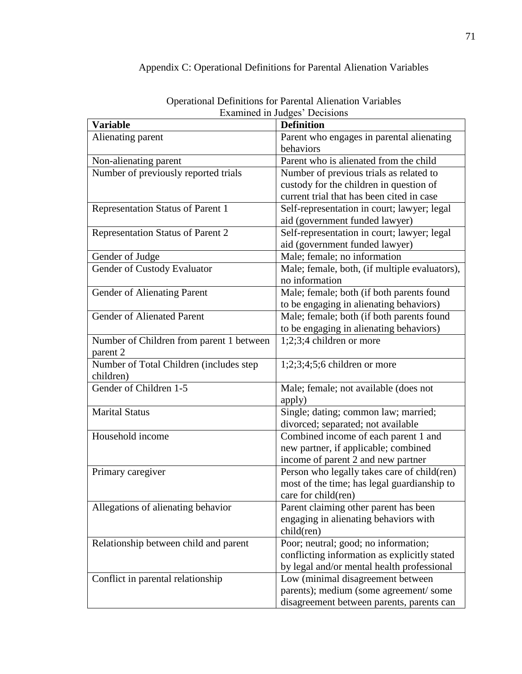| <b>Examined in Judges' Decisions</b>     |                                               |  |  |  |
|------------------------------------------|-----------------------------------------------|--|--|--|
| <b>Variable</b>                          | <b>Definition</b>                             |  |  |  |
| Alienating parent                        | Parent who engages in parental alienating     |  |  |  |
|                                          | behaviors                                     |  |  |  |
| Non-alienating parent                    | Parent who is alienated from the child        |  |  |  |
| Number of previously reported trials     | Number of previous trials as related to       |  |  |  |
|                                          | custody for the children in question of       |  |  |  |
|                                          | current trial that has been cited in case     |  |  |  |
| Representation Status of Parent 1        | Self-representation in court; lawyer; legal   |  |  |  |
|                                          | aid (government funded lawyer)                |  |  |  |
| Representation Status of Parent 2        | Self-representation in court; lawyer; legal   |  |  |  |
|                                          | aid (government funded lawyer)                |  |  |  |
| Gender of Judge                          | Male; female; no information                  |  |  |  |
| Gender of Custody Evaluator              | Male; female, both, (if multiple evaluators), |  |  |  |
|                                          | no information                                |  |  |  |
| Gender of Alienating Parent              | Male; female; both (if both parents found     |  |  |  |
|                                          | to be engaging in alienating behaviors)       |  |  |  |
| <b>Gender of Alienated Parent</b>        | Male; female; both (if both parents found     |  |  |  |
|                                          | to be engaging in alienating behaviors)       |  |  |  |
| Number of Children from parent 1 between | $1;2;3;4$ children or more                    |  |  |  |
| parent 2                                 |                                               |  |  |  |
| Number of Total Children (includes step  | $1;2;3;4;5;6$ children or more                |  |  |  |
| children)                                |                                               |  |  |  |
| Gender of Children 1-5                   | Male; female; not available (does not         |  |  |  |
|                                          | apply)                                        |  |  |  |
| <b>Marital Status</b>                    | Single; dating; common law; married;          |  |  |  |
|                                          | divorced; separated; not available            |  |  |  |
| Household income                         | Combined income of each parent 1 and          |  |  |  |
|                                          | new partner, if applicable; combined          |  |  |  |
|                                          | income of parent 2 and new partner            |  |  |  |
| Primary caregiver                        | Person who legally takes care of child(ren)   |  |  |  |
|                                          | most of the time; has legal guardianship to   |  |  |  |
|                                          | care for child(ren)                           |  |  |  |
| Allegations of alienating behavior       | Parent claiming other parent has been         |  |  |  |
|                                          | engaging in alienating behaviors with         |  |  |  |
|                                          | $child$ (ren)                                 |  |  |  |
| Relationship between child and parent    | Poor; neutral; good; no information;          |  |  |  |
|                                          | conflicting information as explicitly stated  |  |  |  |
|                                          | by legal and/or mental health professional    |  |  |  |
| Conflict in parental relationship        | Low (minimal disagreement between             |  |  |  |
|                                          | parents); medium (some agreement/some         |  |  |  |
|                                          | disagreement between parents, parents can     |  |  |  |

### Appendix C: Operational Definitions for Parental Alienation Variables

Operational Definitions for Parental Alienation Variables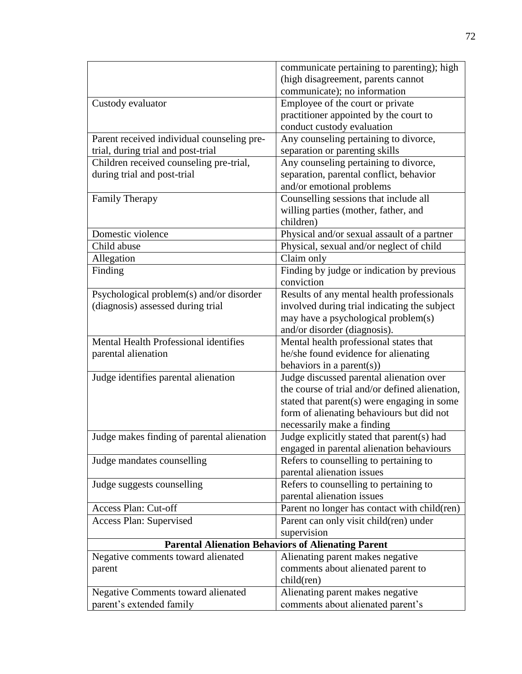|                                            | communicate pertaining to parenting); high                |
|--------------------------------------------|-----------------------------------------------------------|
|                                            | (high disagreement, parents cannot                        |
|                                            | communicate); no information                              |
| Custody evaluator                          | Employee of the court or private                          |
|                                            | practitioner appointed by the court to                    |
|                                            | conduct custody evaluation                                |
| Parent received individual counseling pre- | Any counseling pertaining to divorce,                     |
| trial, during trial and post-trial         | separation or parenting skills                            |
| Children received counseling pre-trial,    | Any counseling pertaining to divorce,                     |
| during trial and post-trial                | separation, parental conflict, behavior                   |
|                                            | and/or emotional problems                                 |
| <b>Family Therapy</b>                      | Counselling sessions that include all                     |
|                                            | willing parties (mother, father, and                      |
|                                            | children)                                                 |
| Domestic violence                          | Physical and/or sexual assault of a partner               |
| Child abuse                                | Physical, sexual and/or neglect of child                  |
| Allegation                                 | Claim only                                                |
| Finding                                    | Finding by judge or indication by previous                |
|                                            | conviction                                                |
| Psychological problem(s) and/or disorder   | Results of any mental health professionals                |
| (diagnosis) assessed during trial          | involved during trial indicating the subject              |
|                                            | may have a psychological problem(s)                       |
|                                            | and/or disorder (diagnosis).                              |
| Mental Health Professional identifies      | Mental health professional states that                    |
| parental alienation                        | he/she found evidence for alienating                      |
|                                            | behaviors in a parent $(s)$ )                             |
| Judge identifies parental alienation       | Judge discussed parental alienation over                  |
|                                            | the course of trial and/or defined alienation,            |
|                                            | stated that parent(s) were engaging in some               |
|                                            | form of alienating behaviours but did not                 |
|                                            | necessarily make a finding                                |
| Judge makes finding of parental alienation | Judge explicitly stated that parent(s) had                |
|                                            | engaged in parental alienation behaviours                 |
| Judge mandates counselling                 | Refers to counselling to pertaining to                    |
|                                            | parental alienation issues                                |
| Judge suggests counselling                 | Refers to counselling to pertaining to                    |
|                                            | parental alienation issues                                |
| Access Plan: Cut-off                       | Parent no longer has contact with child(ren)              |
| Access Plan: Supervised                    | Parent can only visit child(ren) under                    |
|                                            | supervision                                               |
|                                            | <b>Parental Alienation Behaviors of Alienating Parent</b> |
| Negative comments toward alienated         | Alienating parent makes negative                          |
| parent                                     | comments about alienated parent to                        |
|                                            | child(ren)                                                |
| <b>Negative Comments toward alienated</b>  | Alienating parent makes negative                          |
| parent's extended family                   | comments about alienated parent's                         |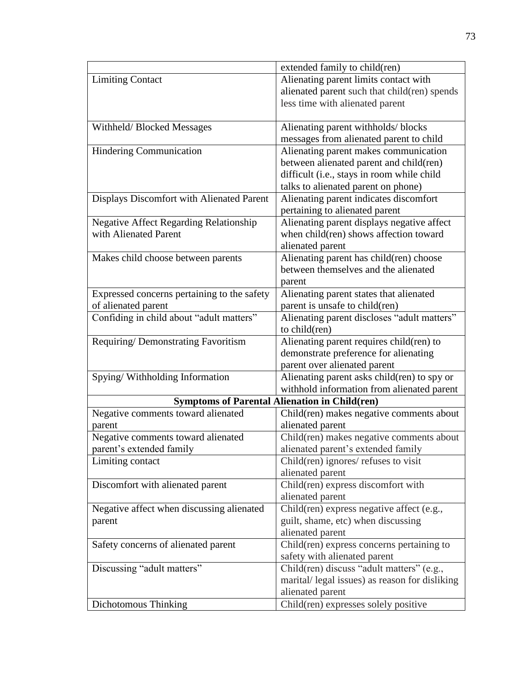|                                               | extended family to child(ren)                        |
|-----------------------------------------------|------------------------------------------------------|
| <b>Limiting Contact</b>                       | Alienating parent limits contact with                |
|                                               | alienated parent such that child(ren) spends         |
|                                               | less time with alienated parent                      |
|                                               |                                                      |
| Withheld/Blocked Messages                     | Alienating parent withholds/blocks                   |
|                                               | messages from alienated parent to child              |
| Hindering Communication                       | Alienating parent makes communication                |
|                                               | between alienated parent and child(ren)              |
|                                               | difficult (i.e., stays in room while child           |
|                                               | talks to alienated parent on phone)                  |
| Displays Discomfort with Alienated Parent     | Alienating parent indicates discomfort               |
|                                               | pertaining to alienated parent                       |
| <b>Negative Affect Regarding Relationship</b> | Alienating parent displays negative affect           |
| with Alienated Parent                         | when child(ren) shows affection toward               |
|                                               | alienated parent                                     |
| Makes child choose between parents            | Alienating parent has child(ren) choose              |
|                                               | between themselves and the alienated                 |
|                                               | parent                                               |
| Expressed concerns pertaining to the safety   | Alienating parent states that alienated              |
| of alienated parent                           | parent is unsafe to child(ren)                       |
| Confiding in child about "adult matters"      | Alienating parent discloses "adult matters"          |
|                                               | to child(ren)                                        |
| Requiring/Demonstrating Favoritism            | Alienating parent requires child(ren) to             |
|                                               | demonstrate preference for alienating                |
|                                               | parent over alienated parent                         |
| Spying/Withholding Information                | Alienating parent asks child(ren) to spy or          |
|                                               | withhold information from alienated parent           |
|                                               | <b>Symptoms of Parental Alienation in Child(ren)</b> |
| Negative comments toward alienated            | Child(ren) makes negative comments about             |
| parent                                        | alienated parent                                     |
| Negative comments toward alienated            | Child(ren) makes negative comments about             |
| parent's extended family                      | alienated parent's extended family                   |
| Limiting contact                              | Child(ren) ignores/ refuses to visit                 |
|                                               | alienated parent                                     |
| Discomfort with alienated parent              | Child(ren) express discomfort with                   |
|                                               | alienated parent                                     |
| Negative affect when discussing alienated     | Child(ren) express negative affect (e.g.,            |
| parent                                        | guilt, shame, etc) when discussing                   |
|                                               | alienated parent                                     |
| Safety concerns of alienated parent           | Child(ren) express concerns pertaining to            |
|                                               | safety with alienated parent                         |
| Discussing "adult matters"                    | Child(ren) discuss "adult matters" (e.g.,            |
|                                               | marital/legal issues) as reason for disliking        |
|                                               | alienated parent                                     |
| Dichotomous Thinking                          | Child(ren) expresses solely positive                 |
|                                               |                                                      |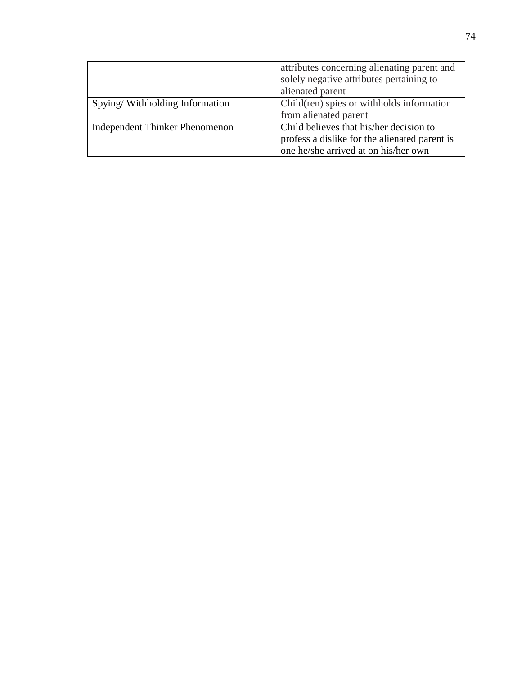|                                       | attributes concerning alienating parent and   |  |
|---------------------------------------|-----------------------------------------------|--|
|                                       | solely negative attributes pertaining to      |  |
|                                       | alienated parent                              |  |
| Spying/Withholding Information        | Child(ren) spies or withholds information     |  |
|                                       | from alienated parent                         |  |
| <b>Independent Thinker Phenomenon</b> | Child believes that his/her decision to       |  |
|                                       | profess a dislike for the alienated parent is |  |
|                                       | one he/she arrived at on his/her own          |  |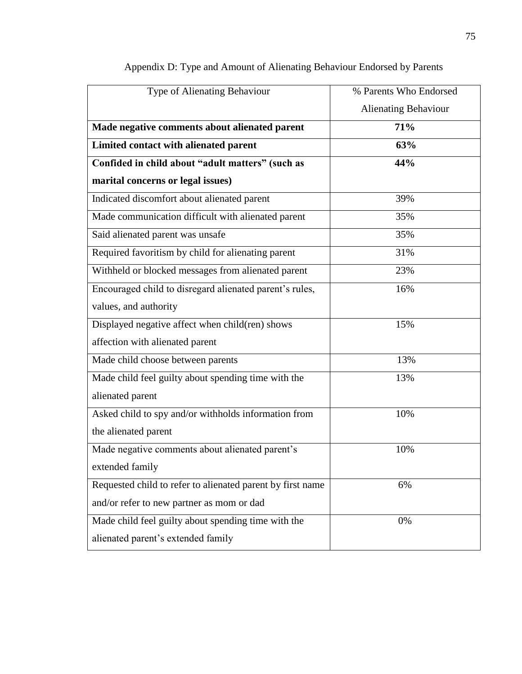| Type of Alienating Behaviour                               | % Parents Who Endorsed |
|------------------------------------------------------------|------------------------|
|                                                            | Alienating Behaviour   |
| Made negative comments about alienated parent              | 71%                    |
| Limited contact with alienated parent                      | 63%                    |
| Confided in child about "adult matters" (such as           | 44%                    |
| marital concerns or legal issues)                          |                        |
| Indicated discomfort about alienated parent                | 39%                    |
| Made communication difficult with alienated parent         | 35%                    |
| Said alienated parent was unsafe                           | 35%                    |
| Required favoritism by child for alienating parent         | 31%                    |
| Withheld or blocked messages from alienated parent         | 23%                    |
| Encouraged child to disregard alienated parent's rules,    | 16%                    |
| values, and authority                                      |                        |
| Displayed negative affect when child(ren) shows            | 15%                    |
| affection with alienated parent                            |                        |
| Made child choose between parents                          | 13%                    |
| Made child feel guilty about spending time with the        | 13%                    |
| alienated parent                                           |                        |
| Asked child to spy and/or withholds information from       | 10%                    |
| the alienated parent                                       |                        |
| Made negative comments about alienated parent's            | 10%                    |
| extended family                                            |                        |
| Requested child to refer to alienated parent by first name | 6%                     |
| and/or refer to new partner as mom or dad                  |                        |
| Made child feel guilty about spending time with the        | 0%                     |
| alienated parent's extended family                         |                        |

# Appendix D: Type and Amount of Alienating Behaviour Endorsed by Parents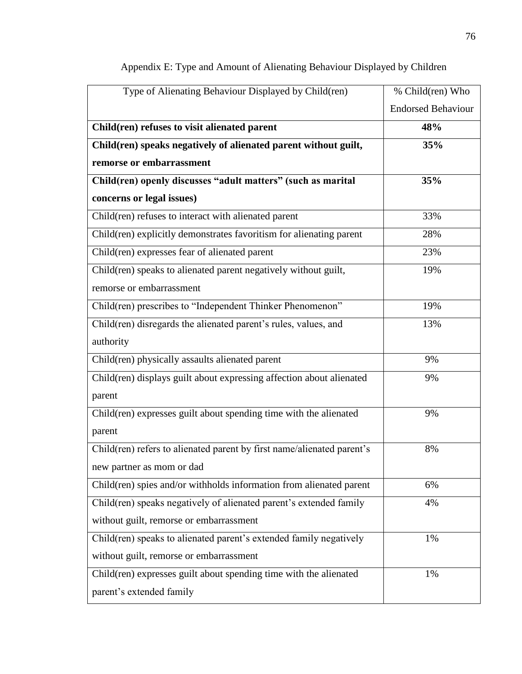| Type of Alienating Behaviour Displayed by Child(ren)                   | % Child(ren) Who          |
|------------------------------------------------------------------------|---------------------------|
|                                                                        | <b>Endorsed Behaviour</b> |
| Child(ren) refuses to visit alienated parent                           | 48%                       |
| Child(ren) speaks negatively of alienated parent without guilt,        | 35%                       |
| remorse or embarrassment                                               |                           |
| Child(ren) openly discusses "adult matters" (such as marital           | 35%                       |
| concerns or legal issues)                                              |                           |
| Child(ren) refuses to interact with alienated parent                   | 33%                       |
| Child(ren) explicitly demonstrates favoritism for alienating parent    | 28%                       |
| Child(ren) expresses fear of alienated parent                          | 23%                       |
| Child(ren) speaks to alienated parent negatively without guilt,        | 19%                       |
| remorse or embarrassment                                               |                           |
| Child(ren) prescribes to "Independent Thinker Phenomenon"              | 19%                       |
| Child(ren) disregards the alienated parent's rules, values, and        | 13%                       |
| authority                                                              |                           |
| Child(ren) physically assaults alienated parent                        | 9%                        |
| Child(ren) displays guilt about expressing affection about alienated   | 9%                        |
| parent                                                                 |                           |
| Child(ren) expresses guilt about spending time with the alienated      | 9%                        |
| parent                                                                 |                           |
| Child(ren) refers to alienated parent by first name/alienated parent's | 8%                        |
| new partner as mom or dad                                              |                           |
| Child(ren) spies and/or withholds information from alienated parent    | 6%                        |
| Child(ren) speaks negatively of alienated parent's extended family     | 4%                        |
| without guilt, remorse or embarrassment                                |                           |
| Child(ren) speaks to alienated parent's extended family negatively     | 1%                        |
| without guilt, remorse or embarrassment                                |                           |
| Child(ren) expresses guilt about spending time with the alienated      | 1%                        |
| parent's extended family                                               |                           |

# Appendix E: Type and Amount of Alienating Behaviour Displayed by Children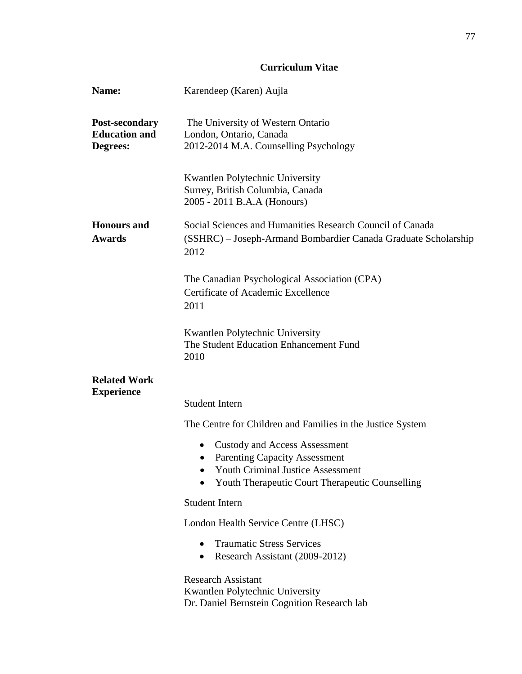### **Curriculum Vitae**

| Name:                                              | Karendeep (Karen) Aujla                                                                                                             |
|----------------------------------------------------|-------------------------------------------------------------------------------------------------------------------------------------|
| Post-secondary<br><b>Education and</b><br>Degrees: | The University of Western Ontario<br>London, Ontario, Canada<br>2012-2014 M.A. Counselling Psychology                               |
|                                                    | Kwantlen Polytechnic University<br>Surrey, British Columbia, Canada<br>2005 - 2011 B.A.A (Honours)                                  |
| <b>Honours</b> and<br><b>Awards</b>                | Social Sciences and Humanities Research Council of Canada<br>(SSHRC) – Joseph-Armand Bombardier Canada Graduate Scholarship<br>2012 |
|                                                    | The Canadian Psychological Association (CPA)<br><b>Certificate of Academic Excellence</b><br>2011                                   |
|                                                    | Kwantlen Polytechnic University<br>The Student Education Enhancement Fund<br>2010                                                   |
| <b>Related Work</b><br><b>Experience</b>           | <b>Student Intern</b>                                                                                                               |
|                                                    | The Centre for Children and Families in the Justice System                                                                          |
|                                                    | <b>Custody and Access Assessment</b><br>$\bullet$                                                                                   |
|                                                    | <b>Parenting Capacity Assessment</b><br>$\bullet$                                                                                   |
|                                                    | <b>Youth Criminal Justice Assessment</b><br>Youth Therapeutic Court Therapeutic Counselling                                         |
|                                                    | <b>Student Intern</b>                                                                                                               |
|                                                    | London Health Service Centre (LHSC)                                                                                                 |
|                                                    | <b>Traumatic Stress Services</b><br>$\bullet$<br>Research Assistant (2009-2012)<br>$\bullet$                                        |
|                                                    | <b>Research Assistant</b><br>Kwantlen Polytechnic University<br>Dr. Daniel Bernstein Cognition Research lab                         |